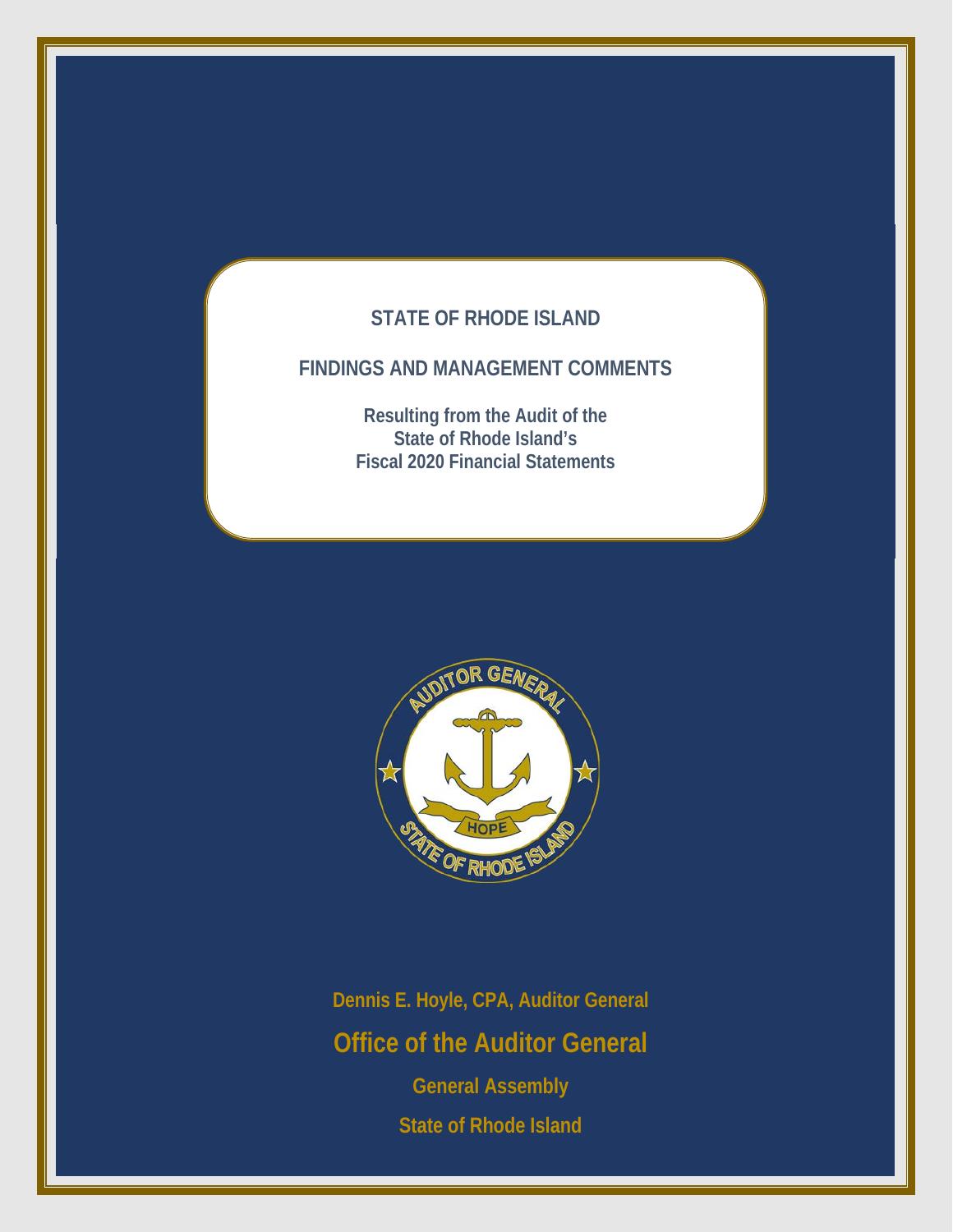# **STATE OF RHODE ISLAND**

# **FINDINGS AND MANAGEMENT COMMENTS**

**Resulting from the Audit of the State of Rhode Island's Fiscal 2020 Financial Statements**



**Dennis E. Hoyle, CPA, Auditor General Office of the Auditor General General Assembly State of Rhode Island**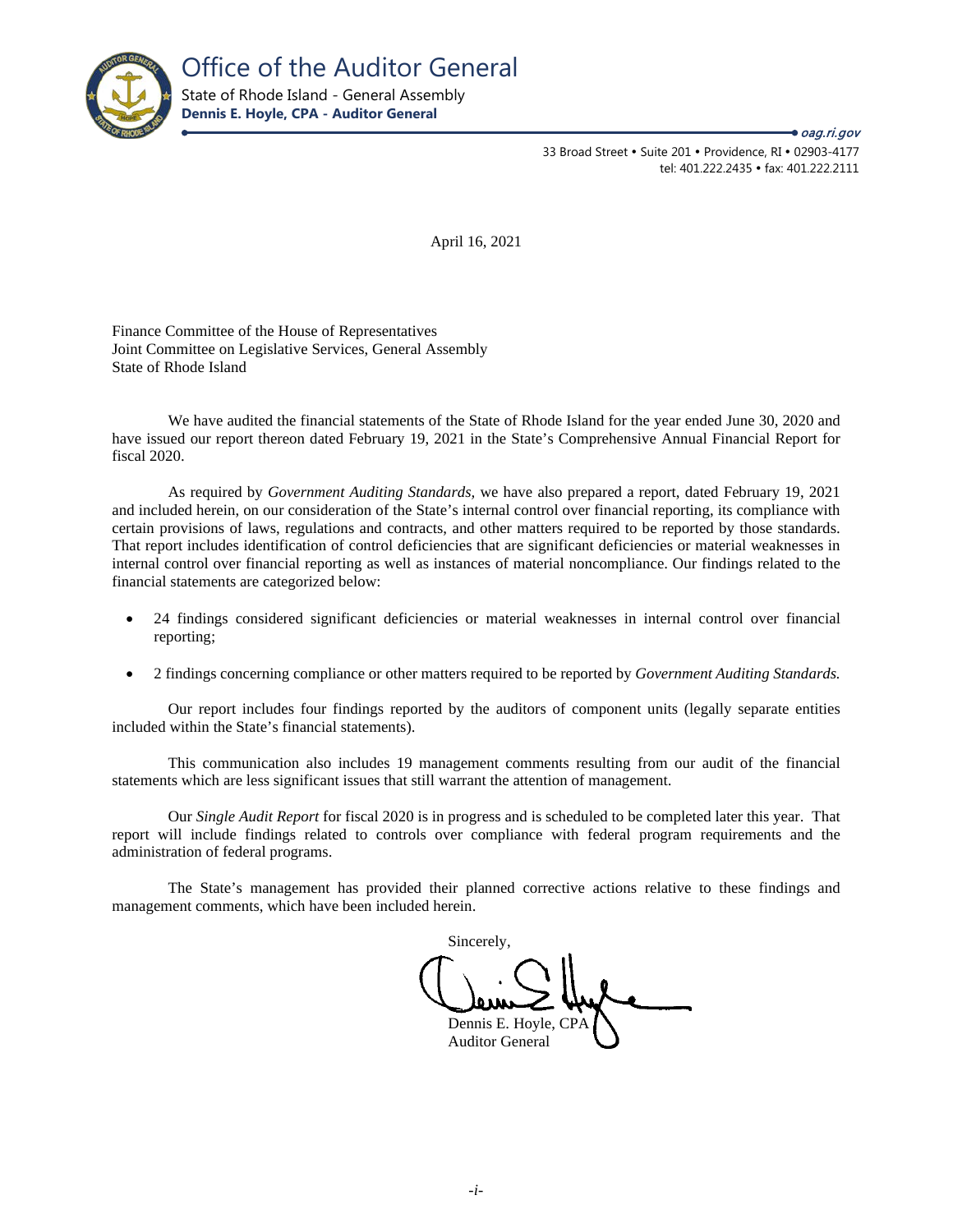

33 Broad Street • Suite 201 • Providence, RI • 02903-4177 tel: 401.222.2435 · fax: 401.222.2111

**→** oag.ri.gov

April 16, 2021

Finance Committee of the House of Representatives Joint Committee on Legislative Services, General Assembly State of Rhode Island

We have audited the financial statements of the State of Rhode Island for the year ended June 30, 2020 and have issued our report thereon dated February 19, 2021 in the State's Comprehensive Annual Financial Report for fiscal 2020.

As required by *Government Auditing Standards,* we have also prepared a report, dated February 19, 2021 and included herein, on our consideration of the State's internal control over financial reporting, its compliance with certain provisions of laws, regulations and contracts, and other matters required to be reported by those standards. That report includes identification of control deficiencies that are significant deficiencies or material weaknesses in internal control over financial reporting as well as instances of material noncompliance. Our findings related to the financial statements are categorized below:

- 24 findings considered significant deficiencies or material weaknesses in internal control over financial reporting;
- 2 findings concerning compliance or other matters required to be reported by *Government Auditing Standards.*

Our report includes four findings reported by the auditors of component units (legally separate entities included within the State's financial statements).

This communication also includes 19 management comments resulting from our audit of the financial statements which are less significant issues that still warrant the attention of management.

Our *Single Audit Report* for fiscal 2020 is in progress and is scheduled to be completed later this year. That report will include findings related to controls over compliance with federal program requirements and the administration of federal programs.

The State's management has provided their planned corrective actions relative to these findings and management comments, which have been included herein.

Sincerely, Dennis E. Hoyle, CPA Auditor General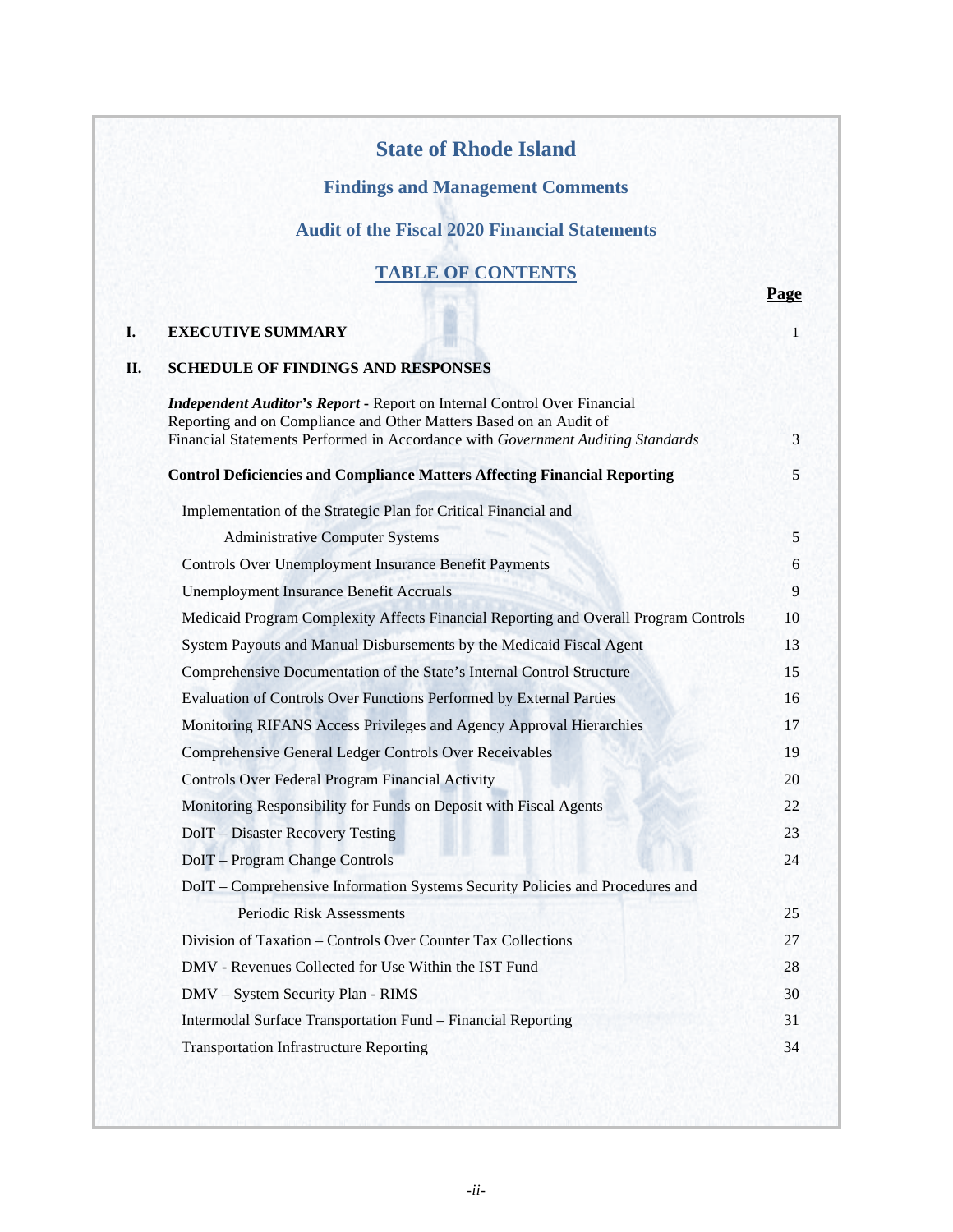# **State of Rhode Island**

# **Findings and Management Comments**

# **Audit of the Fiscal 2020 Financial Statements**

# **TABLE OF CONTENTS**

 **Page**

# **I. EXECUTIVE SUMMARY** 1

**II. SCHEDULE OF FINDINGS AND RESPONSES**

| <b>Control Deficiencies and Compliance Matters Affecting Financial Reporting</b>     |  |
|--------------------------------------------------------------------------------------|--|
| Implementation of the Strategic Plan for Critical Financial and                      |  |
| <b>Administrative Computer Systems</b>                                               |  |
| <b>Controls Over Unemployment Insurance Benefit Payments</b>                         |  |
| <b>Unemployment Insurance Benefit Accruals</b>                                       |  |
| Medicaid Program Complexity Affects Financial Reporting and Overall Program Controls |  |
| System Payouts and Manual Disbursements by the Medicaid Fiscal Agent                 |  |
| Comprehensive Documentation of the State's Internal Control Structure                |  |
| Evaluation of Controls Over Functions Performed by External Parties                  |  |
| Monitoring RIFANS Access Privileges and Agency Approval Hierarchies                  |  |
| <b>Comprehensive General Ledger Controls Over Receivables</b>                        |  |
| Controls Over Federal Program Financial Activity                                     |  |
| Monitoring Responsibility for Funds on Deposit with Fiscal Agents                    |  |
| DoIT – Disaster Recovery Testing                                                     |  |
| DoIT - Program Change Controls                                                       |  |
| DoIT - Comprehensive Information Systems Security Policies and Procedures and        |  |
| Periodic Risk Assessments                                                            |  |
| Division of Taxation - Controls Over Counter Tax Collections                         |  |
| DMV - Revenues Collected for Use Within the IST Fund                                 |  |
| DMV - System Security Plan - RIMS                                                    |  |
| Intermodal Surface Transportation Fund - Financial Reporting                         |  |
| <b>Transportation Infrastructure Reporting</b>                                       |  |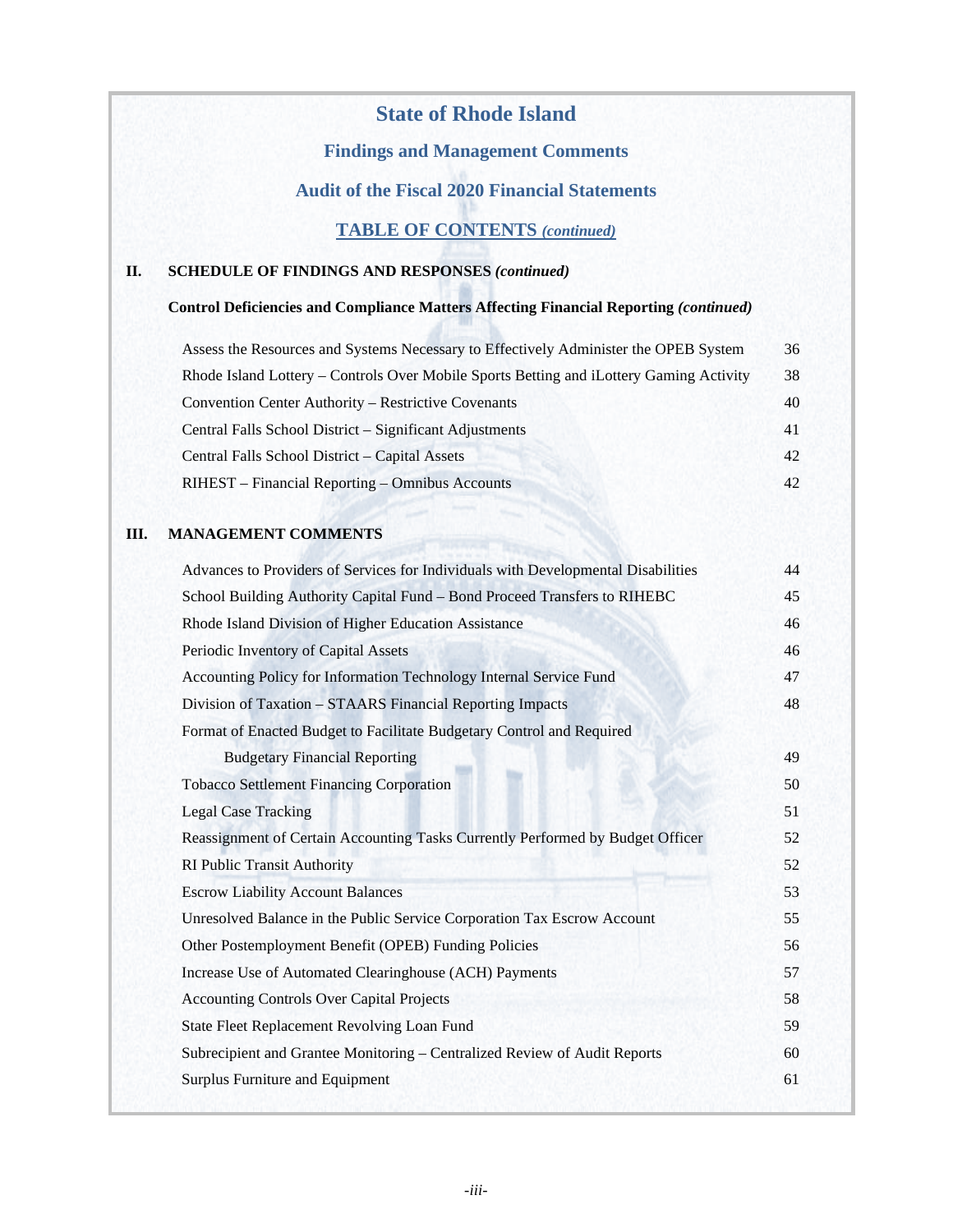# **State of Rhode Island**

# **Findings and Management Comments**

# **Audit of the Fiscal 2020 Financial Statements**

# **TABLE OF CONTENTS** *(continued)*

# **II. SCHEDULE OF FINDINGS AND RESPONSES** *(continued)*

# **Control Deficiencies and Compliance Matters Affecting Financial Reporting** *(continued)*

| Assess the Resources and Systems Necessary to Effectively Administer the OPEB System    | 36 |
|-----------------------------------------------------------------------------------------|----|
| Rhode Island Lottery – Controls Over Mobile Sports Betting and iLottery Gaming Activity | 38 |
| <b>Convention Center Authority – Restrictive Covenants</b>                              | 40 |
| Central Falls School District – Significant Adjustments                                 | 41 |
| Central Falls School District - Capital Assets                                          | 42 |
| RIHEST – Financial Reporting – Omnibus Accounts                                         | 42 |

# **III. MANAGEMENT COMMENTS**

| Advances to Providers of Services for Individuals with Developmental Disabilities | 44 |
|-----------------------------------------------------------------------------------|----|
| School Building Authority Capital Fund - Bond Proceed Transfers to RIHEBC         | 45 |
| Rhode Island Division of Higher Education Assistance                              | 46 |
| Periodic Inventory of Capital Assets                                              | 46 |
| Accounting Policy for Information Technology Internal Service Fund                | 47 |
| Division of Taxation – STAARS Financial Reporting Impacts                         | 48 |
| Format of Enacted Budget to Facilitate Budgetary Control and Required             |    |
| <b>Budgetary Financial Reporting</b>                                              | 49 |
| <b>Tobacco Settlement Financing Corporation</b>                                   | 50 |
| <b>Legal Case Tracking</b>                                                        | 51 |
| Reassignment of Certain Accounting Tasks Currently Performed by Budget Officer    | 52 |
| <b>RI Public Transit Authority</b>                                                | 52 |
| <b>Escrow Liability Account Balances</b>                                          | 53 |
| Unresolved Balance in the Public Service Corporation Tax Escrow Account           | 55 |
| Other Postemployment Benefit (OPEB) Funding Policies                              | 56 |
| Increase Use of Automated Clearinghouse (ACH) Payments                            | 57 |
| <b>Accounting Controls Over Capital Projects</b>                                  | 58 |
| State Fleet Replacement Revolving Loan Fund                                       | 59 |
| Subrecipient and Grantee Monitoring - Centralized Review of Audit Reports         | 60 |
| Surplus Furniture and Equipment                                                   | 61 |
|                                                                                   |    |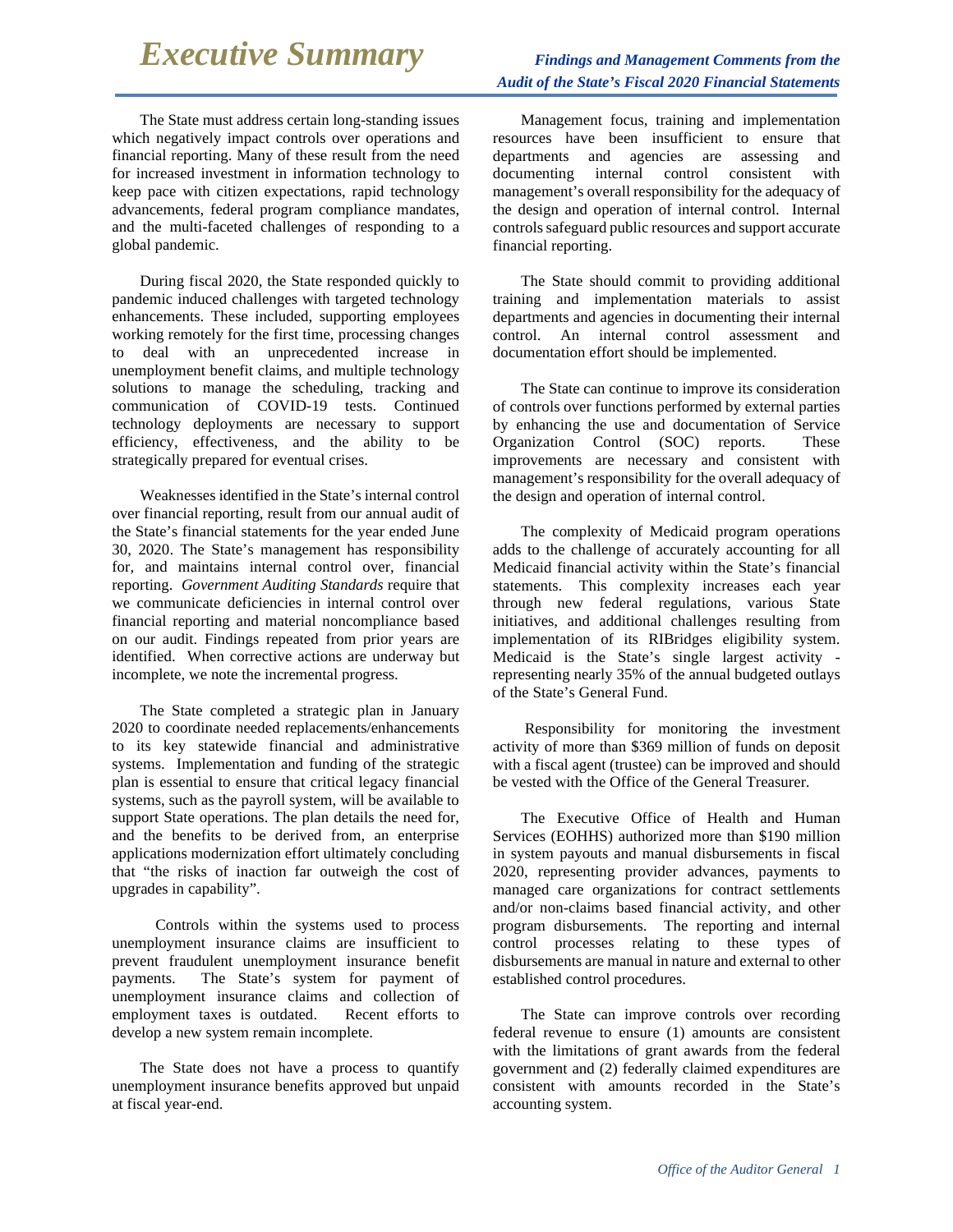# *Executive Summary* Findings and Management Comments from the

The State must address certain long-standing issues which negatively impact controls over operations and financial reporting. Many of these result from the need for increased investment in information technology to keep pace with citizen expectations, rapid technology advancements, federal program compliance mandates, and the multi-faceted challenges of responding to a global pandemic.

During fiscal 2020, the State responded quickly to pandemic induced challenges with targeted technology enhancements. These included, supporting employees working remotely for the first time, processing changes to deal with an unprecedented increase in unemployment benefit claims, and multiple technology solutions to manage the scheduling, tracking and communication of COVID-19 tests. Continued technology deployments are necessary to support efficiency, effectiveness, and the ability to be strategically prepared for eventual crises.

Weaknesses identified in the State's internal control over financial reporting, result from our annual audit of the State's financial statements for the year ended June 30, 2020. The State's management has responsibility for, and maintains internal control over, financial reporting. *Government Auditing Standards* require that we communicate deficiencies in internal control over financial reporting and material noncompliance based on our audit. Findings repeated from prior years are identified. When corrective actions are underway but incomplete, we note the incremental progress.

The State completed a strategic plan in January 2020 to coordinate needed replacements/enhancements to its key statewide financial and administrative systems. Implementation and funding of the strategic plan is essential to ensure that critical legacy financial systems, such as the payroll system, will be available to support State operations. The plan details the need for, and the benefits to be derived from, an enterprise applications modernization effort ultimately concluding that "the risks of inaction far outweigh the cost of upgrades in capability".

 Controls within the systems used to process unemployment insurance claims are insufficient to prevent fraudulent unemployment insurance benefit payments. The State's system for payment of unemployment insurance claims and collection of employment taxes is outdated. Recent efforts to develop a new system remain incomplete.

The State does not have a process to quantify unemployment insurance benefits approved but unpaid at fiscal year-end.

Management focus, training and implementation resources have been insufficient to ensure that departments and agencies are assessing and documenting internal control consistent with management's overall responsibility for the adequacy of the design and operation of internal control. Internal controls safeguard public resources and support accurate financial reporting.

The State should commit to providing additional training and implementation materials to assist departments and agencies in documenting their internal control. An internal control assessment and documentation effort should be implemented.

The State can continue to improve its consideration of controls over functions performed by external parties by enhancing the use and documentation of Service Organization Control (SOC) reports. These improvements are necessary and consistent with management's responsibility for the overall adequacy of the design and operation of internal control.

The complexity of Medicaid program operations adds to the challenge of accurately accounting for all Medicaid financial activity within the State's financial statements. This complexity increases each year through new federal regulations, various State initiatives, and additional challenges resulting from implementation of its RIBridges eligibility system. Medicaid is the State's single largest activity representing nearly 35% of the annual budgeted outlays of the State's General Fund.

Responsibility for monitoring the investment activity of more than \$369 million of funds on deposit with a fiscal agent (trustee) can be improved and should be vested with the Office of the General Treasurer.

The Executive Office of Health and Human Services (EOHHS) authorized more than \$190 million in system payouts and manual disbursements in fiscal 2020, representing provider advances, payments to managed care organizations for contract settlements and/or non-claims based financial activity, and other program disbursements. The reporting and internal control processes relating to these types of disbursements are manual in nature and external to other established control procedures.

The State can improve controls over recording federal revenue to ensure (1) amounts are consistent with the limitations of grant awards from the federal government and (2) federally claimed expenditures are consistent with amounts recorded in the State's accounting system.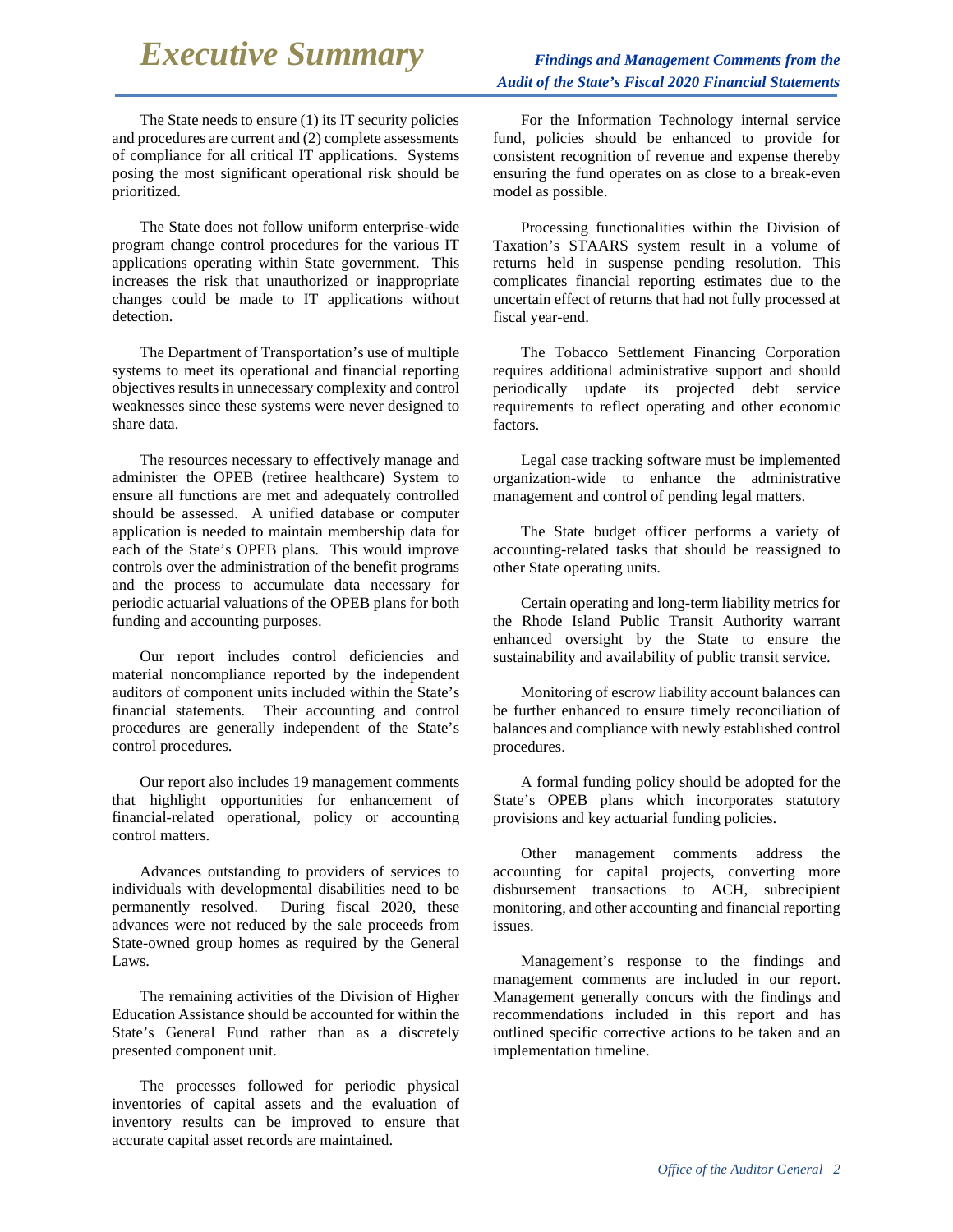# *Executive Summary* Findings and Management Comments from the

The State needs to ensure (1) its IT security policies and procedures are current and (2) complete assessments of compliance for all critical IT applications. Systems posing the most significant operational risk should be prioritized.

The State does not follow uniform enterprise-wide program change control procedures for the various IT applications operating within State government. This increases the risk that unauthorized or inappropriate changes could be made to IT applications without detection.

The Department of Transportation's use of multiple systems to meet its operational and financial reporting objectives results in unnecessary complexity and control weaknesses since these systems were never designed to share data.

The resources necessary to effectively manage and administer the OPEB (retiree healthcare) System to ensure all functions are met and adequately controlled should be assessed. A unified database or computer application is needed to maintain membership data for each of the State's OPEB plans. This would improve controls over the administration of the benefit programs and the process to accumulate data necessary for periodic actuarial valuations of the OPEB plans for both funding and accounting purposes.

Our report includes control deficiencies and material noncompliance reported by the independent auditors of component units included within the State's financial statements. Their accounting and control procedures are generally independent of the State's control procedures.

Our report also includes 19 management comments that highlight opportunities for enhancement of financial-related operational, policy or accounting control matters.

Advances outstanding to providers of services to individuals with developmental disabilities need to be permanently resolved. During fiscal 2020, these advances were not reduced by the sale proceeds from State-owned group homes as required by the General Laws.

The remaining activities of the Division of Higher Education Assistance should be accounted for within the State's General Fund rather than as a discretely presented component unit.

The processes followed for periodic physical inventories of capital assets and the evaluation of inventory results can be improved to ensure that accurate capital asset records are maintained.

For the Information Technology internal service fund, policies should be enhanced to provide for consistent recognition of revenue and expense thereby ensuring the fund operates on as close to a break-even model as possible.

Processing functionalities within the Division of Taxation's STAARS system result in a volume of returns held in suspense pending resolution. This complicates financial reporting estimates due to the uncertain effect of returns that had not fully processed at fiscal year-end.

The Tobacco Settlement Financing Corporation requires additional administrative support and should periodically update its projected debt service requirements to reflect operating and other economic factors.

Legal case tracking software must be implemented organization-wide to enhance the administrative management and control of pending legal matters.

The State budget officer performs a variety of accounting-related tasks that should be reassigned to other State operating units.

Certain operating and long-term liability metrics for the Rhode Island Public Transit Authority warrant enhanced oversight by the State to ensure the sustainability and availability of public transit service.

Monitoring of escrow liability account balances can be further enhanced to ensure timely reconciliation of balances and compliance with newly established control procedures.

A formal funding policy should be adopted for the State's OPEB plans which incorporates statutory provisions and key actuarial funding policies.

Other management comments address the accounting for capital projects, converting more disbursement transactions to ACH, subrecipient monitoring, and other accounting and financial reporting issues.

Management's response to the findings and management comments are included in our report. Management generally concurs with the findings and recommendations included in this report and has outlined specific corrective actions to be taken and an implementation timeline.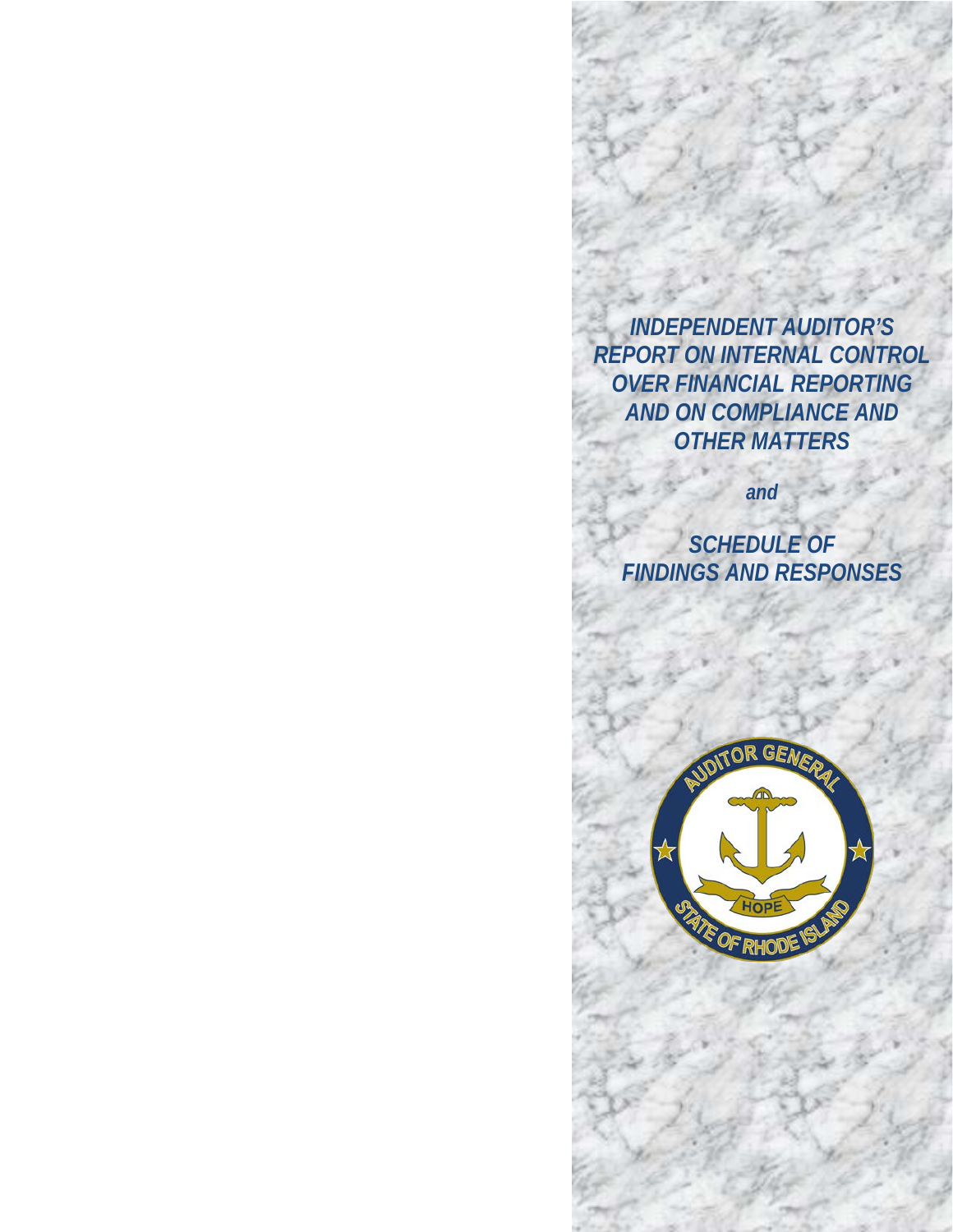*INDEPENDENT AUDITOR'S REPORT ON INTERNAL CONTROL OVER FINANCIAL REPORTING AND ON COMPLIANCE AND OTHER MATTERS*

*and*

*SCHEDULE OF FINDINGS AND RESPONSES*

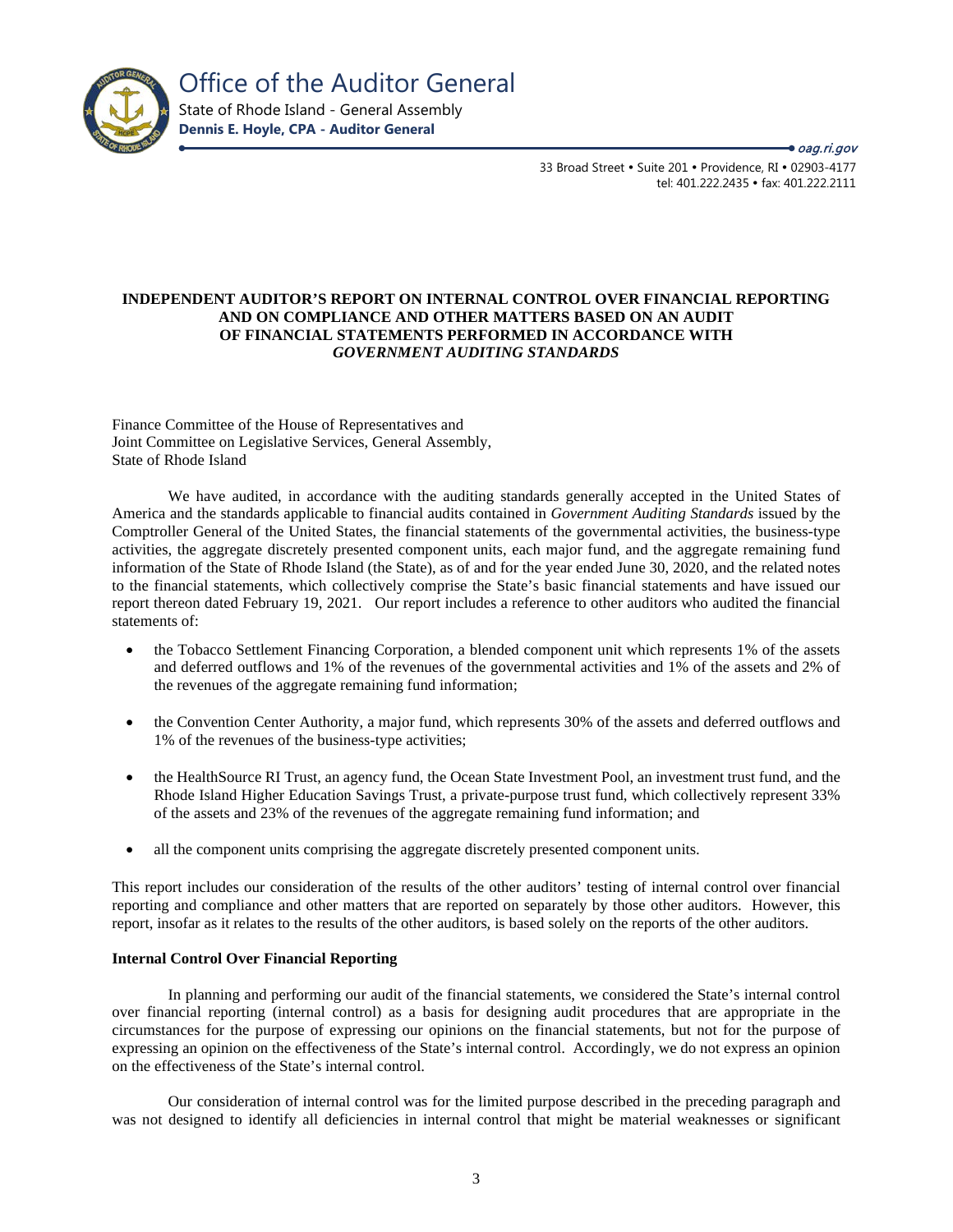

oag.ri.gov

33 Broad Street • Suite 201 • Providence, RI • 02903-4177 tel: 401.222.2435 · fax: 401.222.2111

# **INDEPENDENT AUDITOR'S REPORT ON INTERNAL CONTROL OVER FINANCIAL REPORTING AND ON COMPLIANCE AND OTHER MATTERS BASED ON AN AUDIT OF FINANCIAL STATEMENTS PERFORMED IN ACCORDANCE WITH**  *GOVERNMENT AUDITING STANDARDS*

Finance Committee of the House of Representatives and Joint Committee on Legislative Services, General Assembly, State of Rhode Island

We have audited, in accordance with the auditing standards generally accepted in the United States of America and the standards applicable to financial audits contained in *Government Auditing Standards* issued by the Comptroller General of the United States, the financial statements of the governmental activities, the business-type activities, the aggregate discretely presented component units, each major fund, and the aggregate remaining fund information of the State of Rhode Island (the State), as of and for the year ended June 30, 2020, and the related notes to the financial statements, which collectively comprise the State's basic financial statements and have issued our report thereon dated February 19, 2021. Our report includes a reference to other auditors who audited the financial statements of:

- the Tobacco Settlement Financing Corporation, a blended component unit which represents 1% of the assets and deferred outflows and 1% of the revenues of the governmental activities and 1% of the assets and 2% of the revenues of the aggregate remaining fund information;
- the Convention Center Authority, a major fund, which represents 30% of the assets and deferred outflows and 1% of the revenues of the business-type activities;
- the HealthSource RI Trust, an agency fund, the Ocean State Investment Pool, an investment trust fund, and the Rhode Island Higher Education Savings Trust, a private-purpose trust fund, which collectively represent 33% of the assets and 23% of the revenues of the aggregate remaining fund information; and
- all the component units comprising the aggregate discretely presented component units.

This report includes our consideration of the results of the other auditors' testing of internal control over financial reporting and compliance and other matters that are reported on separately by those other auditors. However, this report, insofar as it relates to the results of the other auditors, is based solely on the reports of the other auditors.

# **Internal Control Over Financial Reporting**

In planning and performing our audit of the financial statements, we considered the State's internal control over financial reporting (internal control) as a basis for designing audit procedures that are appropriate in the circumstances for the purpose of expressing our opinions on the financial statements, but not for the purpose of expressing an opinion on the effectiveness of the State's internal control. Accordingly, we do not express an opinion on the effectiveness of the State's internal control.

Our consideration of internal control was for the limited purpose described in the preceding paragraph and was not designed to identify all deficiencies in internal control that might be material weaknesses or significant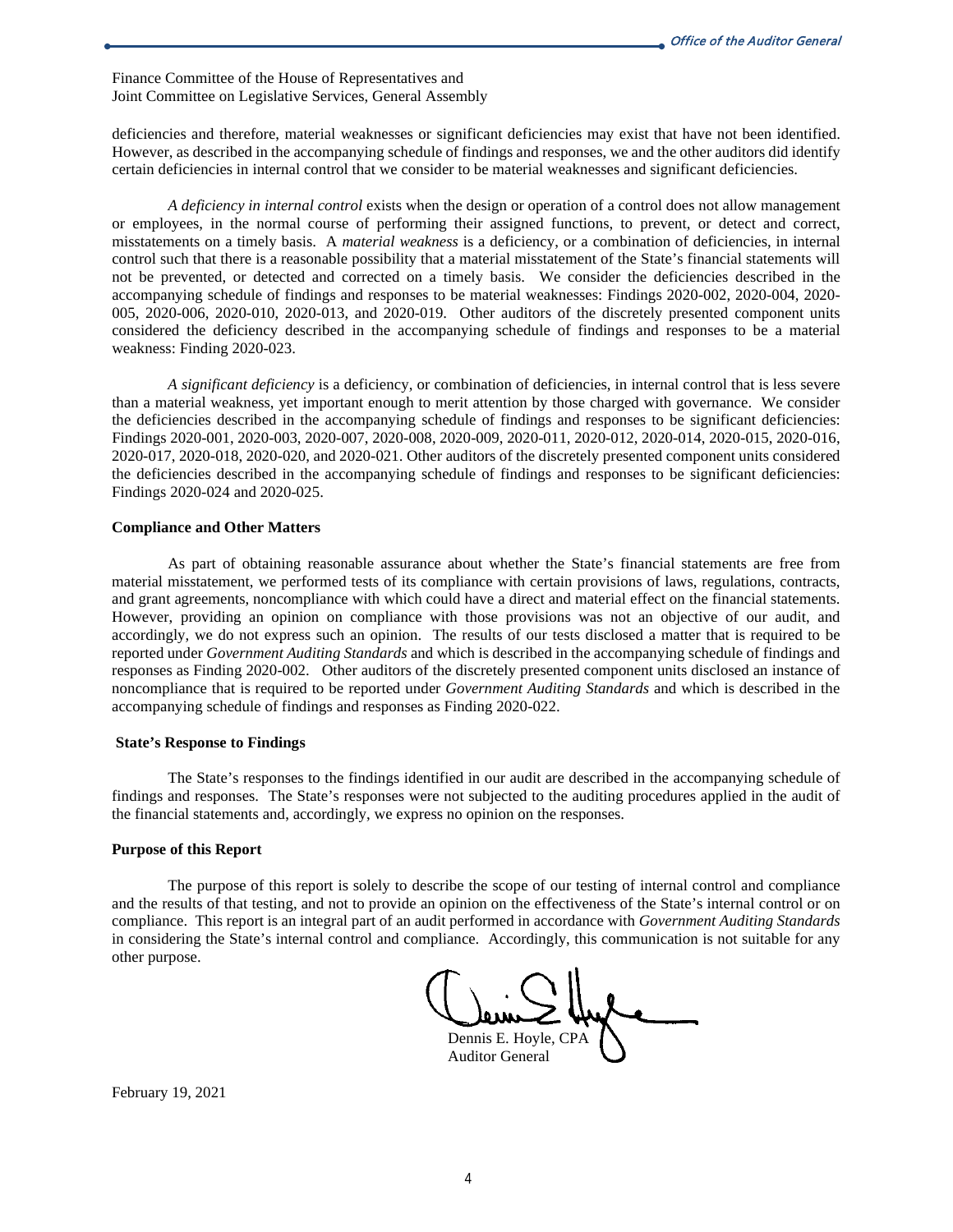Finance Committee of the House of Representatives and Joint Committee on Legislative Services, General Assembly

deficiencies and therefore, material weaknesses or significant deficiencies may exist that have not been identified. However, as described in the accompanying schedule of findings and responses, we and the other auditors did identify certain deficiencies in internal control that we consider to be material weaknesses and significant deficiencies.

*A deficiency in internal control* exists when the design or operation of a control does not allow management or employees, in the normal course of performing their assigned functions, to prevent, or detect and correct, misstatements on a timely basis. A *material weakness* is a deficiency, or a combination of deficiencies, in internal control such that there is a reasonable possibility that a material misstatement of the State's financial statements will not be prevented, or detected and corrected on a timely basis. We consider the deficiencies described in the accompanying schedule of findings and responses to be material weaknesses: Findings 2020-002, 2020-004, 2020- 005, 2020-006, 2020-010, 2020-013, and 2020-019. Other auditors of the discretely presented component units considered the deficiency described in the accompanying schedule of findings and responses to be a material weakness: Finding 2020-023.

*A significant deficiency* is a deficiency, or combination of deficiencies, in internal control that is less severe than a material weakness, yet important enough to merit attention by those charged with governance. We consider the deficiencies described in the accompanying schedule of findings and responses to be significant deficiencies: Findings 2020-001, 2020-003, 2020-007, 2020-008, 2020-009, 2020-011, 2020-012, 2020-014, 2020-015, 2020-016, 2020-017, 2020-018, 2020-020, and 2020-021. Other auditors of the discretely presented component units considered the deficiencies described in the accompanying schedule of findings and responses to be significant deficiencies: Findings 2020-024 and 2020-025.

# **Compliance and Other Matters**

As part of obtaining reasonable assurance about whether the State's financial statements are free from material misstatement, we performed tests of its compliance with certain provisions of laws, regulations, contracts, and grant agreements, noncompliance with which could have a direct and material effect on the financial statements. However, providing an opinion on compliance with those provisions was not an objective of our audit, and accordingly, we do not express such an opinion. The results of our tests disclosed a matter that is required to be reported under *Government Auditing Standards* and which is described in the accompanying schedule of findings and responses as Finding 2020-002. Other auditors of the discretely presented component units disclosed an instance of noncompliance that is required to be reported under *Government Auditing Standards* and which is described in the accompanying schedule of findings and responses as Finding 2020-022.

# **State's Response to Findings**

The State's responses to the findings identified in our audit are described in the accompanying schedule of findings and responses. The State's responses were not subjected to the auditing procedures applied in the audit of the financial statements and, accordingly, we express no opinion on the responses.

# **Purpose of this Report**

The purpose of this report is solely to describe the scope of our testing of internal control and compliance and the results of that testing, and not to provide an opinion on the effectiveness of the State's internal control or on compliance. This report is an integral part of an audit performed in accordance with *Government Auditing Standards* in considering the State's internal control and compliance. Accordingly, this communication is not suitable for any other purpose.

Dennis E. Hoyle, CPA Auditor General

February 19, 2021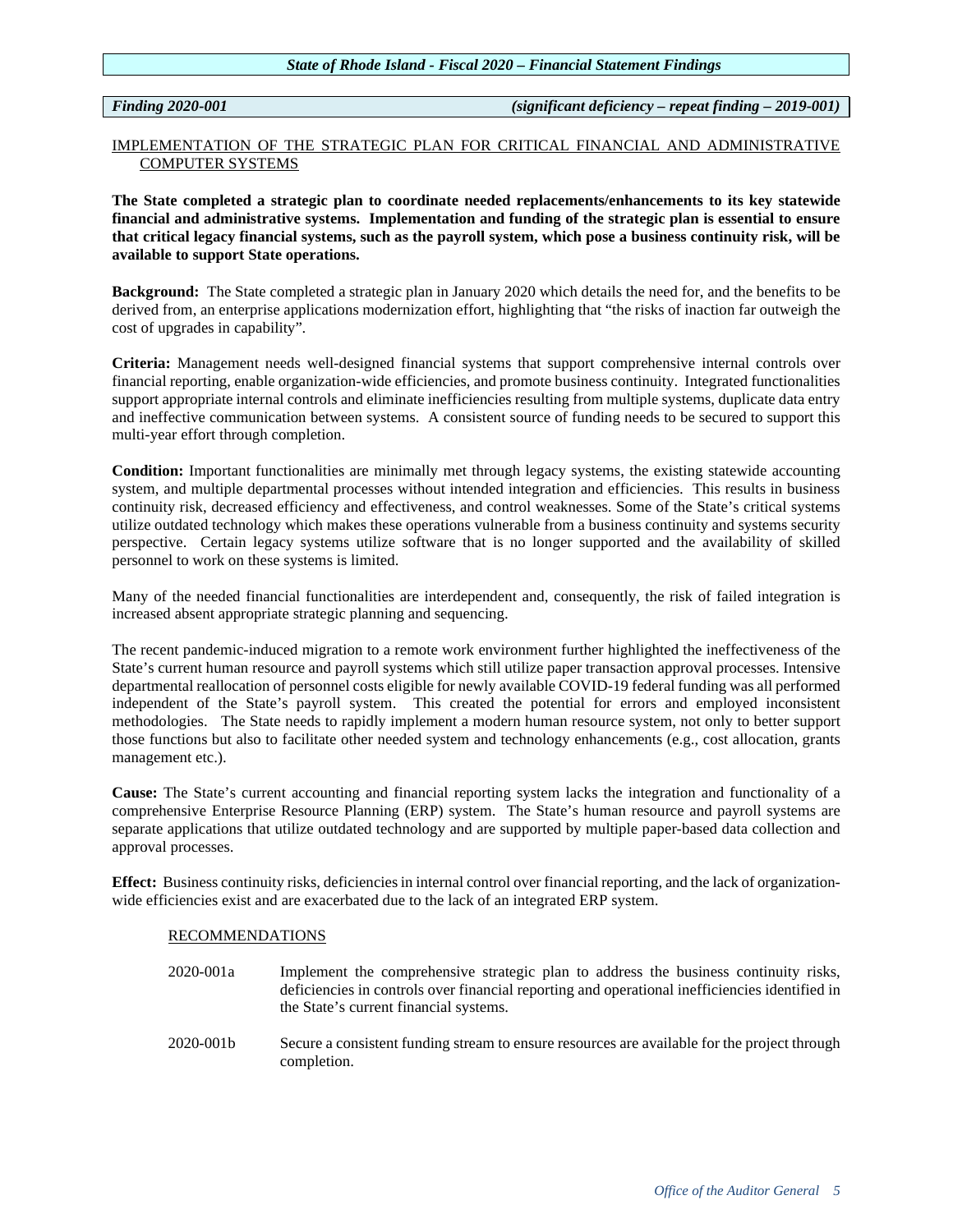*Finding 2020-001 (significant deficiency – repeat finding – 2019-001)*

# IMPLEMENTATION OF THE STRATEGIC PLAN FOR CRITICAL FINANCIAL AND ADMINISTRATIVE COMPUTER SYSTEMS

**The State completed a strategic plan to coordinate needed replacements/enhancements to its key statewide financial and administrative systems. Implementation and funding of the strategic plan is essential to ensure that critical legacy financial systems, such as the payroll system, which pose a business continuity risk, will be available to support State operations.** 

**Background:** The State completed a strategic plan in January 2020 which details the need for, and the benefits to be derived from, an enterprise applications modernization effort, highlighting that "the risks of inaction far outweigh the cost of upgrades in capability".

**Criteria:** Management needs well-designed financial systems that support comprehensive internal controls over financial reporting, enable organization-wide efficiencies, and promote business continuity. Integrated functionalities support appropriate internal controls and eliminate inefficiencies resulting from multiple systems, duplicate data entry and ineffective communication between systems. A consistent source of funding needs to be secured to support this multi-year effort through completion.

**Condition:** Important functionalities are minimally met through legacy systems, the existing statewide accounting system, and multiple departmental processes without intended integration and efficiencies. This results in business continuity risk, decreased efficiency and effectiveness, and control weaknesses. Some of the State's critical systems utilize outdated technology which makes these operations vulnerable from a business continuity and systems security perspective. Certain legacy systems utilize software that is no longer supported and the availability of skilled personnel to work on these systems is limited.

Many of the needed financial functionalities are interdependent and, consequently, the risk of failed integration is increased absent appropriate strategic planning and sequencing.

The recent pandemic-induced migration to a remote work environment further highlighted the ineffectiveness of the State's current human resource and payroll systems which still utilize paper transaction approval processes. Intensive departmental reallocation of personnel costs eligible for newly available COVID-19 federal funding was all performed independent of the State's payroll system. This created the potential for errors and employed inconsistent methodologies. The State needs to rapidly implement a modern human resource system, not only to better support those functions but also to facilitate other needed system and technology enhancements (e.g., cost allocation, grants management etc.).

**Cause:** The State's current accounting and financial reporting system lacks the integration and functionality of a comprehensive Enterprise Resource Planning (ERP) system. The State's human resource and payroll systems are separate applications that utilize outdated technology and are supported by multiple paper-based data collection and approval processes.

**Effect:** Business continuity risks, deficiencies in internal control over financial reporting, and the lack of organizationwide efficiencies exist and are exacerbated due to the lack of an integrated ERP system.

# RECOMMENDATIONS

- 2020-001a Implement the comprehensive strategic plan to address the business continuity risks, deficiencies in controls over financial reporting and operational inefficiencies identified in the State's current financial systems.
- 2020-001b Secure a consistent funding stream to ensure resources are available for the project through completion.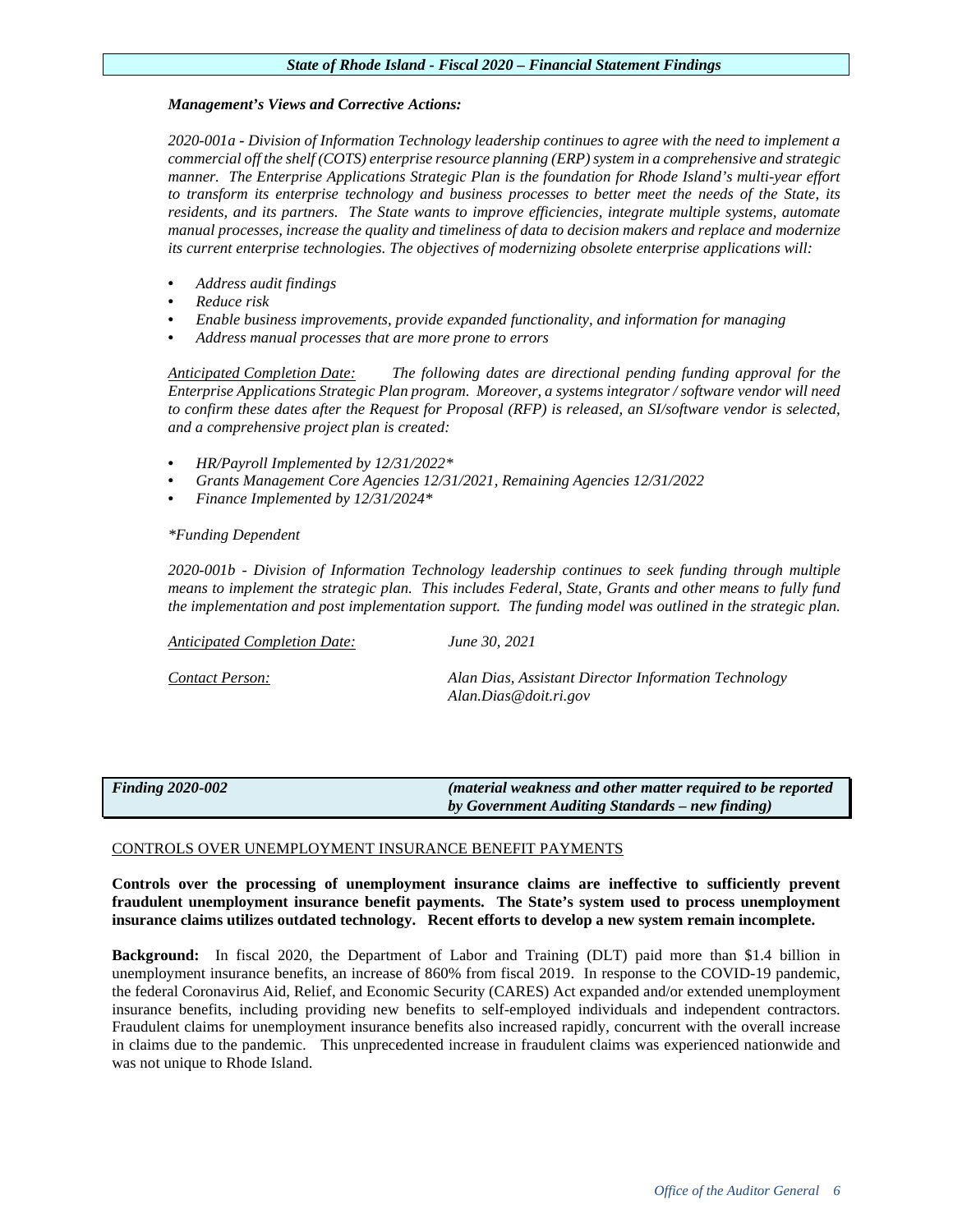# *Management's Views and Corrective Actions:*

*2020-001a - Division of Information Technology leadership continues to agree with the need to implement a commercial off the shelf (COTS) enterprise resource planning (ERP) system in a comprehensive and strategic manner. The Enterprise Applications Strategic Plan is the foundation for Rhode Island's multi-year effort to transform its enterprise technology and business processes to better meet the needs of the State, its residents, and its partners. The State wants to improve efficiencies, integrate multiple systems, automate manual processes, increase the quality and timeliness of data to decision makers and replace and modernize its current enterprise technologies. The objectives of modernizing obsolete enterprise applications will:*

- *Address audit findings*
- *Reduce risk*
- *Enable business improvements, provide expanded functionality, and information for managing*
- *Address manual processes that are more prone to errors*

*Anticipated Completion Date: The following dates are directional pending funding approval for the Enterprise Applications Strategic Plan program. Moreover, a systems integrator / software vendor will need to confirm these dates after the Request for Proposal (RFP) is released, an SI/software vendor is selected, and a comprehensive project plan is created:*

- *HR/Payroll Implemented by 12/31/2022\**
- *Grants Management Core Agencies 12/31/2021, Remaining Agencies 12/31/2022*
- *Finance Implemented by 12/31/2024\**

# *\*Funding Dependent*

*2020-001b - Division of Information Technology leadership continues to seek funding through multiple means to implement the strategic plan. This includes Federal, State, Grants and other means to fully fund the implementation and post implementation support. The funding model was outlined in the strategic plan.* 

*Anticipated Completion Date: June 30, 2021*

*Contact Person: Alan Dias, Assistant Director Information Technology Alan.Dias@doit.ri.gov*

# *Finding 2020-002 (material weakness and other matter required to be reported by Government Auditing Standards – new finding)*

# CONTROLS OVER UNEMPLOYMENT INSURANCE BENEFIT PAYMENTS

# **Controls over the processing of unemployment insurance claims are ineffective to sufficiently prevent fraudulent unemployment insurance benefit payments. The State's system used to process unemployment insurance claims utilizes outdated technology. Recent efforts to develop a new system remain incomplete.**

**Background:** In fiscal 2020, the Department of Labor and Training (DLT) paid more than \$1.4 billion in unemployment insurance benefits, an increase of 860% from fiscal 2019. In response to the COVID-19 pandemic, the federal Coronavirus Aid, Relief, and Economic Security (CARES) Act expanded and/or extended unemployment insurance benefits, including providing new benefits to self-employed individuals and independent contractors. Fraudulent claims for unemployment insurance benefits also increased rapidly, concurrent with the overall increase in claims due to the pandemic. This unprecedented increase in fraudulent claims was experienced nationwide and was not unique to Rhode Island.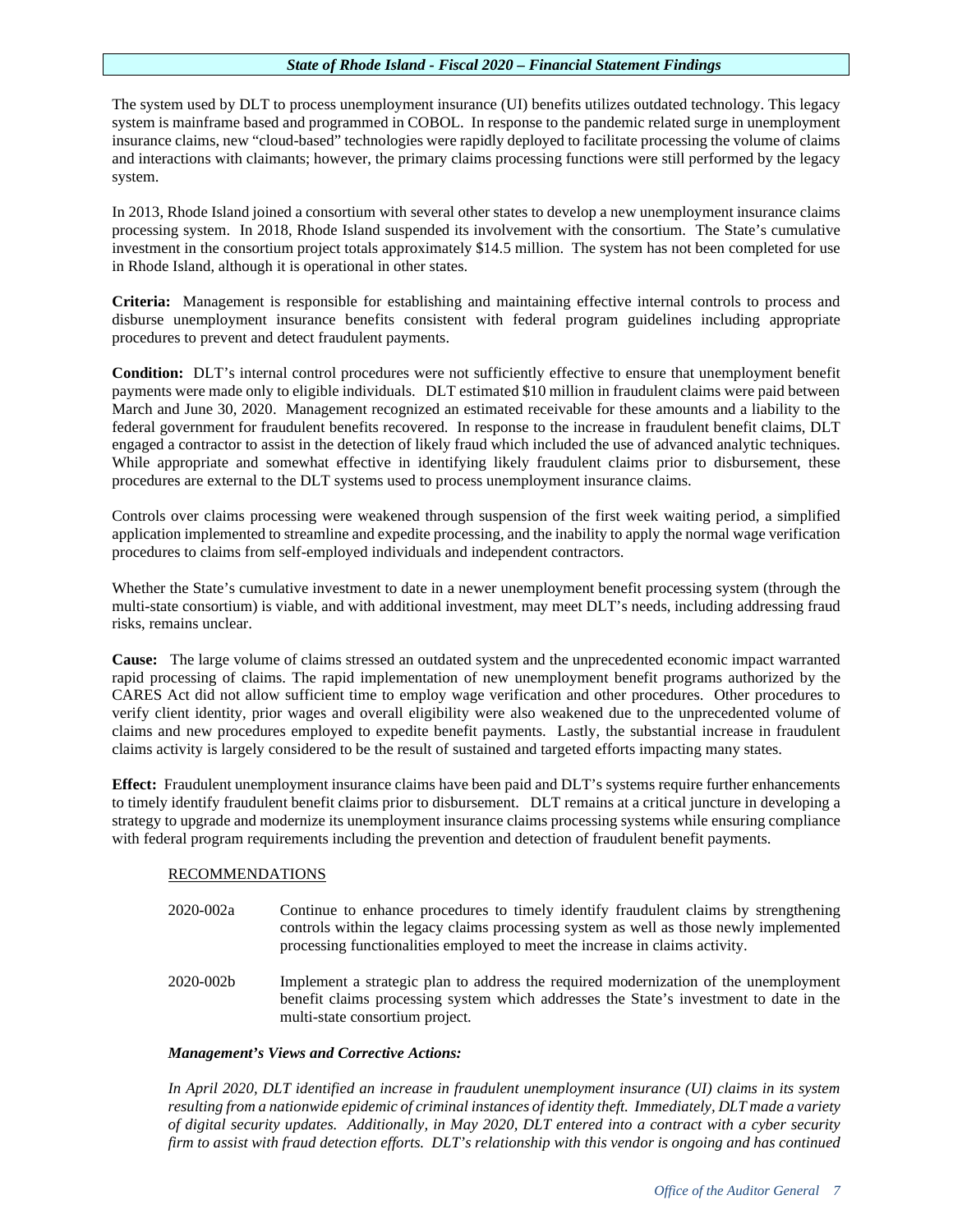The system used by DLT to process unemployment insurance (UI) benefits utilizes outdated technology. This legacy system is mainframe based and programmed in COBOL. In response to the pandemic related surge in unemployment insurance claims, new "cloud-based" technologies were rapidly deployed to facilitate processing the volume of claims and interactions with claimants; however, the primary claims processing functions were still performed by the legacy system.

In 2013, Rhode Island joined a consortium with several other states to develop a new unemployment insurance claims processing system. In 2018, Rhode Island suspended its involvement with the consortium. The State's cumulative investment in the consortium project totals approximately \$14.5 million. The system has not been completed for use in Rhode Island, although it is operational in other states.

**Criteria:** Management is responsible for establishing and maintaining effective internal controls to process and disburse unemployment insurance benefits consistent with federal program guidelines including appropriate procedures to prevent and detect fraudulent payments.

**Condition:** DLT's internal control procedures were not sufficiently effective to ensure that unemployment benefit payments were made only to eligible individuals. DLT estimated \$10 million in fraudulent claims were paid between March and June 30, 2020. Management recognized an estimated receivable for these amounts and a liability to the federal government for fraudulent benefits recovered. In response to the increase in fraudulent benefit claims, DLT engaged a contractor to assist in the detection of likely fraud which included the use of advanced analytic techniques. While appropriate and somewhat effective in identifying likely fraudulent claims prior to disbursement, these procedures are external to the DLT systems used to process unemployment insurance claims.

Controls over claims processing were weakened through suspension of the first week waiting period, a simplified application implemented to streamline and expedite processing, and the inability to apply the normal wage verification procedures to claims from self-employed individuals and independent contractors.

Whether the State's cumulative investment to date in a newer unemployment benefit processing system (through the multi-state consortium) is viable, and with additional investment, may meet DLT's needs, including addressing fraud risks, remains unclear.

**Cause:** The large volume of claims stressed an outdated system and the unprecedented economic impact warranted rapid processing of claims. The rapid implementation of new unemployment benefit programs authorized by the CARES Act did not allow sufficient time to employ wage verification and other procedures. Other procedures to verify client identity, prior wages and overall eligibility were also weakened due to the unprecedented volume of claims and new procedures employed to expedite benefit payments. Lastly, the substantial increase in fraudulent claims activity is largely considered to be the result of sustained and targeted efforts impacting many states.

**Effect:** Fraudulent unemployment insurance claims have been paid and DLT's systems require further enhancements to timely identify fraudulent benefit claims prior to disbursement. DLT remains at a critical juncture in developing a strategy to upgrade and modernize its unemployment insurance claims processing systems while ensuring compliance with federal program requirements including the prevention and detection of fraudulent benefit payments.

# RECOMMENDATIONS

- 2020-002a Continue to enhance procedures to timely identify fraudulent claims by strengthening controls within the legacy claims processing system as well as those newly implemented processing functionalities employed to meet the increase in claims activity.
- 2020-002b Implement a strategic plan to address the required modernization of the unemployment benefit claims processing system which addresses the State's investment to date in the multi-state consortium project.

# *Management's Views and Corrective Actions:*

*In April 2020, DLT identified an increase in fraudulent unemployment insurance (UI) claims in its system resulting from a nationwide epidemic of criminal instances of identity theft. Immediately, DLT made a variety of digital security updates. Additionally, in May 2020, DLT entered into a contract with a cyber security firm to assist with fraud detection efforts. DLT's relationship with this vendor is ongoing and has continued*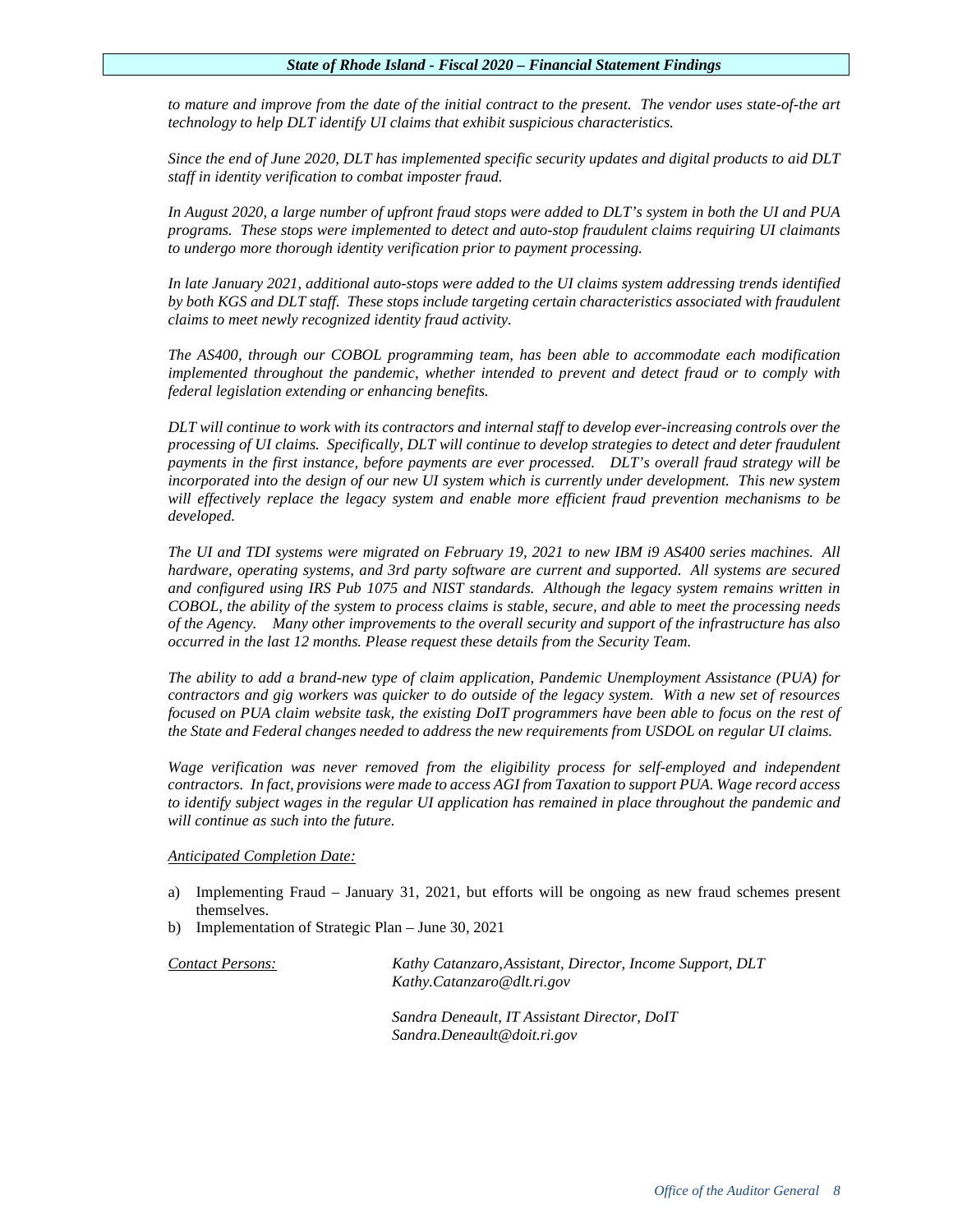*to mature and improve from the date of the initial contract to the present. The vendor uses state-of-the art technology to help DLT identify UI claims that exhibit suspicious characteristics.* 

*Since the end of June 2020, DLT has implemented specific security updates and digital products to aid DLT staff in identity verification to combat imposter fraud.* 

*In August 2020, a large number of upfront fraud stops were added to DLT's system in both the UI and PUA programs. These stops were implemented to detect and auto-stop fraudulent claims requiring UI claimants to undergo more thorough identity verification prior to payment processing.* 

*In late January 2021, additional auto-stops were added to the UI claims system addressing trends identified by both KGS and DLT staff. These stops include targeting certain characteristics associated with fraudulent claims to meet newly recognized identity fraud activity.* 

*The AS400, through our COBOL programming team, has been able to accommodate each modification implemented throughout the pandemic, whether intended to prevent and detect fraud or to comply with federal legislation extending or enhancing benefits.* 

*DLT will continue to work with its contractors and internal staff to develop ever-increasing controls over the processing of UI claims. Specifically, DLT will continue to develop strategies to detect and deter fraudulent payments in the first instance, before payments are ever processed. DLT's overall fraud strategy will be incorporated into the design of our new UI system which is currently under development. This new system will effectively replace the legacy system and enable more efficient fraud prevention mechanisms to be developed.* 

*The UI and TDI systems were migrated on February 19, 2021 to new IBM i9 AS400 series machines. All hardware, operating systems, and 3rd party software are current and supported. All systems are secured and configured using IRS Pub 1075 and NIST standards. Although the legacy system remains written in COBOL, the ability of the system to process claims is stable, secure, and able to meet the processing needs of the Agency. Many other improvements to the overall security and support of the infrastructure has also occurred in the last 12 months. Please request these details from the Security Team.* 

*The ability to add a brand-new type of claim application, Pandemic Unemployment Assistance (PUA) for contractors and gig workers was quicker to do outside of the legacy system. With a new set of resources focused on PUA claim website task, the existing DoIT programmers have been able to focus on the rest of the State and Federal changes needed to address the new requirements from USDOL on regular UI claims.* 

*Wage verification was never removed from the eligibility process for self-employed and independent contractors. In fact, provisions were made to access AGI from Taxation to support PUA. Wage record access to identify subject wages in the regular UI application has remained in place throughout the pandemic and will continue as such into the future.* 

# *Anticipated Completion Date:*

- a) Implementing Fraud January 31, 2021, but efforts will be ongoing as new fraud schemes present themselves.
- b) Implementation of Strategic Plan June 30, 2021

*Contact Persons: Kathy Catanzaro,Assistant, Director, Income Support, DLT [Kathy.Catanzaro@dlt.ri.gov](mailto:Kathy.Catanzaro@dlt.ri.gov)*

> *Sandra Deneault, IT Assistant Director, DoIT [Sandra.Deneault@doit.ri.gov](mailto:Sandra.Deneault@doit.ri.gov)*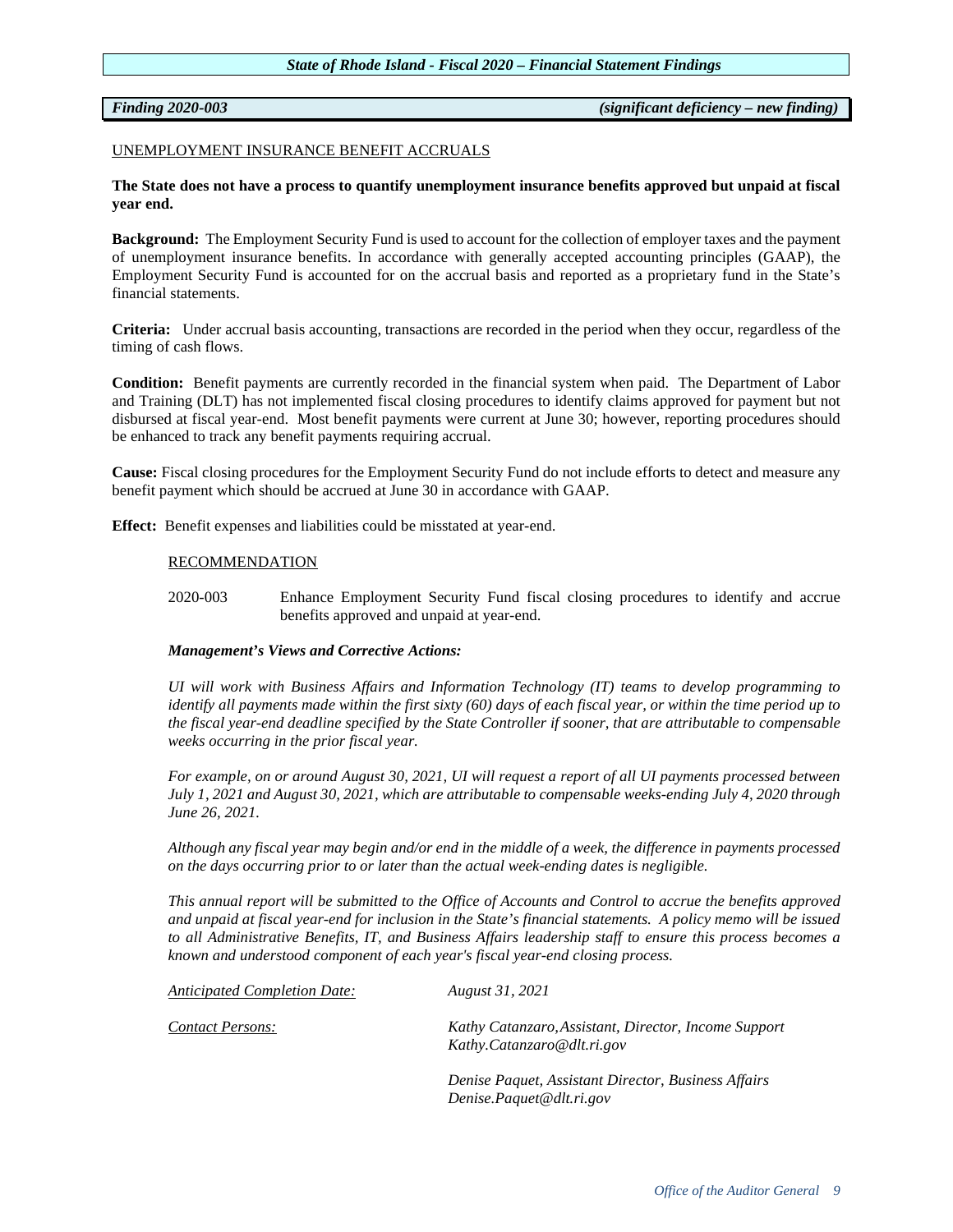*Finding 2020-003 (significant deficiency – new finding)* 

### UNEMPLOYMENT INSURANCE BENEFIT ACCRUALS

# **The State does not have a process to quantify unemployment insurance benefits approved but unpaid at fiscal year end.**

**Background:** The Employment Security Fund is used to account for the collection of employer taxes and the payment of unemployment insurance benefits. In accordance with generally accepted accounting principles (GAAP), the Employment Security Fund is accounted for on the accrual basis and reported as a proprietary fund in the State's financial statements.

**Criteria:** Under accrual basis accounting, transactions are recorded in the period when they occur, regardless of the timing of cash flows.

**Condition:** Benefit payments are currently recorded in the financial system when paid. The Department of Labor and Training (DLT) has not implemented fiscal closing procedures to identify claims approved for payment but not disbursed at fiscal year-end. Most benefit payments were current at June 30; however, reporting procedures should be enhanced to track any benefit payments requiring accrual.

**Cause:** Fiscal closing procedures for the Employment Security Fund do not include efforts to detect and measure any benefit payment which should be accrued at June 30 in accordance with GAAP.

**Effect:** Benefit expenses and liabilities could be misstated at year-end.

# RECOMMENDATION

2020-003 Enhance Employment Security Fund fiscal closing procedures to identify and accrue benefits approved and unpaid at year-end.

# *Management's Views and Corrective Actions:*

*UI will work with Business Affairs and Information Technology (IT) teams to develop programming to identify all payments made within the first sixty (60) days of each fiscal year, or within the time period up to the fiscal year-end deadline specified by the State Controller if sooner, that are attributable to compensable weeks occurring in the prior fiscal year.* 

*For example, on or around August 30, 2021, UI will request a report of all UI payments processed between July 1, 2021 and August 30, 2021, which are attributable to compensable weeks-ending July 4, 2020 through June 26, 2021.* 

*Although any fiscal year may begin and/or end in the middle of a week, the difference in payments processed on the days occurring prior to or later than the actual week-ending dates is negligible.*

*This annual report will be submitted to the Office of Accounts and Control to accrue the benefits approved and unpaid at fiscal year-end for inclusion in the State's financial statements. A policy memo will be issued to all Administrative Benefits, IT, and Business Affairs leadership staff to ensure this process becomes a known and understood component of each year's fiscal year-end closing process.*

| Anticipated Completion Date: | August 31, 2021                                                                    |
|------------------------------|------------------------------------------------------------------------------------|
| <b>Contact Persons:</b>      | Kathy Catanzaro, Assistant, Director, Income Support<br>Kathy.Catanzaro@dlt.ri.gov |
|                              | Denise Paquet, Assistant Director, Business Affairs<br>Denise.Paquet@dlt.ri.gov    |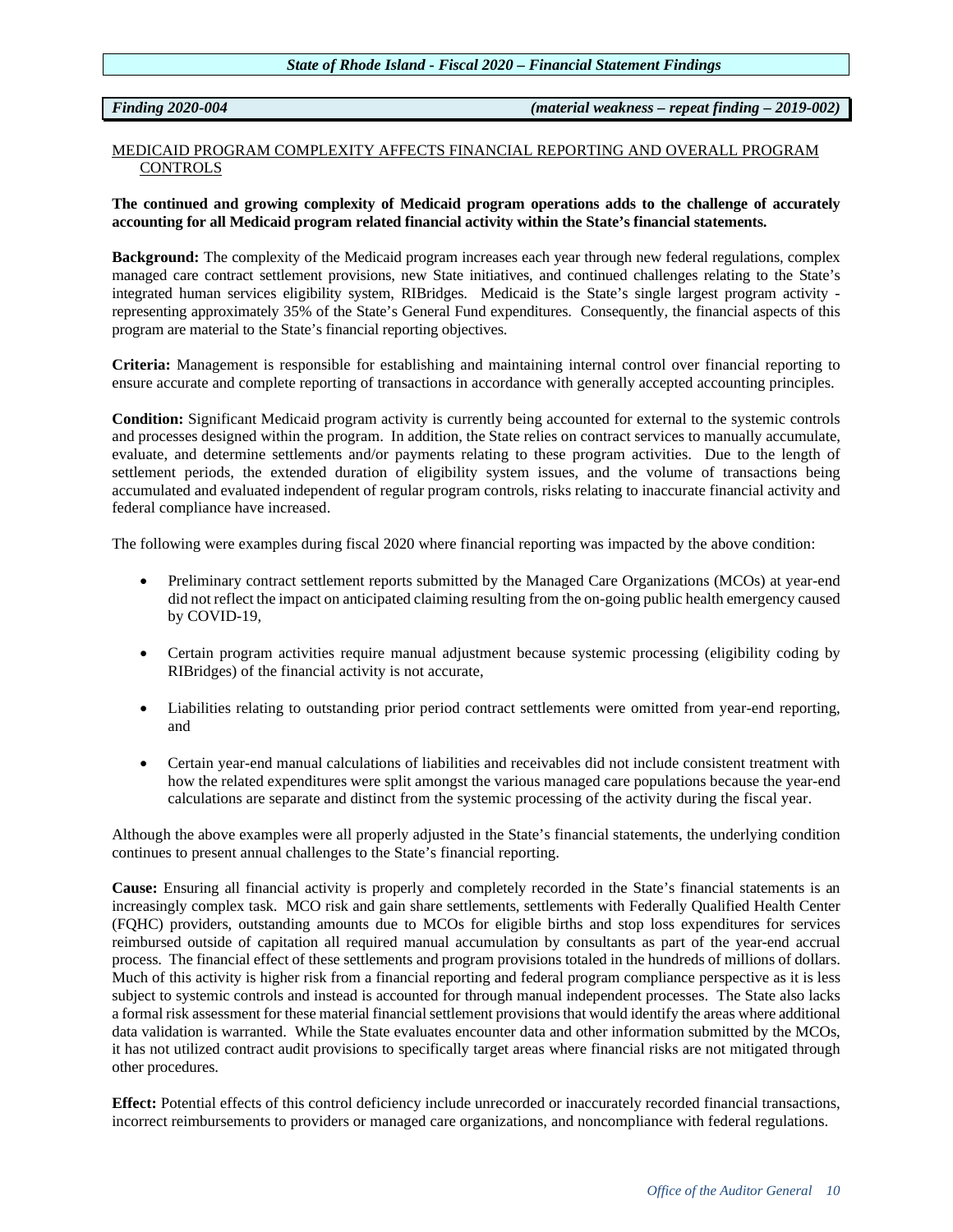*Finding 2020-004 (material weakness – repeat finding – 2019-002)*

# MEDICAID PROGRAM COMPLEXITY AFFECTS FINANCIAL REPORTING AND OVERALL PROGRAM **CONTROLS**

**The continued and growing complexity of Medicaid program operations adds to the challenge of accurately accounting for all Medicaid program related financial activity within the State's financial statements.** 

**Background:** The complexity of the Medicaid program increases each year through new federal regulations, complex managed care contract settlement provisions, new State initiatives, and continued challenges relating to the State's integrated human services eligibility system, RIBridges. Medicaid is the State's single largest program activity representing approximately 35% of the State's General Fund expenditures. Consequently, the financial aspects of this program are material to the State's financial reporting objectives.

**Criteria:** Management is responsible for establishing and maintaining internal control over financial reporting to ensure accurate and complete reporting of transactions in accordance with generally accepted accounting principles.

**Condition:** Significant Medicaid program activity is currently being accounted for external to the systemic controls and processes designed within the program. In addition, the State relies on contract services to manually accumulate, evaluate, and determine settlements and/or payments relating to these program activities. Due to the length of settlement periods, the extended duration of eligibility system issues, and the volume of transactions being accumulated and evaluated independent of regular program controls, risks relating to inaccurate financial activity and federal compliance have increased.

The following were examples during fiscal 2020 where financial reporting was impacted by the above condition:

- Preliminary contract settlement reports submitted by the Managed Care Organizations (MCOs) at year-end did not reflect the impact on anticipated claiming resulting from the on-going public health emergency caused by COVID-19,
- Certain program activities require manual adjustment because systemic processing (eligibility coding by RIBridges) of the financial activity is not accurate,
- Liabilities relating to outstanding prior period contract settlements were omitted from year-end reporting, and
- Certain year-end manual calculations of liabilities and receivables did not include consistent treatment with how the related expenditures were split amongst the various managed care populations because the year-end calculations are separate and distinct from the systemic processing of the activity during the fiscal year.

Although the above examples were all properly adjusted in the State's financial statements, the underlying condition continues to present annual challenges to the State's financial reporting.

**Cause:** Ensuring all financial activity is properly and completely recorded in the State's financial statements is an increasingly complex task. MCO risk and gain share settlements, settlements with Federally Qualified Health Center (FQHC) providers, outstanding amounts due to MCOs for eligible births and stop loss expenditures for services reimbursed outside of capitation all required manual accumulation by consultants as part of the year-end accrual process. The financial effect of these settlements and program provisions totaled in the hundreds of millions of dollars. Much of this activity is higher risk from a financial reporting and federal program compliance perspective as it is less subject to systemic controls and instead is accounted for through manual independent processes. The State also lacks a formal risk assessment for these material financial settlement provisions that would identify the areas where additional data validation is warranted. While the State evaluates encounter data and other information submitted by the MCOs, it has not utilized contract audit provisions to specifically target areas where financial risks are not mitigated through other procedures.

**Effect:** Potential effects of this control deficiency include unrecorded or inaccurately recorded financial transactions, incorrect reimbursements to providers or managed care organizations, and noncompliance with federal regulations.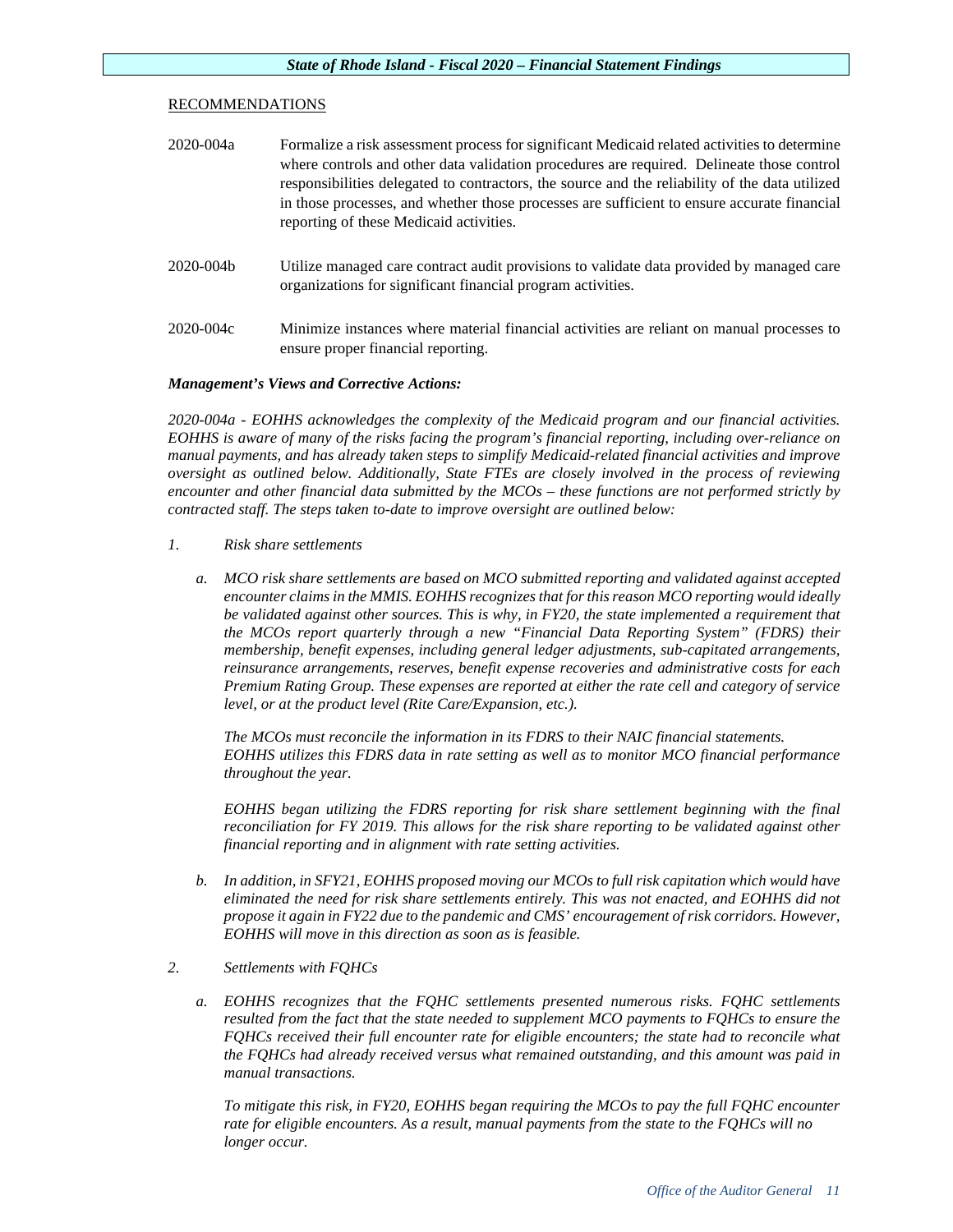# RECOMMENDATIONS

| 2020-004a | Formalize a risk assessment process for significant Medical related activities to determine<br>where controls and other data validation procedures are required. Delineate those control<br>responsibilities delegated to contractors, the source and the reliability of the data utilized<br>in those processes, and whether those processes are sufficient to ensure accurate financial<br>reporting of these Medicaid activities. |
|-----------|--------------------------------------------------------------------------------------------------------------------------------------------------------------------------------------------------------------------------------------------------------------------------------------------------------------------------------------------------------------------------------------------------------------------------------------|
| 2020-004b | Utilize managed care contract audit provisions to validate data provided by managed care<br>organizations for significant financial program activities.                                                                                                                                                                                                                                                                              |
| 2020-004c | Minimize instances where material financial activities are reliant on manual processes to<br>ensure proper financial reporting.                                                                                                                                                                                                                                                                                                      |

# *Management's Views and Corrective Actions:*

*2020-004a - EOHHS acknowledges the complexity of the Medicaid program and our financial activities. EOHHS is aware of many of the risks facing the program's financial reporting, including over-reliance on manual payments, and has already taken steps to simplify Medicaid-related financial activities and improve oversight as outlined below. Additionally, State FTEs are closely involved in the process of reviewing encounter and other financial data submitted by the MCOs – these functions are not performed strictly by contracted staff. The steps taken to-date to improve oversight are outlined below:*

- *1. Risk share settlements*
	- *a. MCO risk share settlements are based on MCO submitted reporting and validated against accepted encounter claims in the MMIS. EOHHS recognizes that for this reason MCO reporting would ideally be validated against other sources. This is why, in FY20, the state implemented a requirement that the MCOs report quarterly through a new "Financial Data Reporting System" (FDRS) their membership, benefit expenses, including general ledger adjustments, sub-capitated arrangements, reinsurance arrangements, reserves, benefit expense recoveries and administrative costs for each Premium Rating Group. These expenses are reported at either the rate cell and category of service level, or at the product level (Rite Care/Expansion, etc.).*

*The MCOs must reconcile the information in its FDRS to their NAIC financial statements. EOHHS utilizes this FDRS data in rate setting as well as to monitor MCO financial performance throughout the year.* 

*EOHHS began utilizing the FDRS reporting for risk share settlement beginning with the final reconciliation for FY 2019. This allows for the risk share reporting to be validated against other financial reporting and in alignment with rate setting activities.* 

- *b. In addition, in SFY21, EOHHS proposed moving our MCOs to full risk capitation which would have eliminated the need for risk share settlements entirely. This was not enacted, and EOHHS did not propose it again in FY22 due to the pandemic and CMS' encouragement of risk corridors. However, EOHHS will move in this direction as soon as is feasible.*
- *2. Settlements with FQHCs*
	- *a. EOHHS recognizes that the FQHC settlements presented numerous risks. FQHC settlements resulted from the fact that the state needed to supplement MCO payments to FQHCs to ensure the FQHCs received their full encounter rate for eligible encounters; the state had to reconcile what the FQHCs had already received versus what remained outstanding, and this amount was paid in manual transactions.*

*To mitigate this risk, in FY20, EOHHS began requiring the MCOs to pay the full FQHC encounter rate for eligible encounters. As a result, manual payments from the state to the FQHCs will no longer occur.*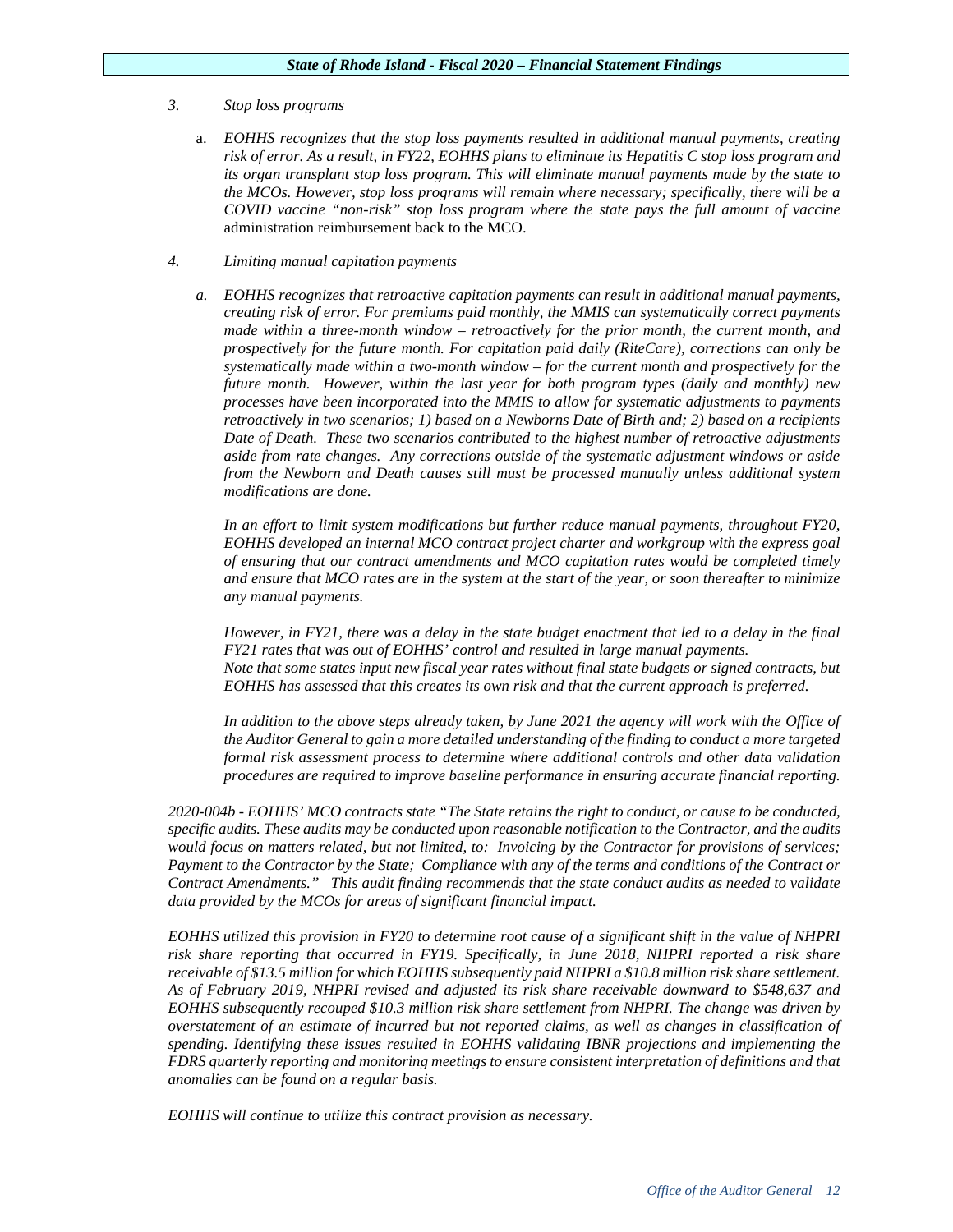# *3. Stop loss programs*

- a. *EOHHS recognizes that the stop loss payments resulted in additional manual payments, creating risk of error. As a result, in FY22, EOHHS plans to eliminate its Hepatitis C stop loss program and its organ transplant stop loss program. This will eliminate manual payments made by the state to the MCOs. However, stop loss programs will remain where necessary; specifically, there will be a COVID vaccine "non-risk" stop loss program where the state pays the full amount of vaccine* administration reimbursement back to the MCO.
- *4. Limiting manual capitation payments*
	- *a. EOHHS recognizes that retroactive capitation payments can result in additional manual payments, creating risk of error. For premiums paid monthly, the MMIS can systematically correct payments made within a three-month window – retroactively for the prior month, the current month, and prospectively for the future month. For capitation paid daily (RiteCare), corrections can only be systematically made within a two-month window – for the current month and prospectively for the future month. However, within the last year for both program types (daily and monthly) new processes have been incorporated into the MMIS to allow for systematic adjustments to payments retroactively in two scenarios; 1) based on a Newborns Date of Birth and; 2) based on a recipients Date of Death. These two scenarios contributed to the highest number of retroactive adjustments aside from rate changes. Any corrections outside of the systematic adjustment windows or aside from the Newborn and Death causes still must be processed manually unless additional system modifications are done.*

*In an effort to limit system modifications but further reduce manual payments, throughout FY20, EOHHS developed an internal MCO contract project charter and workgroup with the express goal of ensuring that our contract amendments and MCO capitation rates would be completed timely and ensure that MCO rates are in the system at the start of the year, or soon thereafter to minimize any manual payments.*

*However, in FY21, there was a delay in the state budget enactment that led to a delay in the final FY21 rates that was out of EOHHS' control and resulted in large manual payments. Note that some states input new fiscal year rates without final state budgets or signed contracts, but EOHHS has assessed that this creates its own risk and that the current approach is preferred.*

*In addition to the above steps already taken, by June 2021 the agency will work with the Office of the Auditor General to gain a more detailed understanding of the finding to conduct a more targeted formal risk assessment process to determine where additional controls and other data validation procedures are required to improve baseline performance in ensuring accurate financial reporting.* 

*2020-004b - EOHHS' MCO contracts state "The State retains the right to conduct, or cause to be conducted, specific audits. These audits may be conducted upon reasonable notification to the Contractor, and the audits would focus on matters related, but not limited, to: Invoicing by the Contractor for provisions of services; Payment to the Contractor by the State; Compliance with any of the terms and conditions of the Contract or Contract Amendments." This audit finding recommends that the state conduct audits as needed to validate data provided by the MCOs for areas of significant financial impact.*

*EOHHS utilized this provision in FY20 to determine root cause of a significant shift in the value of NHPRI risk share reporting that occurred in FY19. Specifically, in June 2018, NHPRI reported a risk share receivable of \$13.5 million for which EOHHS subsequently paid NHPRI a \$10.8 million risk share settlement. As of February 2019, NHPRI revised and adjusted its risk share receivable downward to \$548,637 and EOHHS subsequently recouped \$10.3 million risk share settlement from NHPRI. The change was driven by overstatement of an estimate of incurred but not reported claims, as well as changes in classification of spending. Identifying these issues resulted in EOHHS validating IBNR projections and implementing the FDRS quarterly reporting and monitoring meetings to ensure consistent interpretation of definitions and that anomalies can be found on a regular basis.*

*EOHHS will continue to utilize this contract provision as necessary.*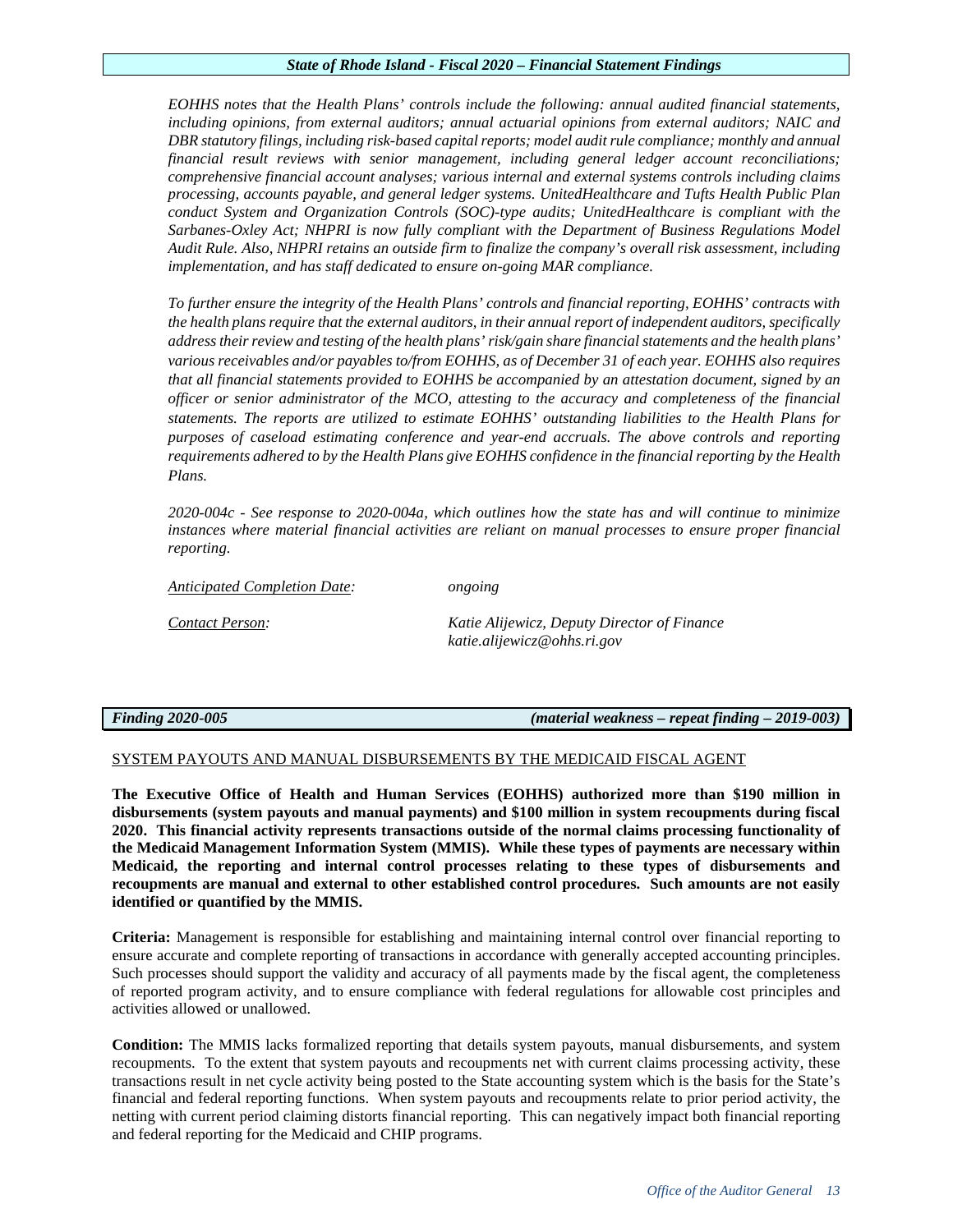*EOHHS notes that the Health Plans' controls include the following: annual audited financial statements, including opinions, from external auditors; annual actuarial opinions from external auditors; NAIC and DBR statutory filings, including risk-based capital reports; model audit rule compliance; monthly and annual financial result reviews with senior management, including general ledger account reconciliations; comprehensive financial account analyses; various internal and external systems controls including claims processing, accounts payable, and general ledger systems. UnitedHealthcare and Tufts Health Public Plan conduct System and Organization Controls (SOC)-type audits; UnitedHealthcare is compliant with the Sarbanes-Oxley Act; NHPRI is now fully compliant with the Department of Business Regulations Model Audit Rule. Also, NHPRI retains an outside firm to finalize the company's overall risk assessment, including implementation, and has staff dedicated to ensure on-going MAR compliance.*

*To further ensure the integrity of the Health Plans' controls and financial reporting, EOHHS' contracts with the health plans require that the external auditors, in their annual report of independent auditors, specifically address their review and testing of the health plans' risk/gain share financial statements and the health plans' various receivables and/or payables to/from EOHHS, as of December 31 of each year. EOHHS also requires that all financial statements provided to EOHHS be accompanied by an attestation document, signed by an officer or senior administrator of the MCO, attesting to the accuracy and completeness of the financial statements. The reports are utilized to estimate EOHHS' outstanding liabilities to the Health Plans for purposes of caseload estimating conference and year-end accruals. The above controls and reporting requirements adhered to by the Health Plans give EOHHS confidence in the financial reporting by the Health Plans.*

*2020-004c - See response to 2020-004a, which outlines how the state has and will continue to minimize instances where material financial activities are reliant on manual processes to ensure proper financial reporting.* 

*Anticipated Completion Date: ongoing* 

*Contact Person: Katie Alijewicz, Deputy Director of Finance katie.alijewicz@ohhs.ri.gov*

*Finding 2020-005 (material weakness – repeat finding – 2019-003)*

# SYSTEM PAYOUTS AND MANUAL DISBURSEMENTS BY THE MEDICAID FISCAL AGENT

**The Executive Office of Health and Human Services (EOHHS) authorized more than \$190 million in disbursements (system payouts and manual payments) and \$100 million in system recoupments during fiscal 2020. This financial activity represents transactions outside of the normal claims processing functionality of the Medicaid Management Information System (MMIS). While these types of payments are necessary within Medicaid, the reporting and internal control processes relating to these types of disbursements and recoupments are manual and external to other established control procedures. Such amounts are not easily identified or quantified by the MMIS.**

**Criteria:** Management is responsible for establishing and maintaining internal control over financial reporting to ensure accurate and complete reporting of transactions in accordance with generally accepted accounting principles. Such processes should support the validity and accuracy of all payments made by the fiscal agent, the completeness of reported program activity, and to ensure compliance with federal regulations for allowable cost principles and activities allowed or unallowed.

**Condition:** The MMIS lacks formalized reporting that details system payouts, manual disbursements, and system recoupments. To the extent that system payouts and recoupments net with current claims processing activity, these transactions result in net cycle activity being posted to the State accounting system which is the basis for the State's financial and federal reporting functions. When system payouts and recoupments relate to prior period activity, the netting with current period claiming distorts financial reporting. This can negatively impact both financial reporting and federal reporting for the Medicaid and CHIP programs.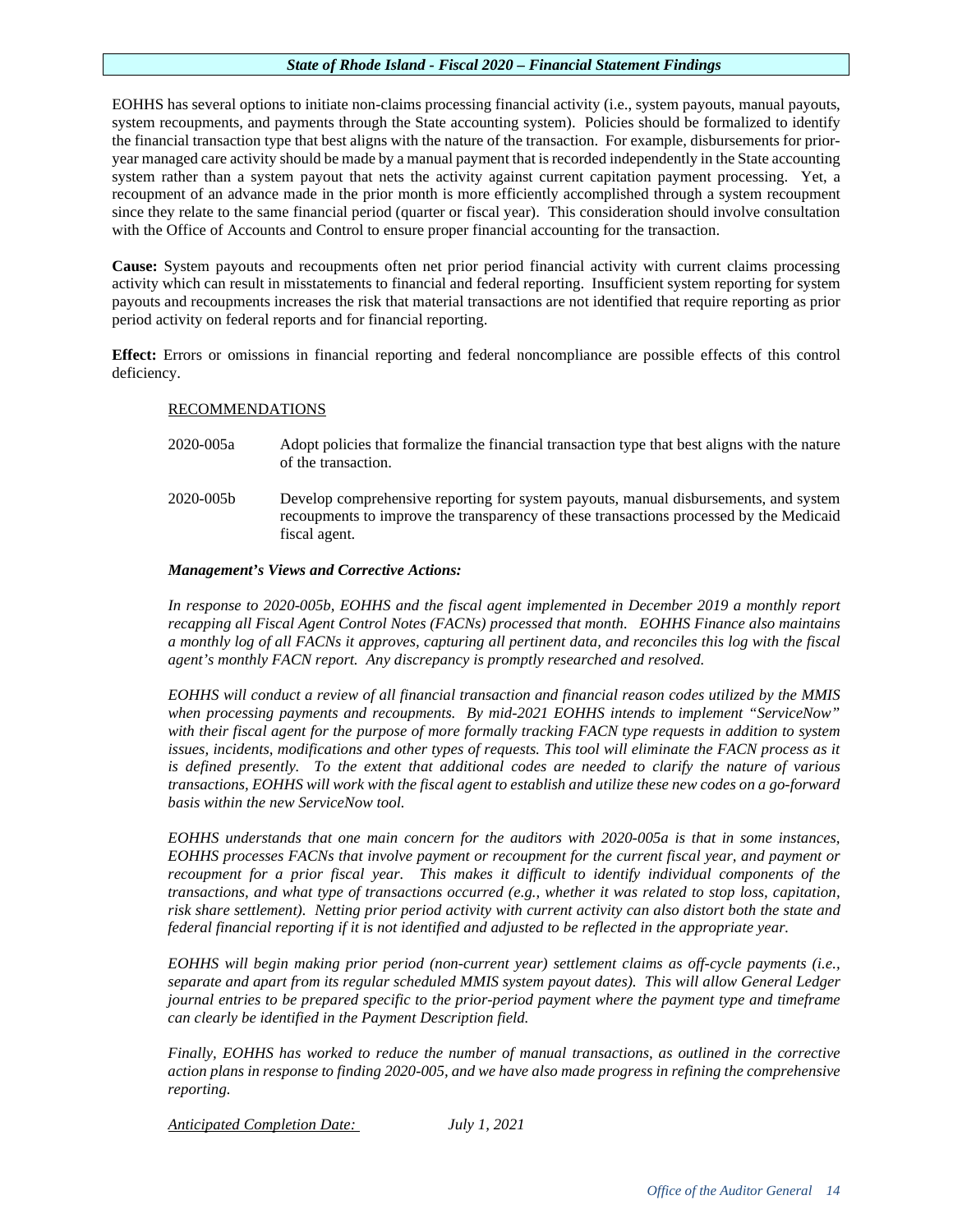EOHHS has several options to initiate non-claims processing financial activity (i.e., system payouts, manual payouts, system recoupments, and payments through the State accounting system). Policies should be formalized to identify the financial transaction type that best aligns with the nature of the transaction. For example, disbursements for prioryear managed care activity should be made by a manual payment that is recorded independently in the State accounting system rather than a system payout that nets the activity against current capitation payment processing. Yet, a recoupment of an advance made in the prior month is more efficiently accomplished through a system recoupment since they relate to the same financial period (quarter or fiscal year). This consideration should involve consultation with the Office of Accounts and Control to ensure proper financial accounting for the transaction.

**Cause:** System payouts and recoupments often net prior period financial activity with current claims processing activity which can result in misstatements to financial and federal reporting. Insufficient system reporting for system payouts and recoupments increases the risk that material transactions are not identified that require reporting as prior period activity on federal reports and for financial reporting.

**Effect:** Errors or omissions in financial reporting and federal noncompliance are possible effects of this control deficiency.

# RECOMMENDATIONS

- 2020-005a Adopt policies that formalize the financial transaction type that best aligns with the nature of the transaction.
- 2020-005b Develop comprehensive reporting for system payouts, manual disbursements, and system recoupments to improve the transparency of these transactions processed by the Medicaid fiscal agent.

# *Management's Views and Corrective Actions:*

*In response to 2020-005b, EOHHS and the fiscal agent implemented in December 2019 a monthly report recapping all Fiscal Agent Control Notes (FACNs) processed that month. EOHHS Finance also maintains a monthly log of all FACNs it approves, capturing all pertinent data, and reconciles this log with the fiscal agent's monthly FACN report. Any discrepancy is promptly researched and resolved.*

*EOHHS will conduct a review of all financial transaction and financial reason codes utilized by the MMIS when processing payments and recoupments. By mid-2021 EOHHS intends to implement "ServiceNow" with their fiscal agent for the purpose of more formally tracking FACN type requests in addition to system issues, incidents, modifications and other types of requests. This tool will eliminate the FACN process as it is defined presently. To the extent that additional codes are needed to clarify the nature of various transactions, EOHHS will work with the fiscal agent to establish and utilize these new codes on a go-forward basis within the new ServiceNow tool.*

*EOHHS understands that one main concern for the auditors with 2020-005a is that in some instances, EOHHS processes FACNs that involve payment or recoupment for the current fiscal year, and payment or recoupment for a prior fiscal year. This makes it difficult to identify individual components of the transactions, and what type of transactions occurred (e.g., whether it was related to stop loss, capitation, risk share settlement). Netting prior period activity with current activity can also distort both the state and federal financial reporting if it is not identified and adjusted to be reflected in the appropriate year.* 

*EOHHS will begin making prior period (non-current year) settlement claims as off-cycle payments (i.e., separate and apart from its regular scheduled MMIS system payout dates). This will allow General Ledger journal entries to be prepared specific to the prior-period payment where the payment type and timeframe can clearly be identified in the Payment Description field.* 

*Finally, EOHHS has worked to reduce the number of manual transactions, as outlined in the corrective action plans in response to finding 2020-005, and we have also made progress in refining the comprehensive reporting.*

*Anticipated Completion Date: July 1, 2021*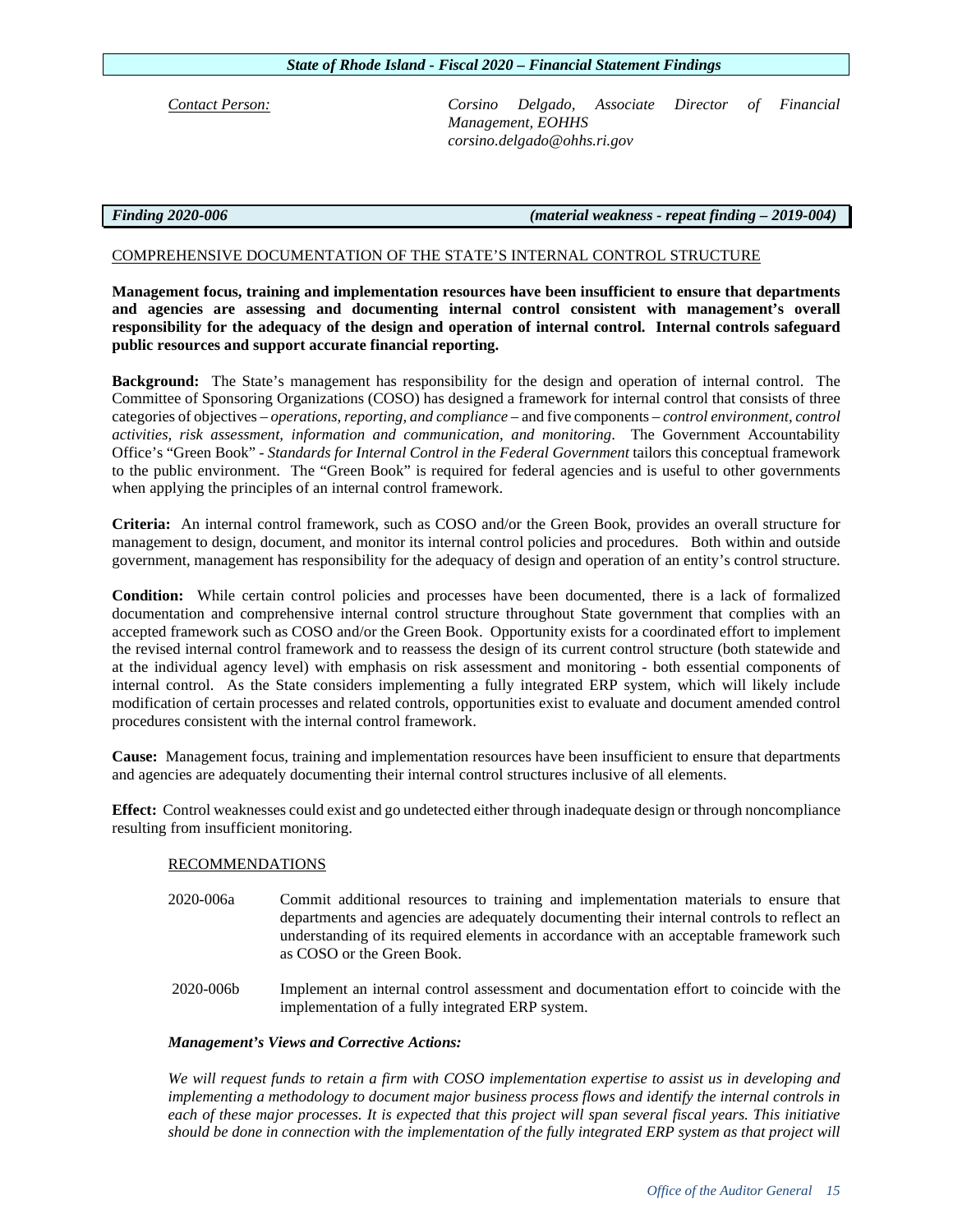|  | $\mathcal{L}$ and $\mathcal{L}$ are the contract of the contract of the contract of the contract of the contract of the contract of the contract of the contract of the contract of the contract of the contract of the contract of the |  |
|--|-----------------------------------------------------------------------------------------------------------------------------------------------------------------------------------------------------------------------------------------|--|

accepted framework such as COSO and/or the Green Book. Opportunity exists for a coordinated effort to implement

management to design, document, and monitor its internal control policies and procedures. Both within and outside government, management has responsibility for the adequacy of design and operation of an entity's control structure.

*activities, risk assessment, information and communication, and monitoring*. The Government Accountability Office's "Green Book" - *Standards for Internal Control in the Federal Government* tailors this conceptual framework to the public environment. The "Green Book" is required for federal agencies and is useful to other governments when applying the principles of an internal control framework. **Criteria:** An internal control framework, such as COSO and/or the Green Book, provides an overall structure for

**Management focus, training and implementation resources have been insufficient to ensure that departments and agencies are assessing and documenting internal control consistent with management's overall responsibility for the adequacy of the design and operation of internal control. Internal controls safeguard** 

**Background:** The State's management has responsibility for the design and operation of internal control. The Committee of Sponsoring Organizations (COSO) has designed a framework for internal control that consists of three categories of objectives – *operations, reporting, and compliance* – and five components – *control environment, control* 

COMPREHENSIVE DOCUMENTATION OF THE STATE'S INTERNAL CONTROL STRUCTURE

**Condition:** While certain control policies and processes have been documented, there is a lack of formalized documentation and comprehensive internal control structure throughout State government that complies with an

the revised internal control framework and to reassess the design of its current control structure (both statewide and at the individual agency level) with emphasis on risk assessment and monitoring - both essential components of internal control. As the State considers implementing a fully integrated ERP system, which will likely include modification of certain processes and related controls, opportunities exist to evaluate and document amended control procedures consistent with the internal control framework.

**Cause:** Management focus, training and implementation resources have been insufficient to ensure that departments and agencies are adequately documenting their internal control structures inclusive of all elements.

**Effect:** Control weaknesses could exist and go undetected either through inadequate design or through noncompliance resulting from insufficient monitoring.

# RECOMMENDATIONS

- 2020-006a Commit additional resources to training and implementation materials to ensure that departments and agencies are adequately documenting their internal controls to reflect an understanding of its required elements in accordance with an acceptable framework such as COSO or the Green Book.
- 2020-006b Implement an internal control assessment and documentation effort to coincide with the implementation of a fully integrated ERP system.

# *Management's Views and Corrective Actions:*

*We will request funds to retain a firm with COSO implementation expertise to assist us in developing and implementing a methodology to document major business process flows and identify the internal controls in each of these major processes. It is expected that this project will span several fiscal years. This initiative should be done in connection with the implementation of the fully integrated ERP system as that project will* 

*State of Rhode Island - Fiscal 2020 – Financial Statement Findings* 

**public resources and support accurate financial reporting.** 

*Contact Person: Corsino Delgado, Associate Director of Financial Management, EOHHS [corsino.delgado@ohhs.ri.gov](mailto:corsino.delgado@ohhs.ri.gov)*

# *Finding 2020-006 (material weakness - repeat finding – 2019-004)*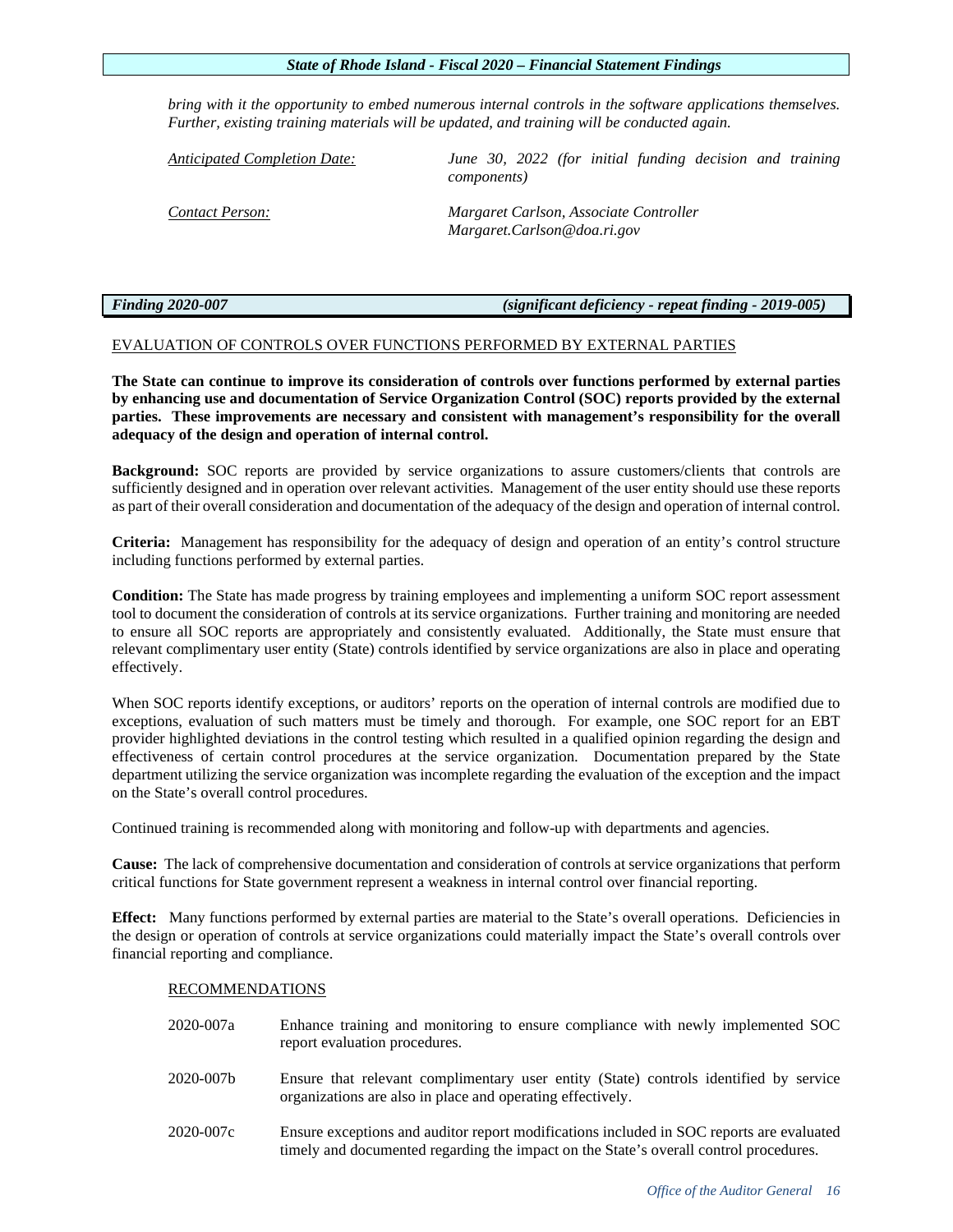*bring with it the opportunity to embed numerous internal controls in the software applications themselves. Further, existing training materials will be updated, and training will be conducted again.*

*Anticipated Completion Date: June 30, 2022 (for initial funding decision and training components)*

*Contact Person: Margaret Carlson, Associate Controller Margaret.Carlson@doa.ri.gov*

*Finding 2020-007 (significant deficiency - repeat finding - 2019-005)*

# EVALUATION OF CONTROLS OVER FUNCTIONS PERFORMED BY EXTERNAL PARTIES

**The State can continue to improve its consideration of controls over functions performed by external parties by enhancing use and documentation of Service Organization Control (SOC) reports provided by the external parties. These improvements are necessary and consistent with management's responsibility for the overall adequacy of the design and operation of internal control.** 

**Background:** SOC reports are provided by service organizations to assure customers/clients that controls are sufficiently designed and in operation over relevant activities. Management of the user entity should use these reports as part of their overall consideration and documentation of the adequacy of the design and operation of internal control.

**Criteria:** Management has responsibility for the adequacy of design and operation of an entity's control structure including functions performed by external parties.

**Condition:** The State has made progress by training employees and implementing a uniform SOC report assessment tool to document the consideration of controls at its service organizations. Further training and monitoring are needed to ensure all SOC reports are appropriately and consistently evaluated. Additionally, the State must ensure that relevant complimentary user entity (State) controls identified by service organizations are also in place and operating effectively.

When SOC reports identify exceptions, or auditors' reports on the operation of internal controls are modified due to exceptions, evaluation of such matters must be timely and thorough. For example, one SOC report for an EBT provider highlighted deviations in the control testing which resulted in a qualified opinion regarding the design and effectiveness of certain control procedures at the service organization. Documentation prepared by the State department utilizing the service organization was incomplete regarding the evaluation of the exception and the impact on the State's overall control procedures.

Continued training is recommended along with monitoring and follow-up with departments and agencies.

**Cause:** The lack of comprehensive documentation and consideration of controls at service organizations that perform critical functions for State government represent a weakness in internal control over financial reporting.

**Effect:** Many functions performed by external parties are material to the State's overall operations. Deficiencies in the design or operation of controls at service organizations could materially impact the State's overall controls over financial reporting and compliance.

# RECOMMENDATIONS

| 2020-007a | Enhance training and monitoring to ensure compliance with newly implemented SOC<br>report evaluation procedures.                                                                  |
|-----------|-----------------------------------------------------------------------------------------------------------------------------------------------------------------------------------|
| 2020-007b | Ensure that relevant complimentary user entity (State) controls identified by service<br>organizations are also in place and operating effectively.                               |
| 2020-007c | Ensure exceptions and auditor report modifications included in SOC reports are evaluated<br>timely and documented regarding the impact on the State's overall control procedures. |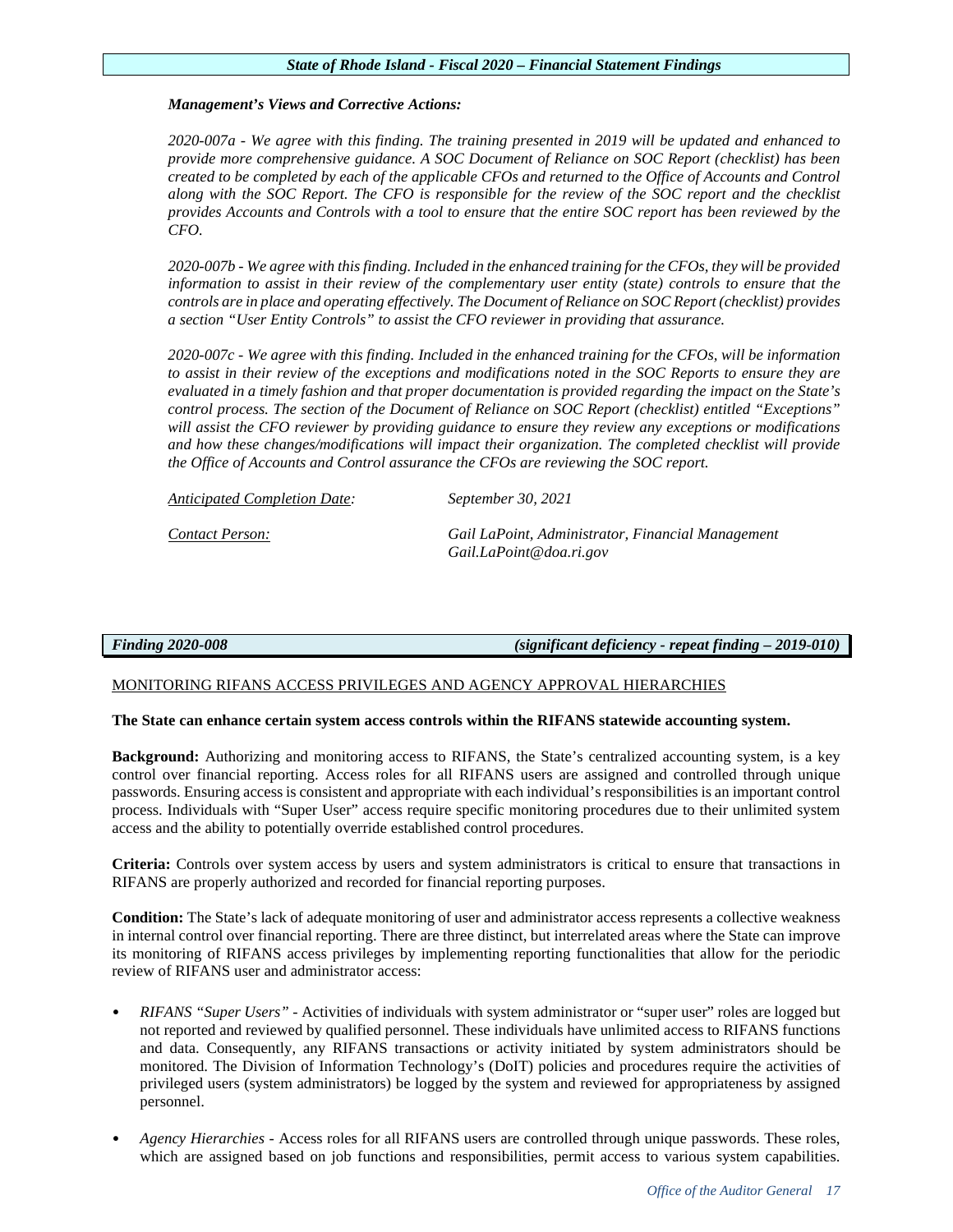# *Management's Views and Corrective Actions:*

*2020-007a - We agree with this finding. The training presented in 2019 will be updated and enhanced to provide more comprehensive guidance. A SOC Document of Reliance on SOC Report (checklist) has been created to be completed by each of the applicable CFOs and returned to the Office of Accounts and Control along with the SOC Report. The CFO is responsible for the review of the SOC report and the checklist provides Accounts and Controls with a tool to ensure that the entire SOC report has been reviewed by the CFO.*

*2020-007b - We agree with this finding. Included in the enhanced training for the CFOs, they will be provided information to assist in their review of the complementary user entity (state) controls to ensure that the controls are in place and operating effectively. The Document of Reliance on SOC Report (checklist) provides a section "User Entity Controls" to assist the CFO reviewer in providing that assurance.* 

*2020-007c - We agree with this finding. Included in the enhanced training for the CFOs, will be information to assist in their review of the exceptions and modifications noted in the SOC Reports to ensure they are evaluated in a timely fashion and that proper documentation is provided regarding the impact on the State's control process. The section of the Document of Reliance on SOC Report (checklist) entitled "Exceptions" will assist the CFO reviewer by providing guidance to ensure they review any exceptions or modifications and how these changes/modifications will impact their organization. The completed checklist will provide the Office of Accounts and Control assurance the CFOs are reviewing the SOC report.*

*Anticipated Completion Date: September 30, 2021*

*Contact Person: Gail LaPoint, Administrator, Financial Management Gail.LaPoint@doa.ri.gov*

*Finding 2020-008 (significant deficiency - repeat finding – 2019-010)* 

# MONITORING RIFANS ACCESS PRIVILEGES AND AGENCY APPROVAL HIERARCHIES

# **The State can enhance certain system access controls within the RIFANS statewide accounting system.**

**Background:** Authorizing and monitoring access to RIFANS, the State's centralized accounting system, is a key control over financial reporting. Access roles for all RIFANS users are assigned and controlled through unique passwords. Ensuring access is consistent and appropriate with each individual's responsibilities is an important control process. Individuals with "Super User" access require specific monitoring procedures due to their unlimited system access and the ability to potentially override established control procedures.

**Criteria:** Controls over system access by users and system administrators is critical to ensure that transactions in RIFANS are properly authorized and recorded for financial reporting purposes.

**Condition:** The State's lack of adequate monitoring of user and administrator access represents a collective weakness in internal control over financial reporting. There are three distinct, but interrelated areas where the State can improve its monitoring of RIFANS access privileges by implementing reporting functionalities that allow for the periodic review of RIFANS user and administrator access:

- *RIFANS "Super Users"*  Activities of individuals with system administrator or "super user" roles are logged but not reported and reviewed by qualified personnel. These individuals have unlimited access to RIFANS functions and data. Consequently, any RIFANS transactions or activity initiated by system administrators should be monitored. The Division of Information Technology's (DoIT) policies and procedures require the activities of privileged users (system administrators) be logged by the system and reviewed for appropriateness by assigned personnel.
- *Agency Hierarchies*  Access roles for all RIFANS users are controlled through unique passwords. These roles, which are assigned based on job functions and responsibilities, permit access to various system capabilities.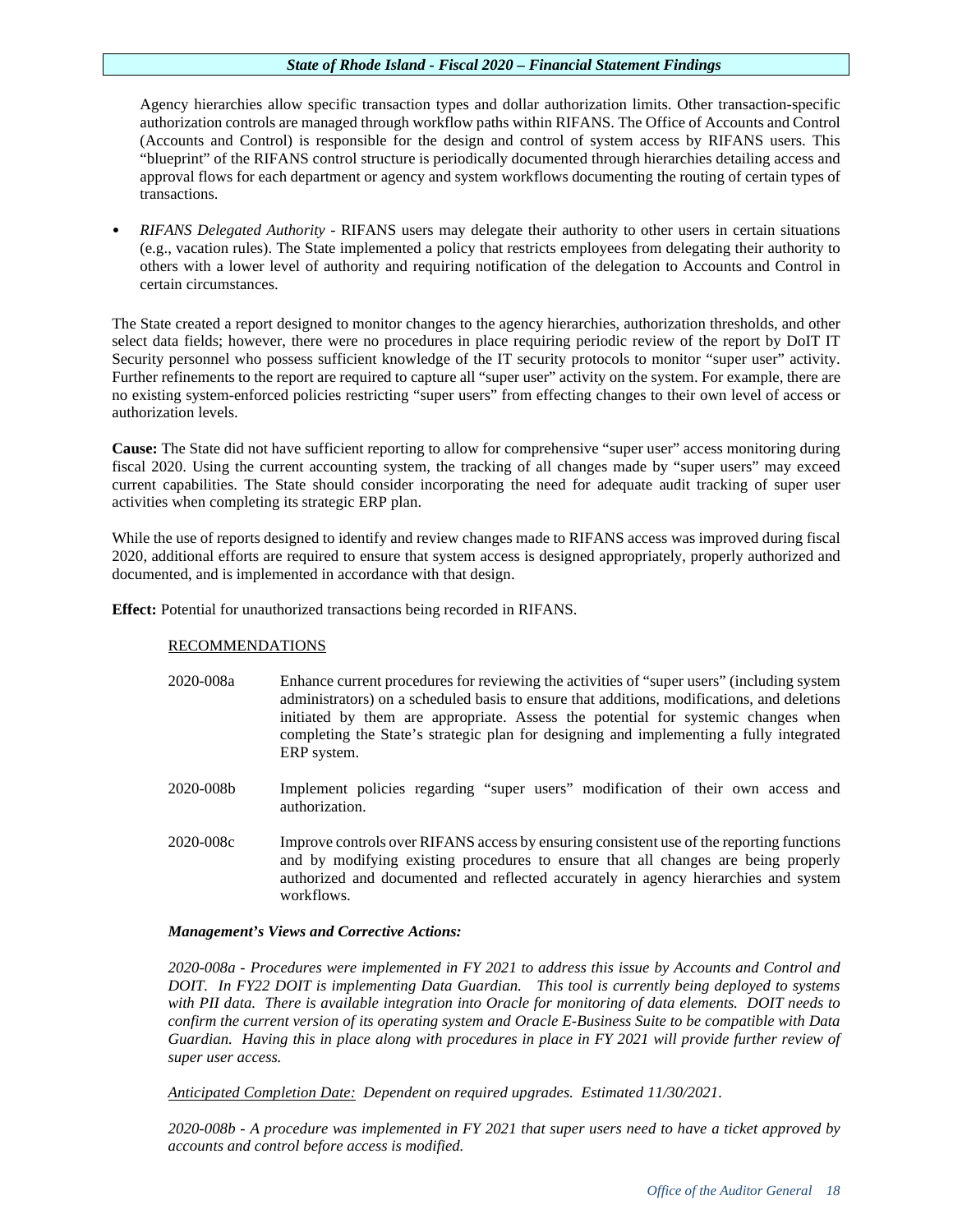Agency hierarchies allow specific transaction types and dollar authorization limits. Other transaction-specific authorization controls are managed through workflow paths within RIFANS. The Office of Accounts and Control (Accounts and Control) is responsible for the design and control of system access by RIFANS users. This "blueprint" of the RIFANS control structure is periodically documented through hierarchies detailing access and approval flows for each department or agency and system workflows documenting the routing of certain types of transactions.

• *RIFANS Delegated Authority -* RIFANS users may delegate their authority to other users in certain situations (e.g., vacation rules). The State implemented a policy that restricts employees from delegating their authority to others with a lower level of authority and requiring notification of the delegation to Accounts and Control in certain circumstances.

The State created a report designed to monitor changes to the agency hierarchies, authorization thresholds, and other select data fields; however, there were no procedures in place requiring periodic review of the report by DoIT IT Security personnel who possess sufficient knowledge of the IT security protocols to monitor "super user" activity. Further refinements to the report are required to capture all "super user" activity on the system. For example, there are no existing system-enforced policies restricting "super users" from effecting changes to their own level of access or authorization levels.

**Cause:** The State did not have sufficient reporting to allow for comprehensive "super user" access monitoring during fiscal 2020. Using the current accounting system, the tracking of all changes made by "super users" may exceed current capabilities. The State should consider incorporating the need for adequate audit tracking of super user activities when completing its strategic ERP plan.

While the use of reports designed to identify and review changes made to RIFANS access was improved during fiscal 2020, additional efforts are required to ensure that system access is designed appropriately, properly authorized and documented, and is implemented in accordance with that design.

**Effect:** Potential for unauthorized transactions being recorded in RIFANS.

# RECOMMENDATIONS

- 2020-008a Enhance current procedures for reviewing the activities of "super users" (including system administrators) on a scheduled basis to ensure that additions, modifications, and deletions initiated by them are appropriate. Assess the potential for systemic changes when completing the State's strategic plan for designing and implementing a fully integrated ERP system.
- 2020-008b Implement policies regarding "super users" modification of their own access and authorization.
- 2020-008c Improve controls over RIFANS access by ensuring consistent use of the reporting functions and by modifying existing procedures to ensure that all changes are being properly authorized and documented and reflected accurately in agency hierarchies and system workflows.

# *Management's Views and Corrective Actions:*

*2020-008a - Procedures were implemented in FY 2021 to address this issue by Accounts and Control and DOIT. In FY22 DOIT is implementing Data Guardian. This tool is currently being deployed to systems with PII data. There is available integration into Oracle for monitoring of data elements. DOIT needs to confirm the current version of its operating system and Oracle E-Business Suite to be compatible with Data Guardian. Having this in place along with procedures in place in FY 2021 will provide further review of super user access.*

*Anticipated Completion Date: Dependent on required upgrades. Estimated 11/30/2021.*

*2020-008b - A procedure was implemented in FY 2021 that super users need to have a ticket approved by accounts and control before access is modified.*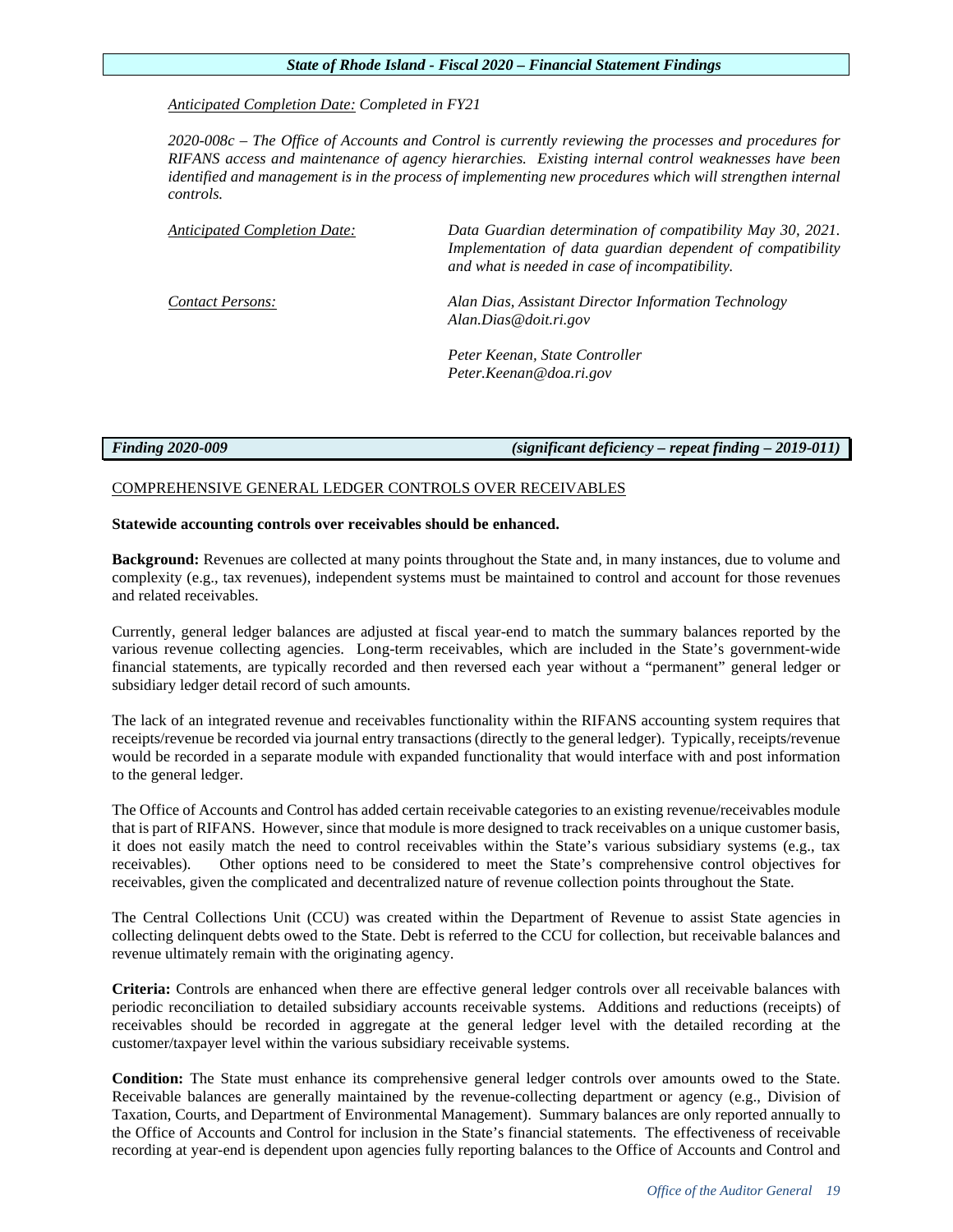# *Anticipated Completion Date: Completed in FY21*

*2020-008c – The Office of Accounts and Control is currently reviewing the processes and procedures for RIFANS access and maintenance of agency hierarchies. Existing internal control weaknesses have been identified and management is in the process of implementing new procedures which will strengthen internal controls.*

*Anticipated Completion Date: Data Guardian determination of compatibility May 30, 2021. Implementation of data guardian dependent of compatibility and what is needed in case of incompatibility. Contact Persons: Alan Dias, Assistant Director Information Technology [Alan.Dias@doit.ri.gov](mailto:Alan.Dias@doit.ri.gov)*

> *Peter Keenan, State Controller Peter.Keenan@doa.ri.gov*

*Finding 2020-009 (significant deficiency – repeat finding – 2019-011)*

# COMPREHENSIVE GENERAL LEDGER CONTROLS OVER RECEIVABLES

# **Statewide accounting controls over receivables should be enhanced.**

**Background:** Revenues are collected at many points throughout the State and, in many instances, due to volume and complexity (e.g., tax revenues), independent systems must be maintained to control and account for those revenues and related receivables.

Currently, general ledger balances are adjusted at fiscal year-end to match the summary balances reported by the various revenue collecting agencies. Long-term receivables, which are included in the State's government-wide financial statements, are typically recorded and then reversed each year without a "permanent" general ledger or subsidiary ledger detail record of such amounts.

The lack of an integrated revenue and receivables functionality within the RIFANS accounting system requires that receipts/revenue be recorded via journal entry transactions (directly to the general ledger). Typically, receipts/revenue would be recorded in a separate module with expanded functionality that would interface with and post information to the general ledger.

The Office of Accounts and Control has added certain receivable categories to an existing revenue/receivables module that is part of RIFANS. However, since that module is more designed to track receivables on a unique customer basis, it does not easily match the need to control receivables within the State's various subsidiary systems (e.g., tax receivables). Other options need to be considered to meet the State's comprehensive control objectives for receivables, given the complicated and decentralized nature of revenue collection points throughout the State.

The Central Collections Unit (CCU) was created within the Department of Revenue to assist State agencies in collecting delinquent debts owed to the State. Debt is referred to the CCU for collection, but receivable balances and revenue ultimately remain with the originating agency.

**Criteria:** Controls are enhanced when there are effective general ledger controls over all receivable balances with periodic reconciliation to detailed subsidiary accounts receivable systems. Additions and reductions (receipts) of receivables should be recorded in aggregate at the general ledger level with the detailed recording at the customer/taxpayer level within the various subsidiary receivable systems.

**Condition:** The State must enhance its comprehensive general ledger controls over amounts owed to the State. Receivable balances are generally maintained by the revenue-collecting department or agency (e.g., Division of Taxation, Courts, and Department of Environmental Management). Summary balances are only reported annually to the Office of Accounts and Control for inclusion in the State's financial statements. The effectiveness of receivable recording at year-end is dependent upon agencies fully reporting balances to the Office of Accounts and Control and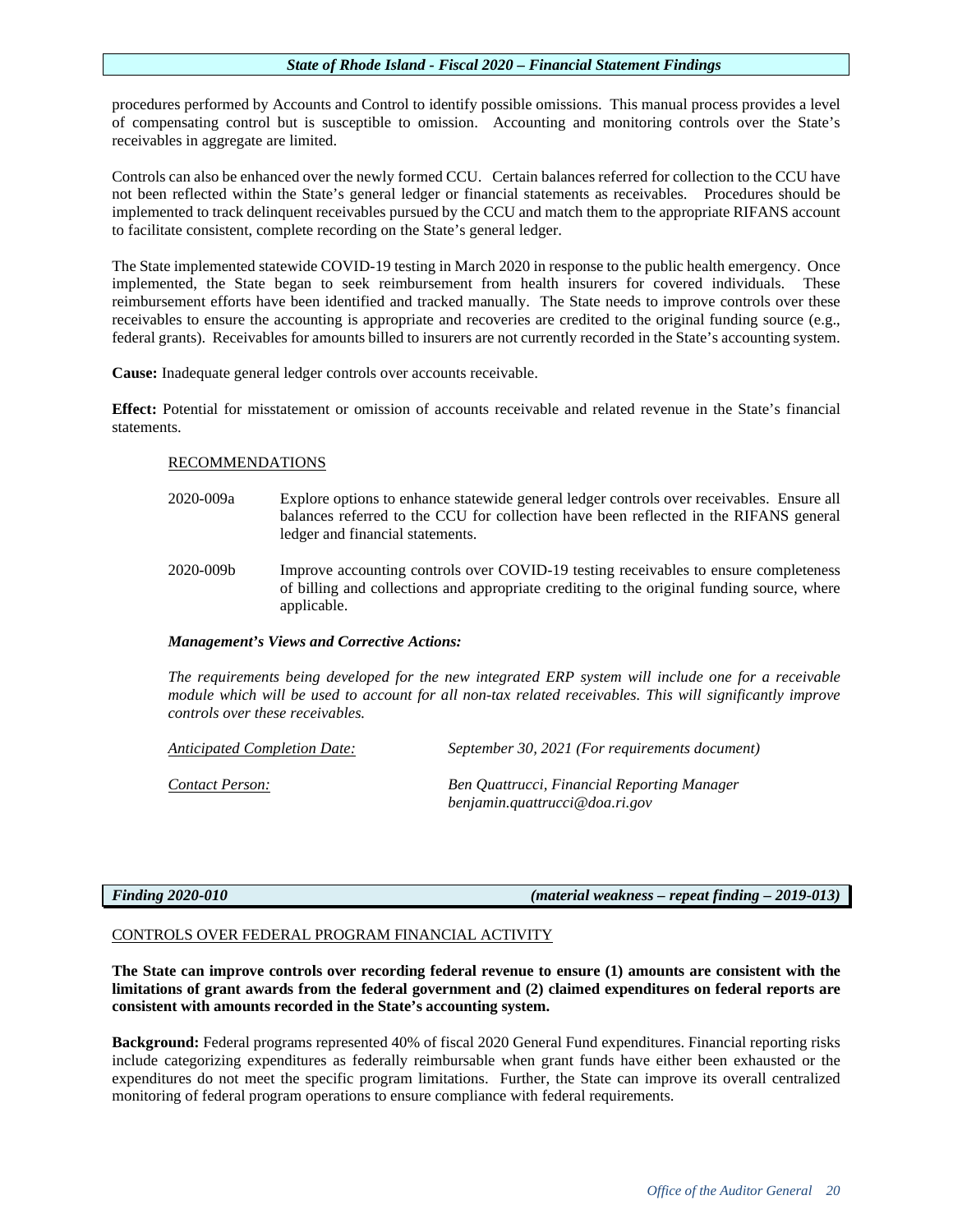procedures performed by Accounts and Control to identify possible omissions. This manual process provides a level of compensating control but is susceptible to omission. Accounting and monitoring controls over the State's receivables in aggregate are limited.

Controls can also be enhanced over the newly formed CCU. Certain balances referred for collection to the CCU have not been reflected within the State's general ledger or financial statements as receivables. Procedures should be implemented to track delinquent receivables pursued by the CCU and match them to the appropriate RIFANS account to facilitate consistent, complete recording on the State's general ledger.

The State implemented statewide COVID-19 testing in March 2020 in response to the public health emergency. Once implemented, the State began to seek reimbursement from health insurers for covered individuals. These reimbursement efforts have been identified and tracked manually. The State needs to improve controls over these receivables to ensure the accounting is appropriate and recoveries are credited to the original funding source (e.g., federal grants). Receivables for amounts billed to insurers are not currently recorded in the State's accounting system.

**Cause:** Inadequate general ledger controls over accounts receivable.

**Effect:** Potential for misstatement or omission of accounts receivable and related revenue in the State's financial statements.

# RECOMMENDATIONS

- 2020-009a Explore options to enhance statewide general ledger controls over receivables. Ensure all balances referred to the CCU for collection have been reflected in the RIFANS general ledger and financial statements.
- 2020-009b Improve accounting controls over COVID-19 testing receivables to ensure completeness of billing and collections and appropriate crediting to the original funding source, where applicable.

# *Management's Views and Corrective Actions:*

*The requirements being developed for the new integrated ERP system will include one for a receivable module which will be used to account for all non-tax related receivables. This will significantly improve controls over these receivables.*

| <b>Anticipated Completion Date:</b> | September 30, 2021 (For requirements document) |
|-------------------------------------|------------------------------------------------|
| Contact Person:                     | Ben Quattrucci, Financial Reporting Manager    |
|                                     | benjamin.quattrucci@doa.ri.gov                 |

*Finding 2020-010 (material weakness – repeat finding – 2019-013)*

# CONTROLS OVER FEDERAL PROGRAM FINANCIAL ACTIVITY

**The State can improve controls over recording federal revenue to ensure (1) amounts are consistent with the limitations of grant awards from the federal government and (2) claimed expenditures on federal reports are consistent with amounts recorded in the State's accounting system.** 

**Background:** Federal programs represented 40% of fiscal 2020 General Fund expenditures. Financial reporting risks include categorizing expenditures as federally reimbursable when grant funds have either been exhausted or the expenditures do not meet the specific program limitations. Further, the State can improve its overall centralized monitoring of federal program operations to ensure compliance with federal requirements.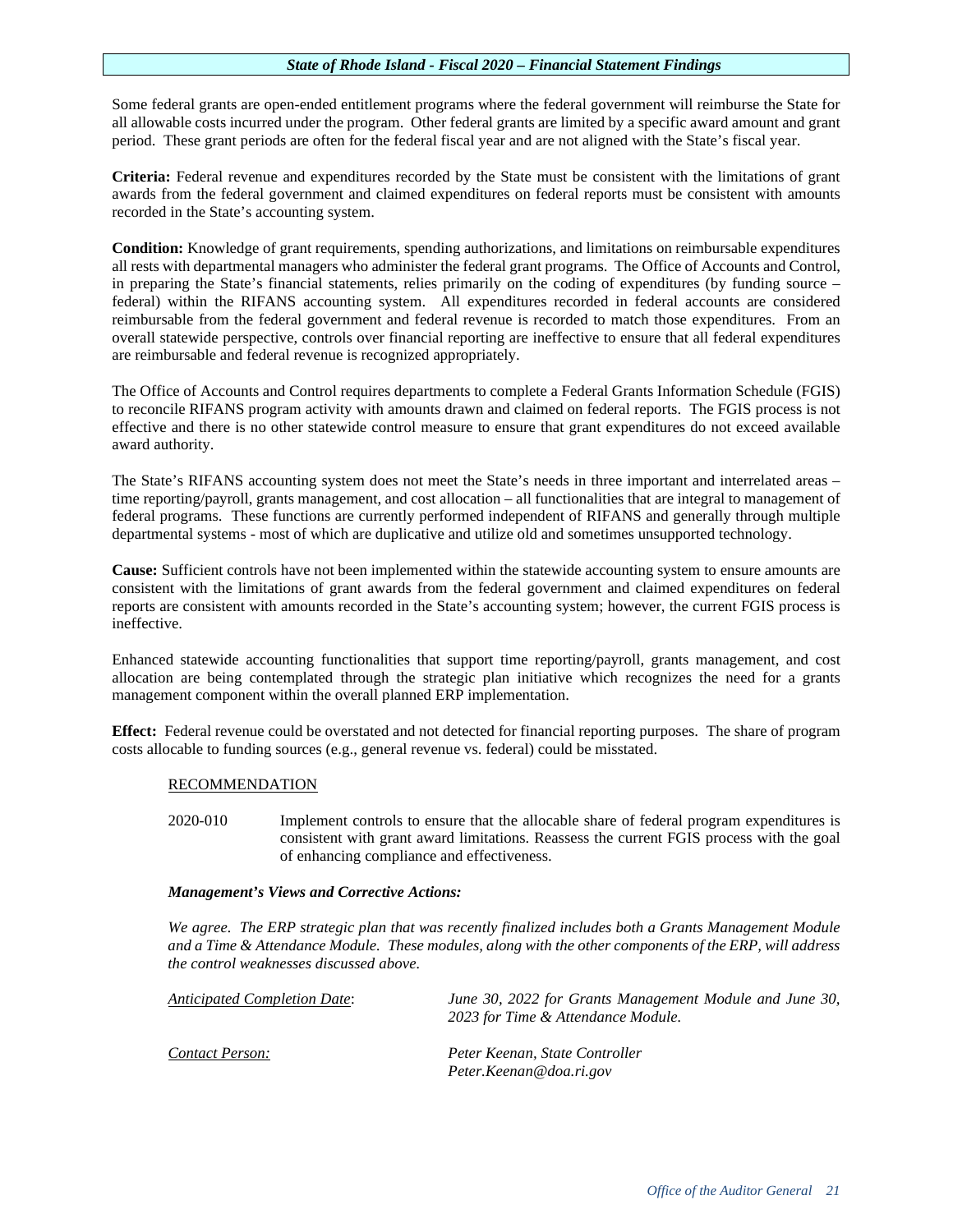Some federal grants are open-ended entitlement programs where the federal government will reimburse the State for all allowable costs incurred under the program. Other federal grants are limited by a specific award amount and grant period. These grant periods are often for the federal fiscal year and are not aligned with the State's fiscal year.

**Criteria:** Federal revenue and expenditures recorded by the State must be consistent with the limitations of grant awards from the federal government and claimed expenditures on federal reports must be consistent with amounts recorded in the State's accounting system.

**Condition:** Knowledge of grant requirements, spending authorizations, and limitations on reimbursable expenditures all rests with departmental managers who administer the federal grant programs. The Office of Accounts and Control, in preparing the State's financial statements, relies primarily on the coding of expenditures (by funding source – federal) within the RIFANS accounting system. All expenditures recorded in federal accounts are considered reimbursable from the federal government and federal revenue is recorded to match those expenditures. From an overall statewide perspective, controls over financial reporting are ineffective to ensure that all federal expenditures are reimbursable and federal revenue is recognized appropriately.

The Office of Accounts and Control requires departments to complete a Federal Grants Information Schedule (FGIS) to reconcile RIFANS program activity with amounts drawn and claimed on federal reports. The FGIS process is not effective and there is no other statewide control measure to ensure that grant expenditures do not exceed available award authority.

The State's RIFANS accounting system does not meet the State's needs in three important and interrelated areas – time reporting/payroll, grants management, and cost allocation – all functionalities that are integral to management of federal programs. These functions are currently performed independent of RIFANS and generally through multiple departmental systems - most of which are duplicative and utilize old and sometimes unsupported technology.

**Cause:** Sufficient controls have not been implemented within the statewide accounting system to ensure amounts are consistent with the limitations of grant awards from the federal government and claimed expenditures on federal reports are consistent with amounts recorded in the State's accounting system; however, the current FGIS process is ineffective.

Enhanced statewide accounting functionalities that support time reporting/payroll, grants management, and cost allocation are being contemplated through the strategic plan initiative which recognizes the need for a grants management component within the overall planned ERP implementation.

**Effect:** Federal revenue could be overstated and not detected for financial reporting purposes. The share of program costs allocable to funding sources (e.g., general revenue vs. federal) could be misstated.

# RECOMMENDATION

2020-010 Implement controls to ensure that the allocable share of federal program expenditures is consistent with grant award limitations. Reassess the current FGIS process with the goal of enhancing compliance and effectiveness.

# *Management's Views and Corrective Actions:*

*We agree. The ERP strategic plan that was recently finalized includes both a Grants Management Module and a Time & Attendance Module. These modules, along with the other components of the ERP, will address the control weaknesses discussed above.*

*Anticipated Completion Date*: *June 30, 2022 for Grants Management Module and June 30, 2023 for Time & Attendance Module. Contact Person: Peter Keenan, State Controller Peter.Keenan@doa.ri.gov*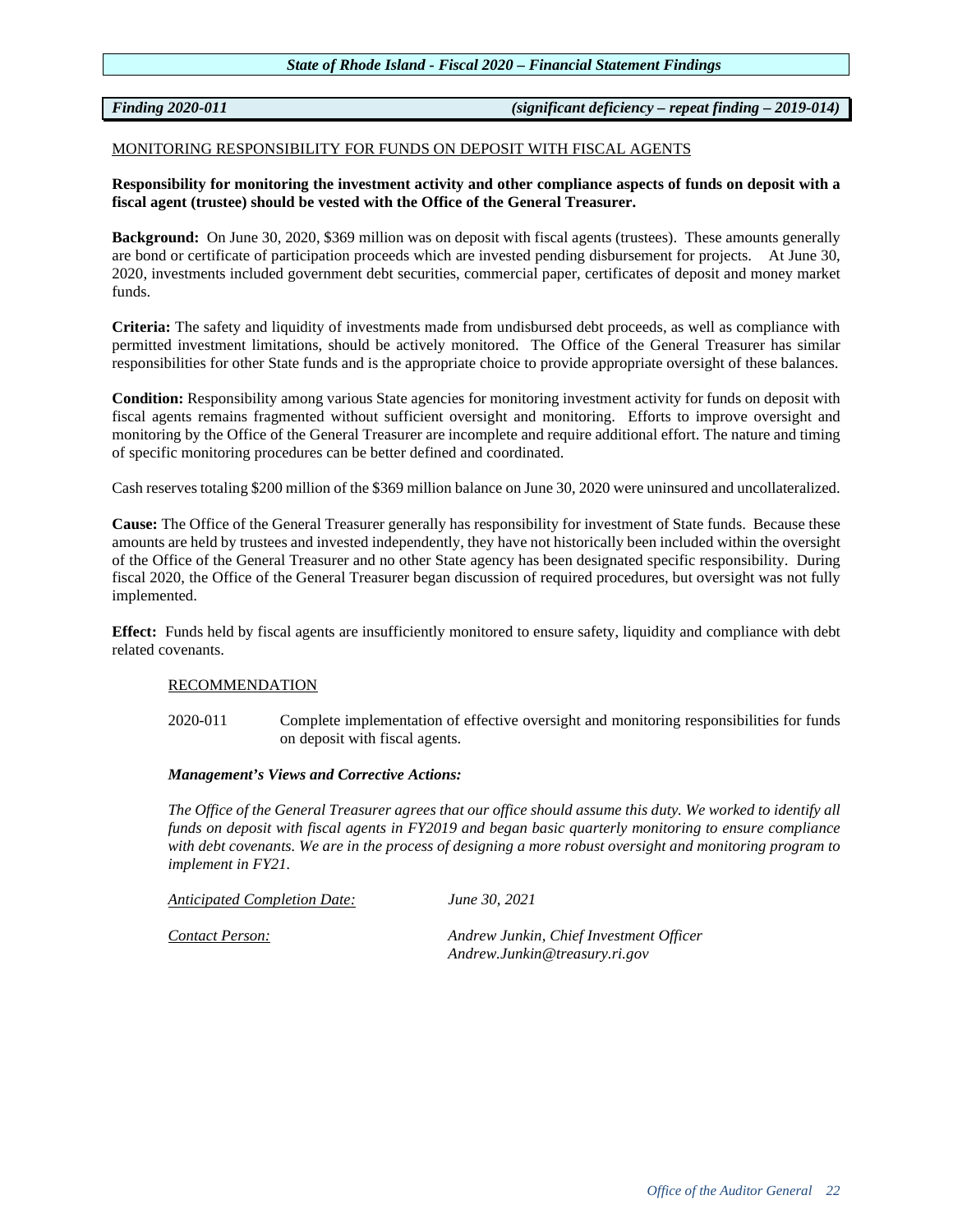*Finding 2020-011 (significant deficiency – repeat finding – 2019-014)*

# MONITORING RESPONSIBILITY FOR FUNDS ON DEPOSIT WITH FISCAL AGENTS

# **Responsibility for monitoring the investment activity and other compliance aspects of funds on deposit with a fiscal agent (trustee) should be vested with the Office of the General Treasurer.**

**Background:** On June 30, 2020, \$369 million was on deposit with fiscal agents (trustees). These amounts generally are bond or certificate of participation proceeds which are invested pending disbursement for projects. At June 30, 2020, investments included government debt securities, commercial paper, certificates of deposit and money market funds.

**Criteria:** The safety and liquidity of investments made from undisbursed debt proceeds, as well as compliance with permitted investment limitations, should be actively monitored. The Office of the General Treasurer has similar responsibilities for other State funds and is the appropriate choice to provide appropriate oversight of these balances.

**Condition:** Responsibility among various State agencies for monitoring investment activity for funds on deposit with fiscal agents remains fragmented without sufficient oversight and monitoring. Efforts to improve oversight and monitoring by the Office of the General Treasurer are incomplete and require additional effort. The nature and timing of specific monitoring procedures can be better defined and coordinated.

Cash reserves totaling \$200 million of the \$369 million balance on June 30, 2020 were uninsured and uncollateralized.

**Cause:** The Office of the General Treasurer generally has responsibility for investment of State funds. Because these amounts are held by trustees and invested independently, they have not historically been included within the oversight of the Office of the General Treasurer and no other State agency has been designated specific responsibility. During fiscal 2020, the Office of the General Treasurer began discussion of required procedures, but oversight was not fully implemented.

**Effect:** Funds held by fiscal agents are insufficiently monitored to ensure safety, liquidity and compliance with debt related covenants.

# RECOMMENDATION

2020-011 Complete implementation of effective oversight and monitoring responsibilities for funds on deposit with fiscal agents.

# *Management's Views and Corrective Actions:*

*The Office of the General Treasurer agrees that our office should assume this duty. We worked to identify all funds on deposit with fiscal agents in FY2019 and began basic quarterly monitoring to ensure compliance with debt covenants. We are in the process of designing a more robust oversight and monitoring program to implement in FY21.*

*Anticipated Completion Date: June 30, 2021*

*Contact Person: Andrew Junkin, Chief Investment Officer Andrew.Junkin@treasury.ri.gov*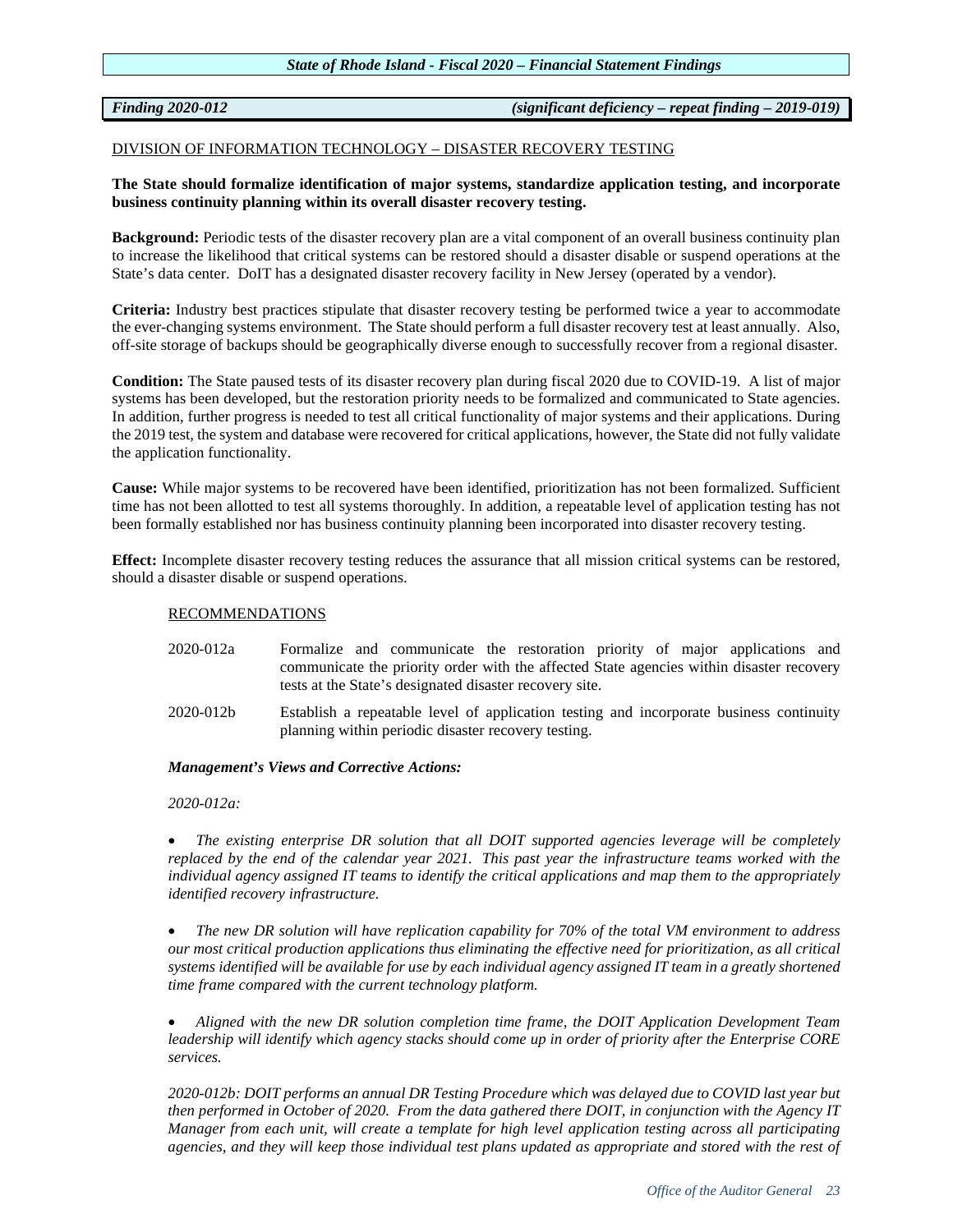*Finding 2020-012 (significant deficiency – repeat finding – 2019-019)*

# DIVISION OF INFORMATION TECHNOLOGY – DISASTER RECOVERY TESTING

# **The State should formalize identification of major systems, standardize application testing, and incorporate business continuity planning within its overall disaster recovery testing.**

**Background:** Periodic tests of the disaster recovery plan are a vital component of an overall business continuity plan to increase the likelihood that critical systems can be restored should a disaster disable or suspend operations at the State's data center. DoIT has a designated disaster recovery facility in New Jersey (operated by a vendor).

**Criteria:** Industry best practices stipulate that disaster recovery testing be performed twice a year to accommodate the ever-changing systems environment. The State should perform a full disaster recovery test at least annually. Also, off-site storage of backups should be geographically diverse enough to successfully recover from a regional disaster.

**Condition:** The State paused tests of its disaster recovery plan during fiscal 2020 due to COVID-19. A list of major systems has been developed, but the restoration priority needs to be formalized and communicated to State agencies. In addition, further progress is needed to test all critical functionality of major systems and their applications. During the 2019 test, the system and database were recovered for critical applications, however, the State did not fully validate the application functionality.

**Cause:** While major systems to be recovered have been identified, prioritization has not been formalized. Sufficient time has not been allotted to test all systems thoroughly. In addition, a repeatable level of application testing has not been formally established nor has business continuity planning been incorporated into disaster recovery testing.

**Effect:** Incomplete disaster recovery testing reduces the assurance that all mission critical systems can be restored, should a disaster disable or suspend operations.

### RECOMMENDATIONS

- 2020-012a Formalize and communicate the restoration priority of major applications and communicate the priority order with the affected State agencies within disaster recovery tests at the State's designated disaster recovery site.
- 2020-012b Establish a repeatable level of application testing and incorporate business continuity planning within periodic disaster recovery testing.

# *Management's Views and Corrective Actions:*

*2020-012a:*

• *The existing enterprise DR solution that all DOIT supported agencies leverage will be completely replaced by the end of the calendar year 2021. This past year the infrastructure teams worked with the individual agency assigned IT teams to identify the critical applications and map them to the appropriately identified recovery infrastructure.*

• *The new DR solution will have replication capability for 70% of the total VM environment to address our most critical production applications thus eliminating the effective need for prioritization, as all critical systems identified will be available for use by each individual agency assigned IT team in a greatly shortened time frame compared with the current technology platform.*

• *Aligned with the new DR solution completion time frame, the DOIT Application Development Team leadership will identify which agency stacks should come up in order of priority after the Enterprise CORE services.*

*2020-012b: DOIT performs an annual DR Testing Procedure which was delayed due to COVID last year but then performed in October of 2020. From the data gathered there DOIT, in conjunction with the Agency IT Manager from each unit, will create a template for high level application testing across all participating agencies, and they will keep those individual test plans updated as appropriate and stored with the rest of*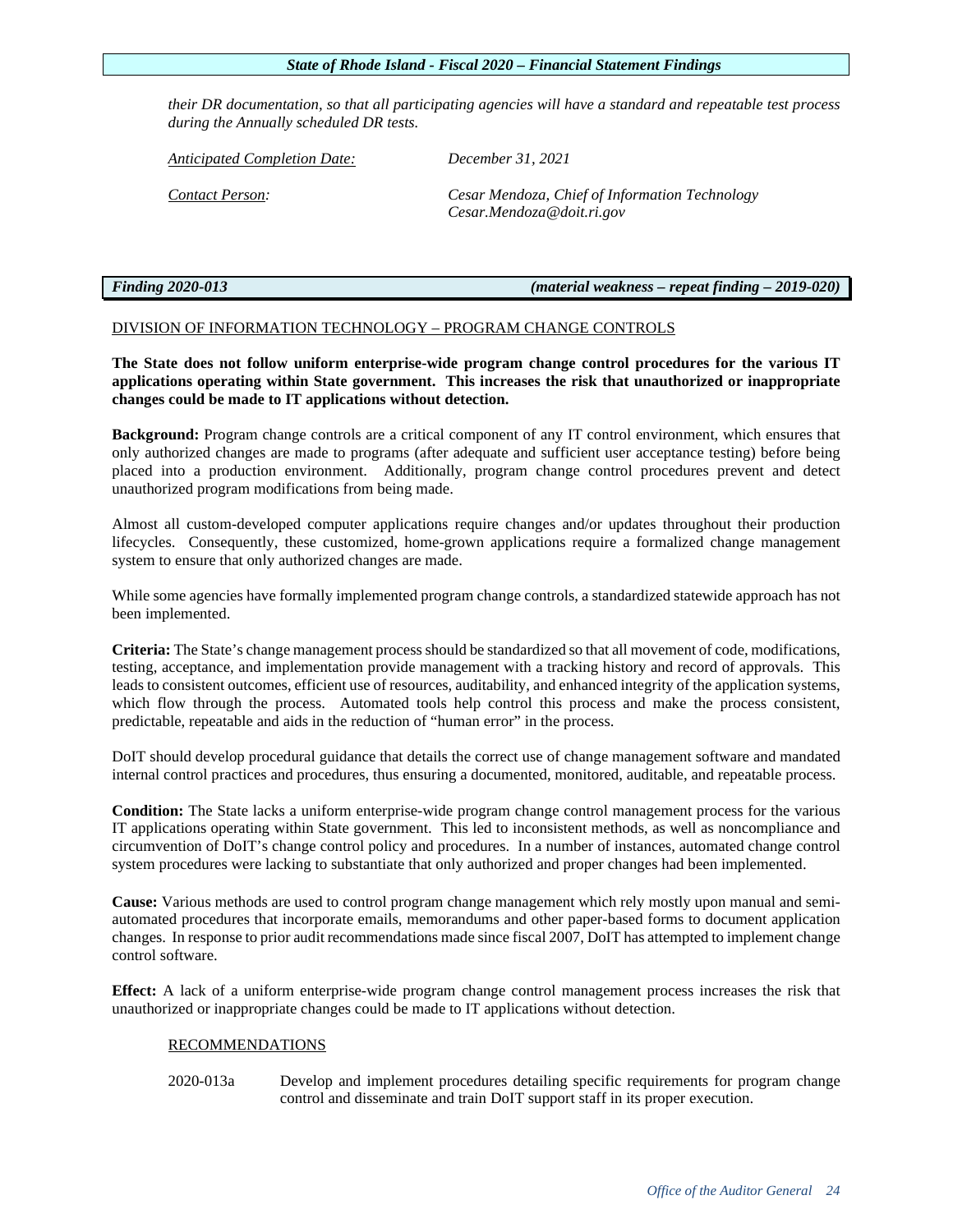*their DR documentation, so that all participating agencies will have a standard and repeatable test process during the Annually scheduled DR tests.*

*Anticipated Completion Date: December 31, 2021* 

*Contact Person: Cesar Mendoza, Chief of Information Technology Cesar.Mendoza@doit.ri.gov*

*Finding 2020-013 (material weakness – repeat finding – 2019-020)*

# DIVISION OF INFORMATION TECHNOLOGY – PROGRAM CHANGE CONTROLS

**The State does not follow uniform enterprise-wide program change control procedures for the various IT applications operating within State government. This increases the risk that unauthorized or inappropriate changes could be made to IT applications without detection.**

**Background:** Program change controls are a critical component of any IT control environment, which ensures that only authorized changes are made to programs (after adequate and sufficient user acceptance testing) before being placed into a production environment. Additionally, program change control procedures prevent and detect unauthorized program modifications from being made.

Almost all custom-developed computer applications require changes and/or updates throughout their production lifecycles. Consequently, these customized, home-grown applications require a formalized change management system to ensure that only authorized changes are made.

While some agencies have formally implemented program change controls, a standardized statewide approach has not been implemented.

**Criteria:** The State's change management process should be standardized so that all movement of code, modifications, testing, acceptance, and implementation provide management with a tracking history and record of approvals. This leads to consistent outcomes, efficient use of resources, auditability, and enhanced integrity of the application systems, which flow through the process. Automated tools help control this process and make the process consistent, predictable, repeatable and aids in the reduction of "human error" in the process.

DoIT should develop procedural guidance that details the correct use of change management software and mandated internal control practices and procedures, thus ensuring a documented, monitored, auditable, and repeatable process.

**Condition:** The State lacks a uniform enterprise-wide program change control management process for the various IT applications operating within State government. This led to inconsistent methods, as well as noncompliance and circumvention of DoIT's change control policy and procedures. In a number of instances, automated change control system procedures were lacking to substantiate that only authorized and proper changes had been implemented.

**Cause:** Various methods are used to control program change management which rely mostly upon manual and semiautomated procedures that incorporate emails, memorandums and other paper-based forms to document application changes. In response to prior audit recommendations made since fiscal 2007, DoIT has attempted to implement change control software.

**Effect:** A lack of a uniform enterprise-wide program change control management process increases the risk that unauthorized or inappropriate changes could be made to IT applications without detection.

# RECOMMENDATIONS

2020-013a Develop and implement procedures detailing specific requirements for program change control and disseminate and train DoIT support staff in its proper execution.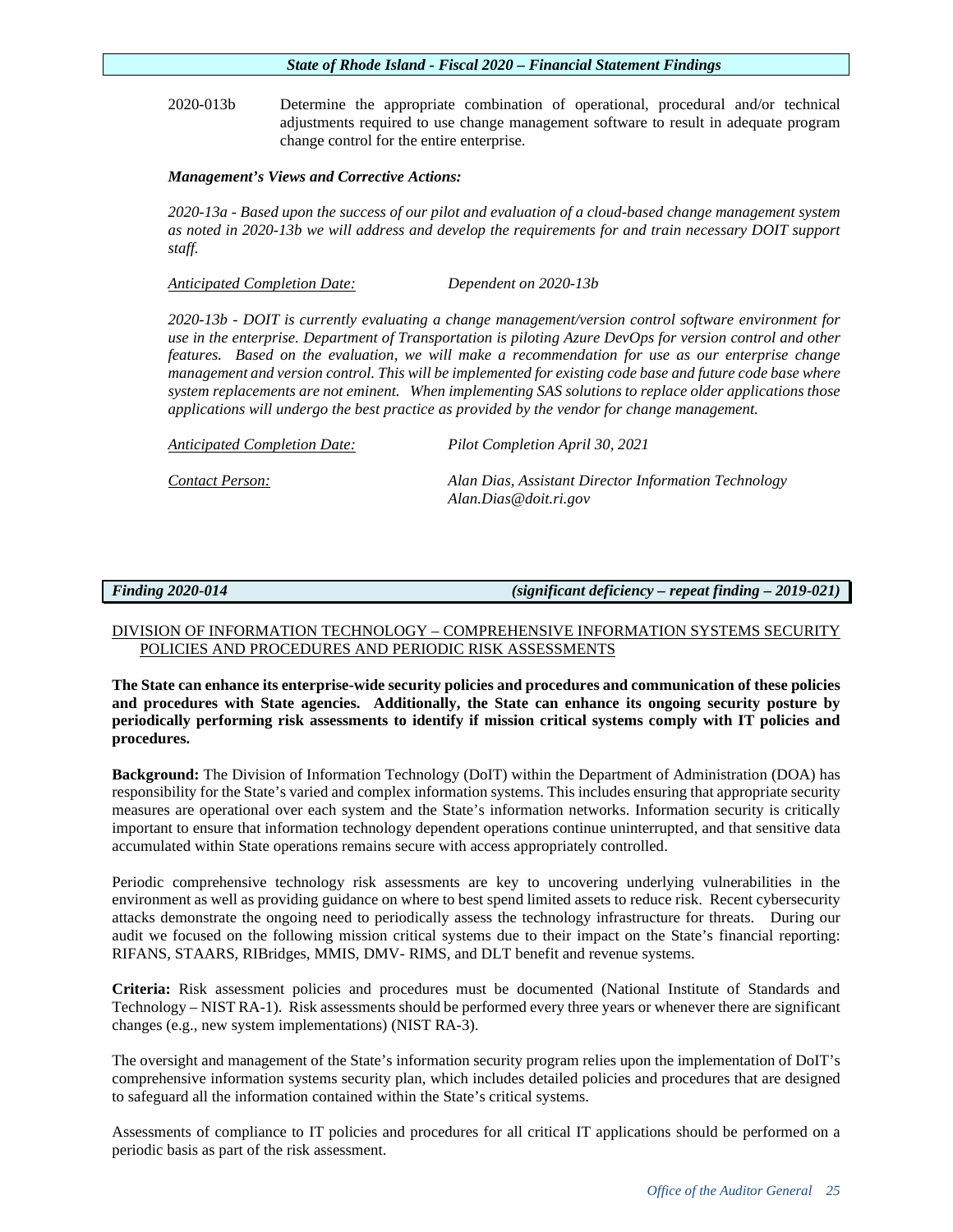2020-013b Determine the appropriate combination of operational, procedural and/or technical adjustments required to use change management software to result in adequate program change control for the entire enterprise.

# *Management's Views and Corrective Actions:*

*2020-13a - Based upon the success of our pilot and evaluation of a cloud-based change management system as noted in 2020-13b we will address and develop the requirements for and train necessary DOIT support staff.*

*Anticipated Completion Date: Dependent on 2020-13b* 

*2020-13b - DOIT is currently evaluating a change management/version control software environment for use in the enterprise. Department of Transportation is piloting Azure DevOps for version control and other features. Based on the evaluation, we will make a recommendation for use as our enterprise change management and version control. This will be implemented for existing code base and future code base where system replacements are not eminent. When implementing SAS solutions to replace older applications those applications will undergo the best practice as provided by the vendor for change management.* 

*Anticipated Completion Date: Pilot Completion April 30, 2021 Contact Person: Alan Dias, Assistant Director Information Technology Alan.Dias@doit.ri.gov*

*Finding 2020-014 (significant deficiency – repeat finding – 2019-021)*

# DIVISION OF INFORMATION TECHNOLOGY – COMPREHENSIVE INFORMATION SYSTEMS SECURITY POLICIES AND PROCEDURES AND PERIODIC RISK ASSESSMENTS

**The State can enhance its enterprise-wide security policies and procedures and communication of these policies and procedures with State agencies. Additionally, the State can enhance its ongoing security posture by periodically performing risk assessments to identify if mission critical systems comply with IT policies and procedures.**

**Background:** The Division of Information Technology (DoIT) within the Department of Administration (DOA) has responsibility for the State's varied and complex information systems. This includes ensuring that appropriate security measures are operational over each system and the State's information networks. Information security is critically important to ensure that information technology dependent operations continue uninterrupted, and that sensitive data accumulated within State operations remains secure with access appropriately controlled.

Periodic comprehensive technology risk assessments are key to uncovering underlying vulnerabilities in the environment as well as providing guidance on where to best spend limited assets to reduce risk. Recent cybersecurity attacks demonstrate the ongoing need to periodically assess the technology infrastructure for threats. During our audit we focused on the following mission critical systems due to their impact on the State's financial reporting: RIFANS, STAARS, RIBridges, MMIS, DMV- RIMS, and DLT benefit and revenue systems.

**Criteria:** Risk assessment policies and procedures must be documented (National Institute of Standards and Technology – NIST RA-1). Risk assessments should be performed every three years or whenever there are significant changes (e.g., new system implementations) (NIST RA-3).

The oversight and management of the State's information security program relies upon the implementation of DoIT's comprehensive information systems security plan, which includes detailed policies and procedures that are designed to safeguard all the information contained within the State's critical systems.

Assessments of compliance to IT policies and procedures for all critical IT applications should be performed on a periodic basis as part of the risk assessment.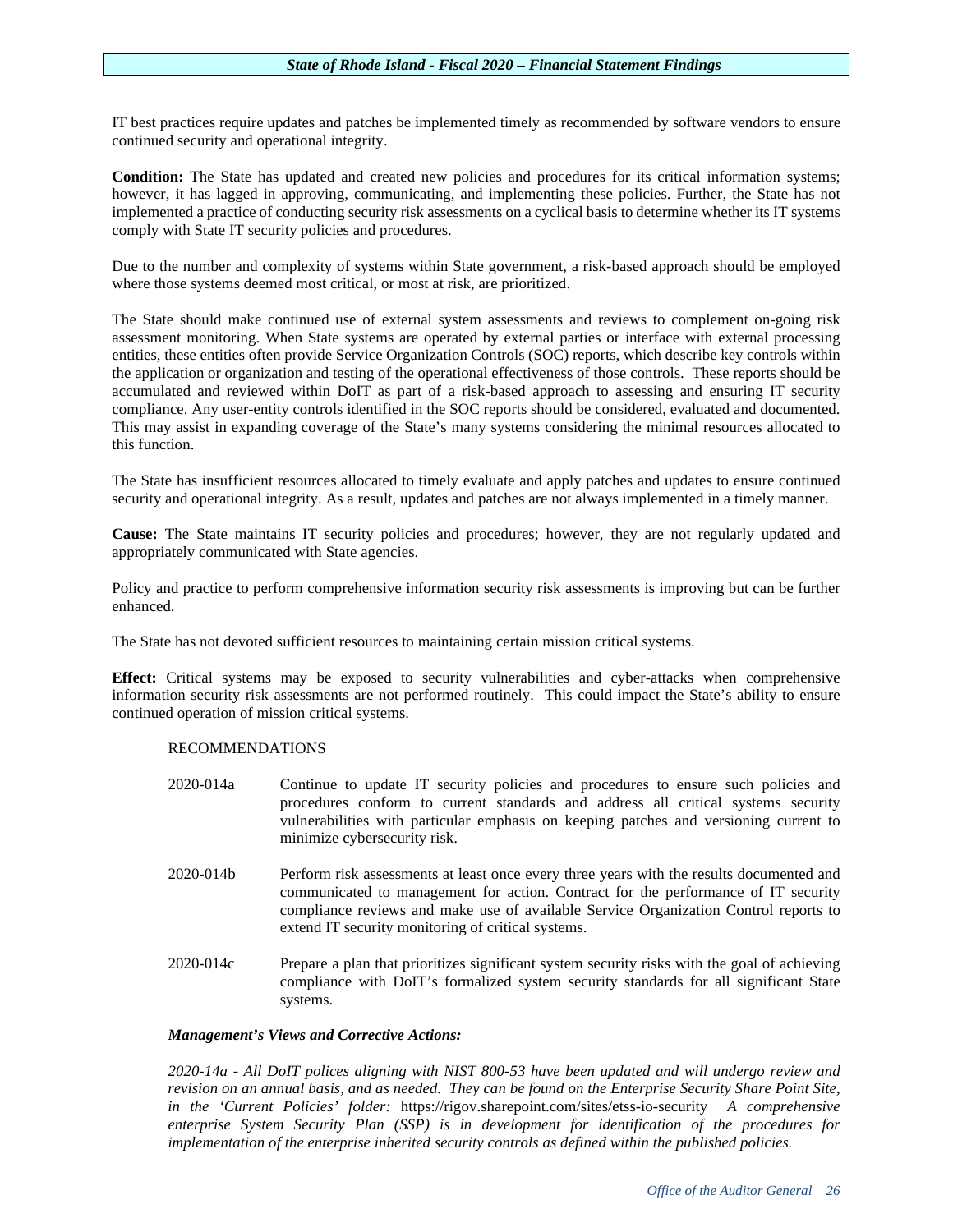IT best practices require updates and patches be implemented timely as recommended by software vendors to ensure continued security and operational integrity.

**Condition:** The State has updated and created new policies and procedures for its critical information systems; however, it has lagged in approving, communicating, and implementing these policies. Further, the State has not implemented a practice of conducting security risk assessments on a cyclical basis to determine whether its IT systems comply with State IT security policies and procedures.

Due to the number and complexity of systems within State government, a risk-based approach should be employed where those systems deemed most critical, or most at risk, are prioritized.

The State should make continued use of external system assessments and reviews to complement on-going risk assessment monitoring. When State systems are operated by external parties or interface with external processing entities, these entities often provide Service Organization Controls (SOC) reports, which describe key controls within the application or organization and testing of the operational effectiveness of those controls. These reports should be accumulated and reviewed within DoIT as part of a risk-based approach to assessing and ensuring IT security compliance. Any user-entity controls identified in the SOC reports should be considered, evaluated and documented. This may assist in expanding coverage of the State's many systems considering the minimal resources allocated to this function.

The State has insufficient resources allocated to timely evaluate and apply patches and updates to ensure continued security and operational integrity. As a result, updates and patches are not always implemented in a timely manner.

**Cause:** The State maintains IT security policies and procedures; however, they are not regularly updated and appropriately communicated with State agencies.

Policy and practice to perform comprehensive information security risk assessments is improving but can be further enhanced.

The State has not devoted sufficient resources to maintaining certain mission critical systems.

**Effect:** Critical systems may be exposed to security vulnerabilities and cyber-attacks when comprehensive information security risk assessments are not performed routinely. This could impact the State's ability to ensure continued operation of mission critical systems.

# RECOMMENDATIONS

- 2020-014a Continue to update IT security policies and procedures to ensure such policies and procedures conform to current standards and address all critical systems security vulnerabilities with particular emphasis on keeping patches and versioning current to minimize cybersecurity risk.
- 2020-014b Perform risk assessments at least once every three years with the results documented and communicated to management for action. Contract for the performance of IT security compliance reviews and make use of available Service Organization Control reports to extend IT security monitoring of critical systems.
- 2020-014c Prepare a plan that prioritizes significant system security risks with the goal of achieving compliance with DoIT's formalized system security standards for all significant State systems.

# *Management's Views and Corrective Actions:*

*2020-14a - All DoIT polices aligning with NIST 800-53 have been updated and will undergo review and revision on an annual basis, and as needed. They can be found on the Enterprise Security Share Point Site, in the 'Current Policies' folder:* <https://rigov.sharepoint.com/sites/etss-io-security> *A comprehensive enterprise System Security Plan (SSP) is in development for identification of the procedures for implementation of the enterprise inherited security controls as defined within the published policies.*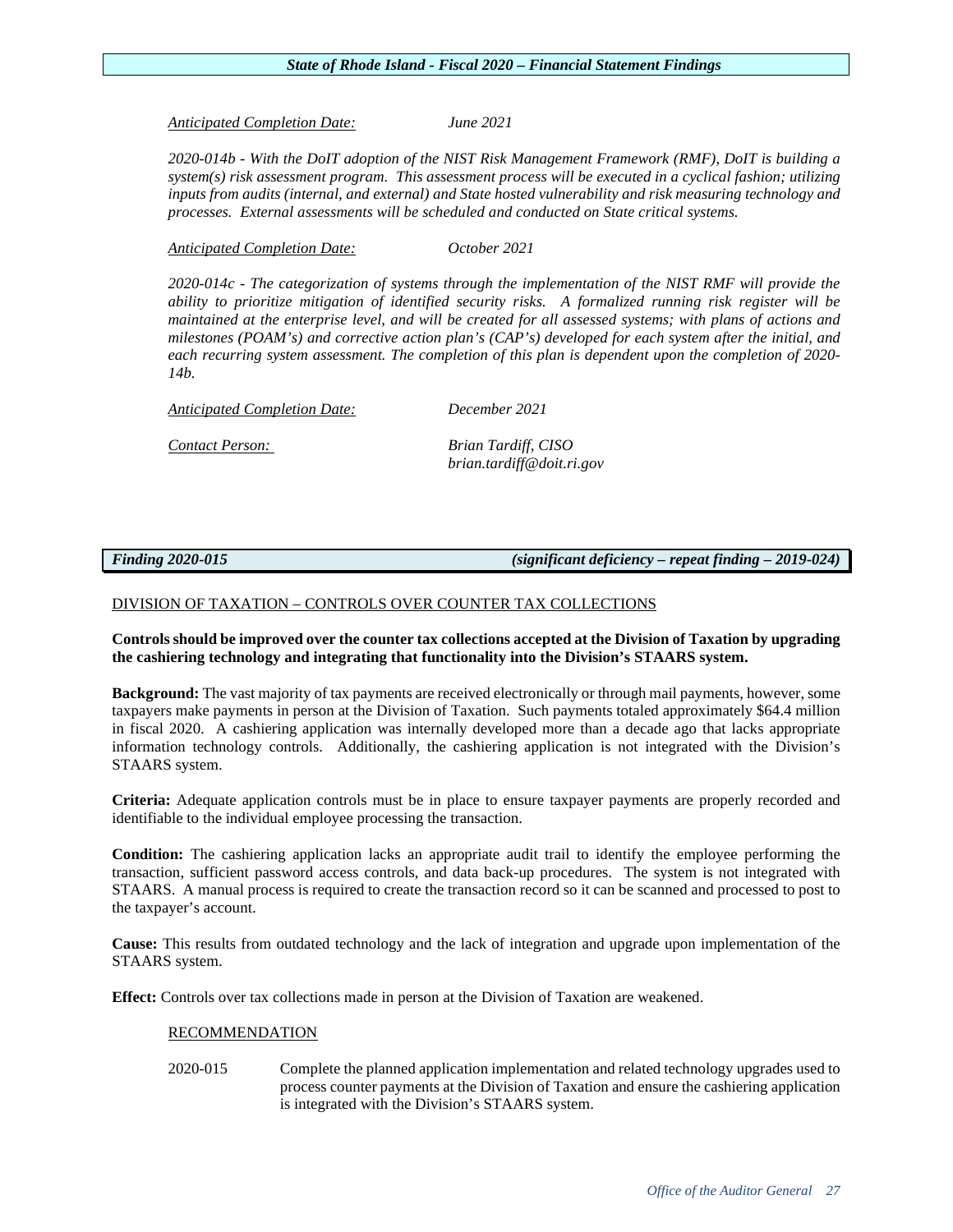*Anticipated Completion Date: June 2021*

*2020-014b - With the DoIT adoption of the NIST Risk Management Framework (RMF), DoIT is building a system(s) risk assessment program. This assessment process will be executed in a cyclical fashion; utilizing inputs from audits (internal, and external) and State hosted vulnerability and risk measuring technology and processes. External assessments will be scheduled and conducted on State critical systems.*

*Anticipated Completion Date: October 2021*

*2020-014c - The categorization of systems through the implementation of the NIST RMF will provide the ability to prioritize mitigation of identified security risks. A formalized running risk register will be maintained at the enterprise level, and will be created for all assessed systems; with plans of actions and milestones (POAM's) and corrective action plan's (CAP's) developed for each system after the initial, and each recurring system assessment. The completion of this plan is dependent upon the completion of 2020- 14b.*

*Anticipated Completion Date: December 2021*

*Contact Person: Brian Tardiff, CISO brian.tardiff@doit.ri.gov*

*Finding 2020-015 (significant deficiency – repeat finding – 2019-024)*

# DIVISION OF TAXATION – CONTROLS OVER COUNTER TAX COLLECTIONS

# **Controls should be improved over the counter tax collections accepted at the Division of Taxation by upgrading the cashiering technology and integrating that functionality into the Division's STAARS system.**

**Background:** The vast majority of tax payments are received electronically or through mail payments, however, some taxpayers make payments in person at the Division of Taxation. Such payments totaled approximately \$64.4 million in fiscal 2020. A cashiering application was internally developed more than a decade ago that lacks appropriate information technology controls. Additionally, the cashiering application is not integrated with the Division's STAARS system.

**Criteria:** Adequate application controls must be in place to ensure taxpayer payments are properly recorded and identifiable to the individual employee processing the transaction.

**Condition:** The cashiering application lacks an appropriate audit trail to identify the employee performing the transaction, sufficient password access controls, and data back-up procedures. The system is not integrated with STAARS. A manual process is required to create the transaction record so it can be scanned and processed to post to the taxpayer's account.

**Cause:** This results from outdated technology and the lack of integration and upgrade upon implementation of the STAARS system.

**Effect:** Controls over tax collections made in person at the Division of Taxation are weakened.

# RECOMMENDATION

2020-015 Complete the planned application implementation and related technology upgrades used to process counter payments at the Division of Taxation and ensure the cashiering application is integrated with the Division's STAARS system.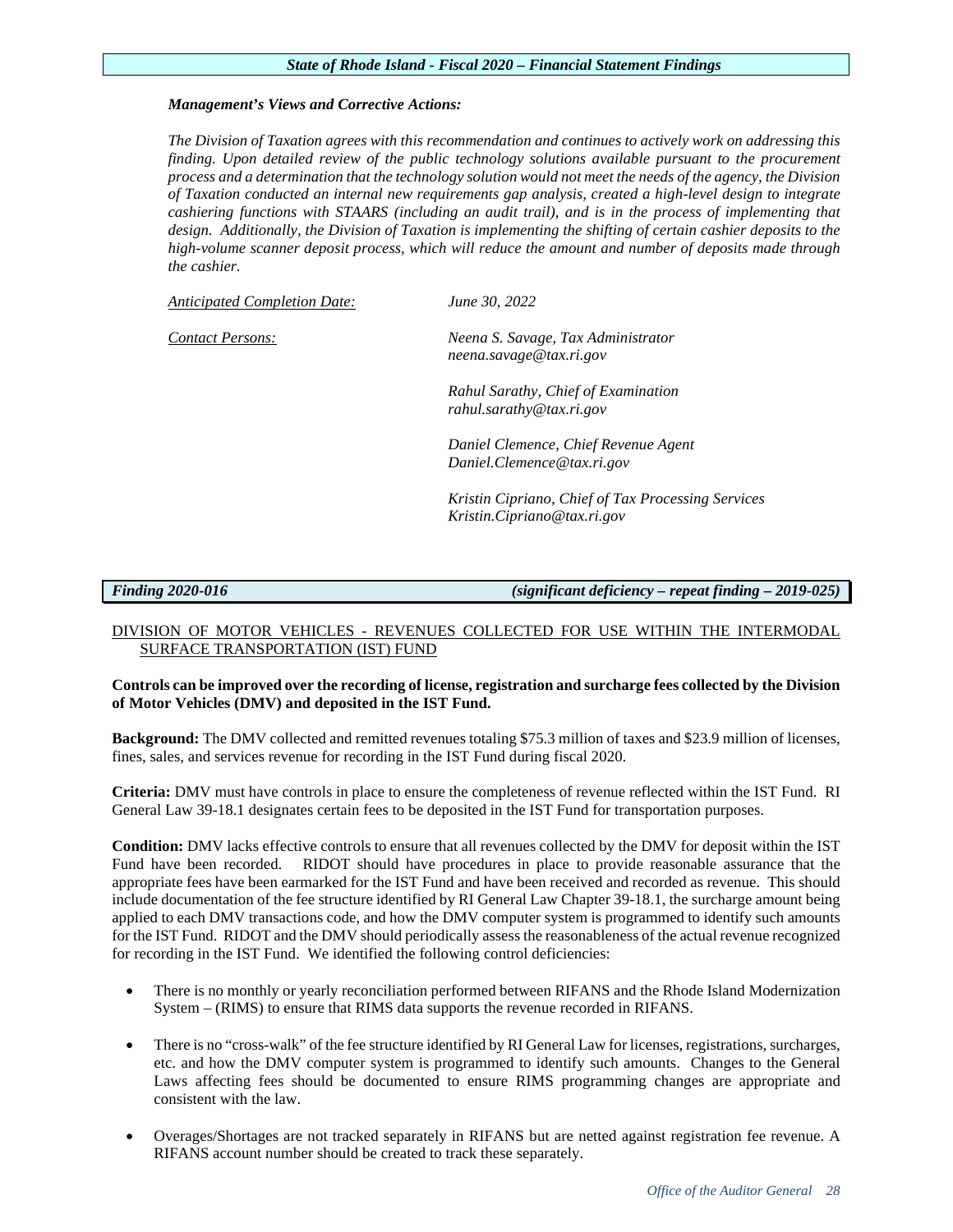# *Management's Views and Corrective Actions:*

*The Division of Taxation agrees with this recommendation and continues to actively work on addressing this finding. Upon detailed review of the public technology solutions available pursuant to the procurement process and a determination that the technology solution would not meet the needs of the agency, the Division of Taxation conducted an internal new requirements gap analysis, created a high-level design to integrate cashiering functions with STAARS (including an audit trail), and is in the process of implementing that*  design. Additionally, the Division of Taxation is implementing the shifting of certain cashier deposits to the *high-volume scanner deposit process, which will reduce the amount and number of deposits made through the cashier.* 

*Anticipated Completion Date: June 30, 2022* 

*Contact Persons: Neena S. Savage, Tax Administrator neena.savage@tax.ri.gov*

> *Rahul Sarathy, Chief of Examination rahul.sarathy@tax.ri.gov*

*Daniel Clemence, Chief Revenue Agent Daniel.Clemence@tax.ri.gov*

*Kristin Cipriano, Chief of Tax Processing Services Kristin.Cipriano@tax.ri.gov*

*Finding 2020-016 (significant deficiency – repeat finding – 2019-025)*

# DIVISION OF MOTOR VEHICLES - REVENUES COLLECTED FOR USE WITHIN THE INTERMODAL SURFACE TRANSPORTATION (IST) FUND

# **Controls can be improved over the recording of license, registration and surcharge fees collected by the Division of Motor Vehicles (DMV) and deposited in the IST Fund.**

**Background:** The DMV collected and remitted revenues totaling \$75.3 million of taxes and \$23.9 million of licenses, fines, sales, and services revenue for recording in the IST Fund during fiscal 2020.

**Criteria:** DMV must have controls in place to ensure the completeness of revenue reflected within the IST Fund. RI General Law 39-18.1 designates certain fees to be deposited in the IST Fund for transportation purposes.

**Condition:** DMV lacks effective controls to ensure that all revenues collected by the DMV for deposit within the IST Fund have been recorded. RIDOT should have procedures in place to provide reasonable assurance that the appropriate fees have been earmarked for the IST Fund and have been received and recorded as revenue. This should include documentation of the fee structure identified by RI General Law Chapter 39-18.1, the surcharge amount being applied to each DMV transactions code, and how the DMV computer system is programmed to identify such amounts for the IST Fund. RIDOT and the DMV should periodically assess the reasonableness of the actual revenue recognized for recording in the IST Fund. We identified the following control deficiencies:

- There is no monthly or yearly reconciliation performed between RIFANS and the Rhode Island Modernization System – (RIMS) to ensure that RIMS data supports the revenue recorded in RIFANS.
- There is no "cross-walk" of the fee structure identified by RI General Law for licenses, registrations, surcharges, etc. and how the DMV computer system is programmed to identify such amounts. Changes to the General Laws affecting fees should be documented to ensure RIMS programming changes are appropriate and consistent with the law.
- Overages/Shortages are not tracked separately in RIFANS but are netted against registration fee revenue. A RIFANS account number should be created to track these separately.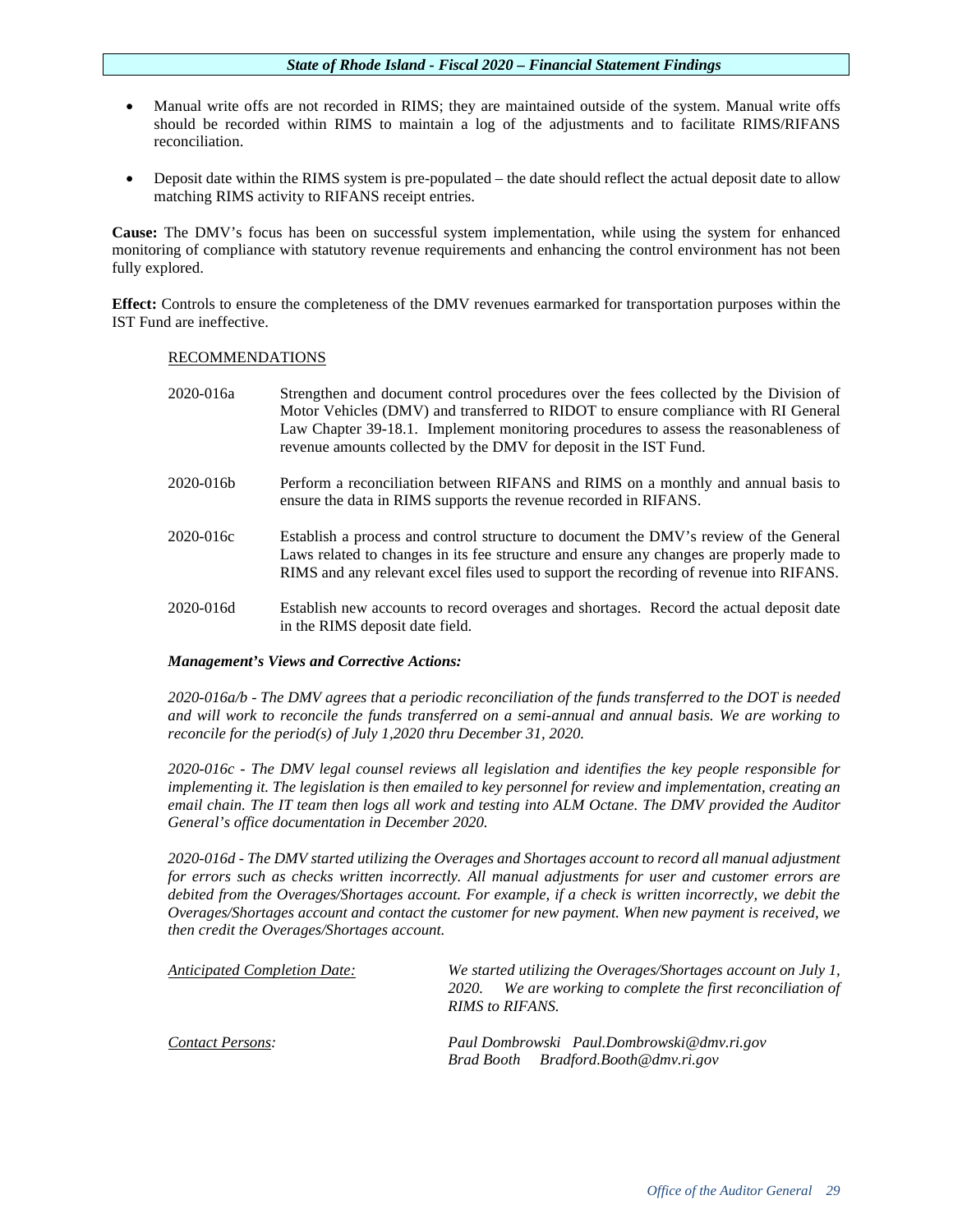- Manual write offs are not recorded in RIMS; they are maintained outside of the system. Manual write offs should be recorded within RIMS to maintain a log of the adjustments and to facilitate RIMS/RIFANS reconciliation.
- Deposit date within the RIMS system is pre-populated the date should reflect the actual deposit date to allow matching RIMS activity to RIFANS receipt entries.

**Cause:** The DMV's focus has been on successful system implementation, while using the system for enhanced monitoring of compliance with statutory revenue requirements and enhancing the control environment has not been fully explored.

**Effect:** Controls to ensure the completeness of the DMV revenues earmarked for transportation purposes within the IST Fund are ineffective.

# RECOMMENDATIONS

| 2020-016a | Strengthen and document control procedures over the fees collected by the Division of<br>Motor Vehicles (DMV) and transferred to RIDOT to ensure compliance with RI General<br>Law Chapter 39-18.1. Implement monitoring procedures to assess the reasonableness of<br>revenue amounts collected by the DMV for deposit in the IST Fund. |
|-----------|------------------------------------------------------------------------------------------------------------------------------------------------------------------------------------------------------------------------------------------------------------------------------------------------------------------------------------------|
| 2020-016b | Perform a reconciliation between RIFANS and RIMS on a monthly and annual basis to<br>ensure the data in RIMS supports the revenue recorded in RIFANS.                                                                                                                                                                                    |
| 2020-016c | Establish a process and control structure to document the DMV's review of the General<br>Laws related to changes in its fee structure and ensure any changes are properly made to                                                                                                                                                        |

2020-016d Establish new accounts to record overages and shortages. Record the actual deposit date in the RIMS deposit date field.

RIMS and any relevant excel files used to support the recording of revenue into RIFANS.

# *Management's Views and Corrective Actions:*

*2020-016a/b - The DMV agrees that a periodic reconciliation of the funds transferred to the DOT is needed and will work to reconcile the funds transferred on a semi-annual and annual basis. We are working to reconcile for the period(s) of July 1,2020 thru December 31, 2020.* 

*2020-016c - The DMV legal counsel reviews all legislation and identifies the key people responsible for implementing it. The legislation is then emailed to key personnel for review and implementation, creating an email chain. The IT team then logs all work and testing into ALM Octane. The DMV provided the Auditor General's office documentation in December 2020.*

*2020-016d - The DMV started utilizing the Overages and Shortages account to record all manual adjustment for errors such as checks written incorrectly. All manual adjustments for user and customer errors are debited from the Overages/Shortages account. For example, if a check is written incorrectly, we debit the Overages/Shortages account and contact the customer for new payment. When new payment is received, we then credit the Overages/Shortages account.* 

| <b>Anticipated Completion Date:</b> | We started utilizing the Overages/Shortages account on July 1,<br>We are working to complete the first reconciliation of<br><i>2020.</i><br><b>RIMS</b> to <b>RIFANS</b> . |
|-------------------------------------|----------------------------------------------------------------------------------------------------------------------------------------------------------------------------|
| <b>Contact Persons:</b>             | Paul Dombrowski Paul.Dombrowski@dmv.ri.gov<br>Brad Booth Bradford.Booth@dmv.ri.gov                                                                                         |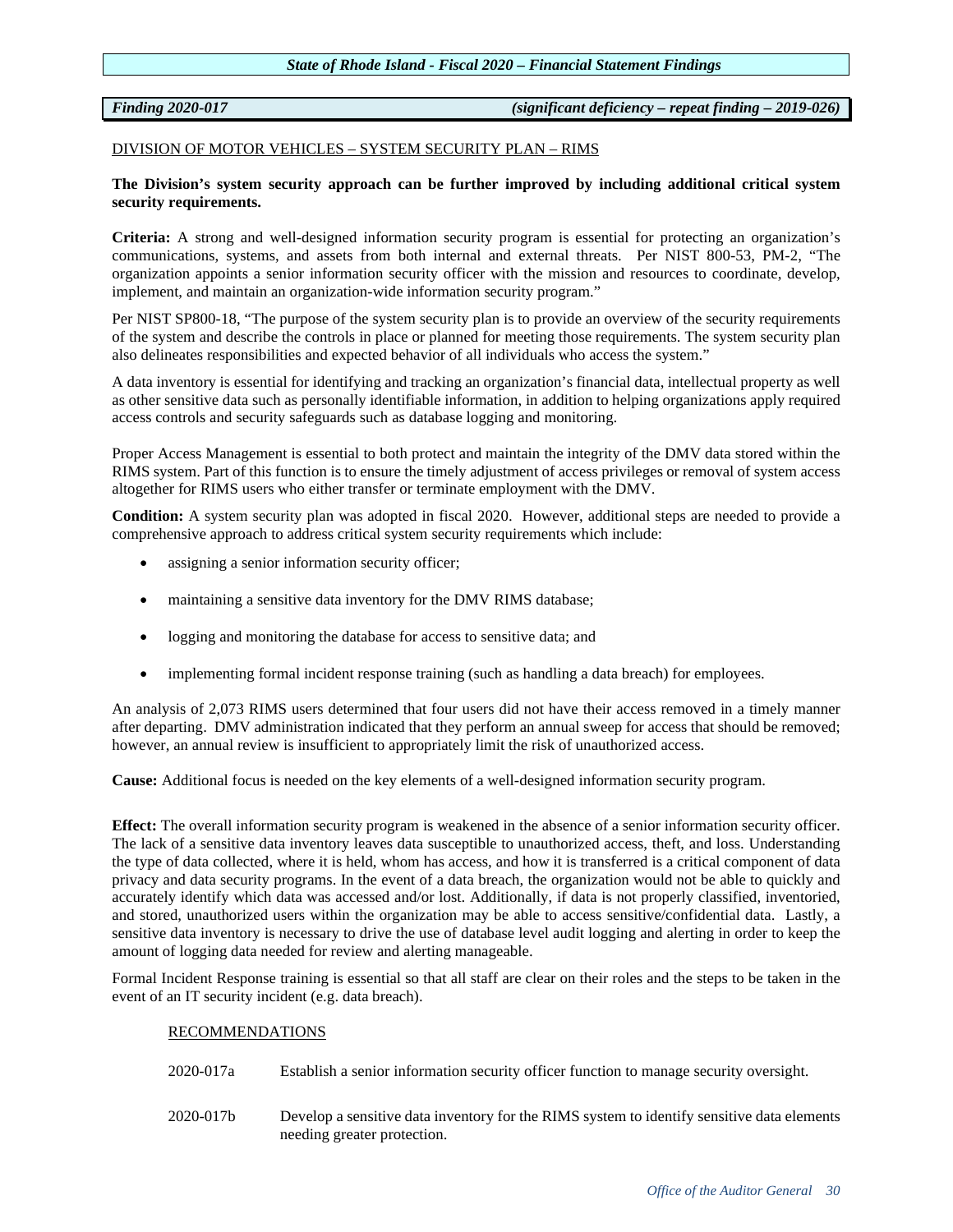*Finding 2020-017 (significant deficiency – repeat finding – 2019-026)*

# DIVISION OF MOTOR VEHICLES – SYSTEM SECURITY PLAN – RIMS

# **The Division's system security approach can be further improved by including additional critical system security requirements.**

**Criteria:** A strong and well-designed information security program is essential for protecting an organization's communications, systems, and assets from both internal and external threats. Per NIST 800-53, PM-2, "The organization appoints a senior information security officer with the mission and resources to coordinate, develop, implement, and maintain an organization-wide information security program."

Per NIST SP800-18, "The purpose of the system security plan is to provide an overview of the security requirements of the system and describe the controls in place or planned for meeting those requirements. The system security plan also delineates responsibilities and expected behavior of all individuals who access the system."

A data inventory is essential for identifying and tracking an organization's financial data, intellectual property as well as other sensitive data such as personally identifiable information, in addition to helping organizations apply required access controls and security safeguards such as database logging and monitoring.

Proper Access Management is essential to both protect and maintain the integrity of the DMV data stored within the RIMS system. Part of this function is to ensure the timely adjustment of access privileges or removal of system access altogether for RIMS users who either transfer or terminate employment with the DMV.

**Condition:** A system security plan was adopted in fiscal 2020. However, additional steps are needed to provide a comprehensive approach to address critical system security requirements which include:

- assigning a senior information security officer;
- maintaining a sensitive data inventory for the DMV RIMS database;
- logging and monitoring the database for access to sensitive data; and
- implementing formal incident response training (such as handling a data breach) for employees.

An analysis of 2,073 RIMS users determined that four users did not have their access removed in a timely manner after departing. DMV administration indicated that they perform an annual sweep for access that should be removed; however, an annual review is insufficient to appropriately limit the risk of unauthorized access.

**Cause:** Additional focus is needed on the key elements of a well-designed information security program.

**Effect:** The overall information security program is weakened in the absence of a senior information security officer. The lack of a sensitive data inventory leaves data susceptible to unauthorized access, theft, and loss. Understanding the type of data collected, where it is held, whom has access, and how it is transferred is a critical component of data privacy and data security programs. In the event of a data breach, the organization would not be able to quickly and accurately identify which data was accessed and/or lost. Additionally, if data is not properly classified, inventoried, and stored, unauthorized users within the organization may be able to access sensitive/confidential data. Lastly, a sensitive data inventory is necessary to drive the use of database level audit logging and alerting in order to keep the amount of logging data needed for review and alerting manageable.

Formal Incident Response training is essential so that all staff are clear on their roles and the steps to be taken in the event of an IT security incident (e.g. data breach).

# RECOMMENDATIONS

- 2020-017a Establish a senior information security officer function to manage security oversight.
- 2020-017b Develop a sensitive data inventory for the RIMS system to identify sensitive data elements needing greater protection.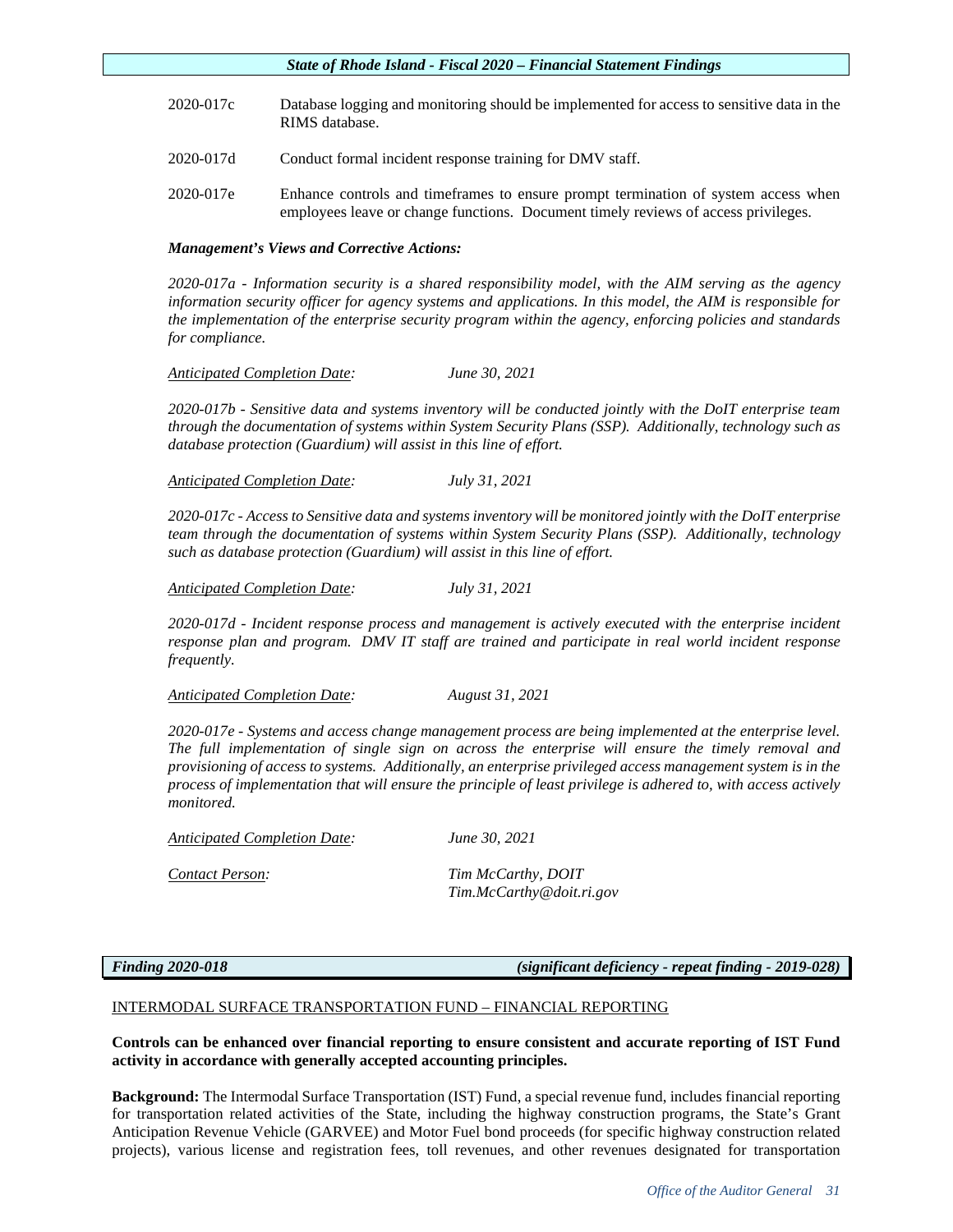- 2020-017c Database logging and monitoring should be implemented for access to sensitive data in the RIMS database.
- 2020-017d Conduct formal incident response training for DMV staff.
- 2020-017e Enhance controls and timeframes to ensure prompt termination of system access when employees leave or change functions. Document timely reviews of access privileges.

# *Management's Views and Corrective Actions:*

*2020-017a - Information security is a shared responsibility model, with the AIM serving as the agency information security officer for agency systems and applications. In this model, the AIM is responsible for the implementation of the enterprise security program within the agency, enforcing policies and standards for compliance.*

# *Anticipated Completion Date: June 30, 2021*

*2020-017b - Sensitive data and systems inventory will be conducted jointly with the DoIT enterprise team through the documentation of systems within System Security Plans (SSP). Additionally, technology such as database protection (Guardium) will assist in this line of effort.*

*Anticipated Completion Date: July 31, 2021*

*2020-017c - Access to Sensitive data and systems inventory will be monitored jointly with the DoIT enterprise team through the documentation of systems within System Security Plans (SSP). Additionally, technology such as database protection (Guardium) will assist in this line of effort.*

*Anticipated Completion Date: July 31, 2021*

*2020-017d - Incident response process and management is actively executed with the enterprise incident response plan and program. DMV IT staff are trained and participate in real world incident response frequently.*

*Anticipated Completion Date: August 31, 2021*

*2020-017e - Systems and access change management process are being implemented at the enterprise level. The full implementation of single sign on across the enterprise will ensure the timely removal and provisioning of access to systems. Additionally, an enterprise privileged access management system is in the process of implementation that will ensure the principle of least privilege is adhered to, with access actively monitored.*

*Anticipated Completion Date: June 30, 2021* 

*Contact Person: Tim McCarthy, DOIT Tim.McCarthy@doit.ri.gov*

*Finding 2020-018 (significant deficiency - repeat finding - 2019-028)*

# INTERMODAL SURFACE TRANSPORTATION FUND – FINANCIAL REPORTING

# **Controls can be enhanced over financial reporting to ensure consistent and accurate reporting of IST Fund activity in accordance with generally accepted accounting principles.**

**Background:** The Intermodal Surface Transportation (IST) Fund, a special revenue fund, includes financial reporting for transportation related activities of the State, including the highway construction programs, the State's Grant Anticipation Revenue Vehicle (GARVEE) and Motor Fuel bond proceeds (for specific highway construction related projects), various license and registration fees, toll revenues, and other revenues designated for transportation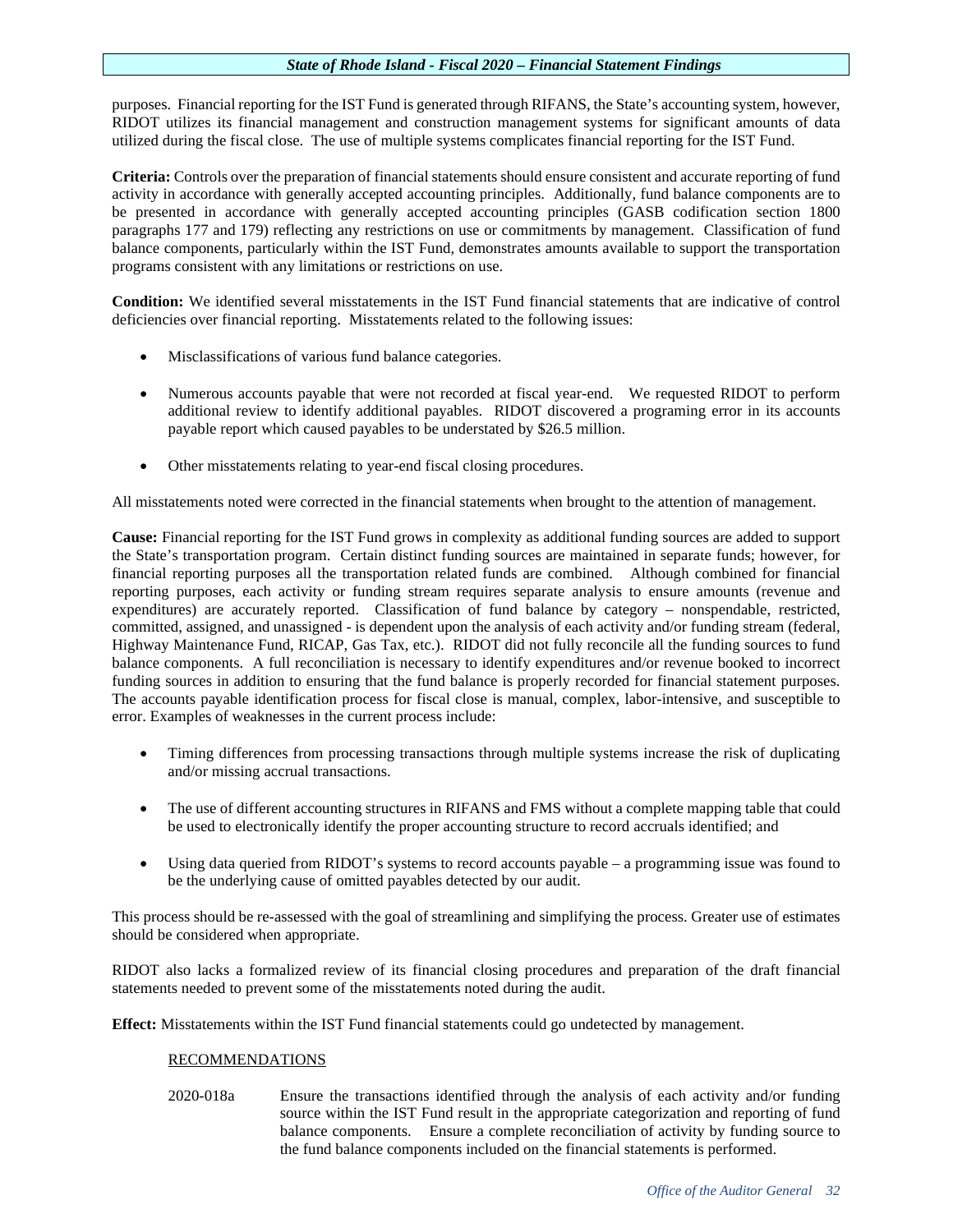purposes. Financial reporting for the IST Fund is generated through RIFANS, the State's accounting system, however, RIDOT utilizes its financial management and construction management systems for significant amounts of data utilized during the fiscal close. The use of multiple systems complicates financial reporting for the IST Fund.

**Criteria:** Controls over the preparation of financial statements should ensure consistent and accurate reporting of fund activity in accordance with generally accepted accounting principles. Additionally, fund balance components are to be presented in accordance with generally accepted accounting principles (GASB codification section 1800 paragraphs 177 and 179) reflecting any restrictions on use or commitments by management. Classification of fund balance components, particularly within the IST Fund, demonstrates amounts available to support the transportation programs consistent with any limitations or restrictions on use.

**Condition:** We identified several misstatements in the IST Fund financial statements that are indicative of control deficiencies over financial reporting. Misstatements related to the following issues:

- Misclassifications of various fund balance categories.
- Numerous accounts payable that were not recorded at fiscal year-end. We requested RIDOT to perform additional review to identify additional payables. RIDOT discovered a programing error in its accounts payable report which caused payables to be understated by \$26.5 million.
- Other misstatements relating to year-end fiscal closing procedures.

All misstatements noted were corrected in the financial statements when brought to the attention of management.

**Cause:** Financial reporting for the IST Fund grows in complexity as additional funding sources are added to support the State's transportation program. Certain distinct funding sources are maintained in separate funds; however, for financial reporting purposes all the transportation related funds are combined. Although combined for financial reporting purposes, each activity or funding stream requires separate analysis to ensure amounts (revenue and expenditures) are accurately reported. Classification of fund balance by category – nonspendable, restricted, committed, assigned, and unassigned - is dependent upon the analysis of each activity and/or funding stream (federal, Highway Maintenance Fund, RICAP, Gas Tax, etc.). RIDOT did not fully reconcile all the funding sources to fund balance components. A full reconciliation is necessary to identify expenditures and/or revenue booked to incorrect funding sources in addition to ensuring that the fund balance is properly recorded for financial statement purposes. The accounts payable identification process for fiscal close is manual, complex, labor-intensive, and susceptible to error. Examples of weaknesses in the current process include:

- Timing differences from processing transactions through multiple systems increase the risk of duplicating and/or missing accrual transactions.
- The use of different accounting structures in RIFANS and FMS without a complete mapping table that could be used to electronically identify the proper accounting structure to record accruals identified; and
- Using data queried from RIDOT's systems to record accounts payable a programming issue was found to be the underlying cause of omitted payables detected by our audit.

This process should be re-assessed with the goal of streamlining and simplifying the process. Greater use of estimates should be considered when appropriate.

RIDOT also lacks a formalized review of its financial closing procedures and preparation of the draft financial statements needed to prevent some of the misstatements noted during the audit.

**Effect:** Misstatements within the IST Fund financial statements could go undetected by management.

# RECOMMENDATIONS

2020-018a Ensure the transactions identified through the analysis of each activity and/or funding source within the IST Fund result in the appropriate categorization and reporting of fund balance components. Ensure a complete reconciliation of activity by funding source to the fund balance components included on the financial statements is performed.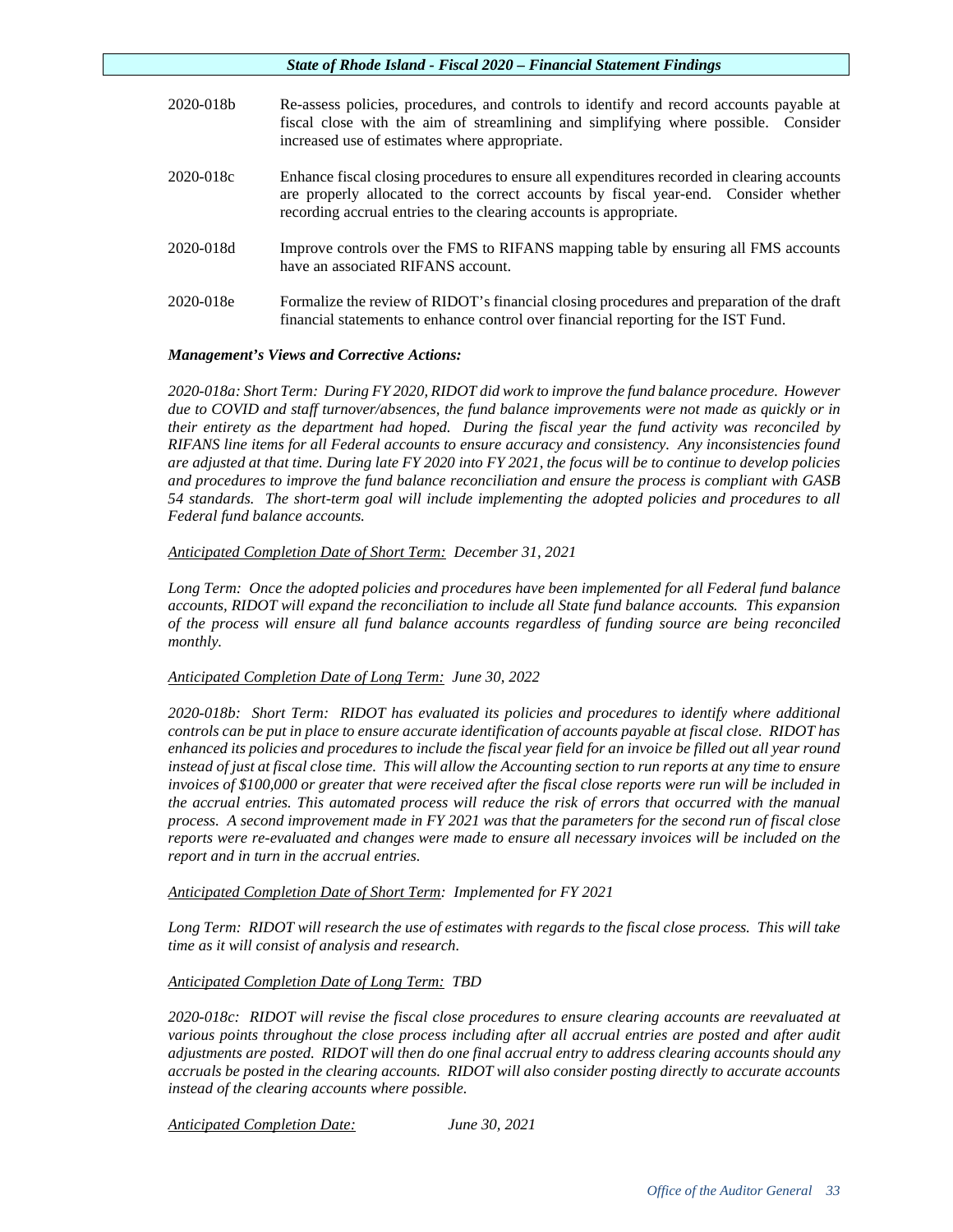| 2020-018b | Re-assess policies, procedures, and controls to identify and record accounts payable at<br>fiscal close with the aim of streamlining and simplifying where possible. Consider<br>increased use of estimates where appropriate.                          |
|-----------|---------------------------------------------------------------------------------------------------------------------------------------------------------------------------------------------------------------------------------------------------------|
| 2020-018c | Enhance fiscal closing procedures to ensure all expenditures recorded in clearing accounts<br>are properly allocated to the correct accounts by fiscal year-end. Consider whether<br>recording accrual entries to the clearing accounts is appropriate. |
| 2020-018d | Improve controls over the FMS to RIFANS mapping table by ensuring all FMS accounts<br>have an associated RIFANS account.                                                                                                                                |
| 2020-018e | Formalize the review of RIDOT's financial closing procedures and preparation of the draft<br>financial statements to enhance control over financial reporting for the IST Fund.                                                                         |

# *Management's Views and Corrective Actions:*

*2020-018a: Short Term: During FY 2020, RIDOT did work to improve the fund balance procedure. However due to COVID and staff turnover/absences, the fund balance improvements were not made as quickly or in their entirety as the department had hoped. During the fiscal year the fund activity was reconciled by RIFANS line items for all Federal accounts to ensure accuracy and consistency. Any inconsistencies found are adjusted at that time. During late FY 2020 into FY 2021, the focus will be to continue to develop policies and procedures to improve the fund balance reconciliation and ensure the process is compliant with GASB 54 standards. The short-term goal will include implementing the adopted policies and procedures to all Federal fund balance accounts.* 

# *Anticipated Completion Date of Short Term: December 31, 2021*

*Long Term: Once the adopted policies and procedures have been implemented for all Federal fund balance accounts, RIDOT will expand the reconciliation to include all State fund balance accounts. This expansion of the process will ensure all fund balance accounts regardless of funding source are being reconciled monthly.* 

# *Anticipated Completion Date of Long Term: June 30, 2022*

*2020-018b: Short Term: RIDOT has evaluated its policies and procedures to identify where additional controls can be put in place to ensure accurate identification of accounts payable at fiscal close. RIDOT has enhanced its policies and procedures to include the fiscal year field for an invoice be filled out all year round instead of just at fiscal close time. This will allow the Accounting section to run reports at any time to ensure invoices of \$100,000 or greater that were received after the fiscal close reports were run will be included in the accrual entries. This automated process will reduce the risk of errors that occurred with the manual process. A second improvement made in FY 2021 was that the parameters for the second run of fiscal close reports were re-evaluated and changes were made to ensure all necessary invoices will be included on the report and in turn in the accrual entries.* 

*Anticipated Completion Date of Short Term: Implemented for FY 2021*

*Long Term: RIDOT will research the use of estimates with regards to the fiscal close process. This will take time as it will consist of analysis and research.*

*Anticipated Completion Date of Long Term: TBD*

*2020-018c: RIDOT will revise the fiscal close procedures to ensure clearing accounts are reevaluated at various points throughout the close process including after all accrual entries are posted and after audit adjustments are posted. RIDOT will then do one final accrual entry to address clearing accounts should any accruals be posted in the clearing accounts. RIDOT will also consider posting directly to accurate accounts instead of the clearing accounts where possible.*

*Anticipated Completion Date: June 30, 2021*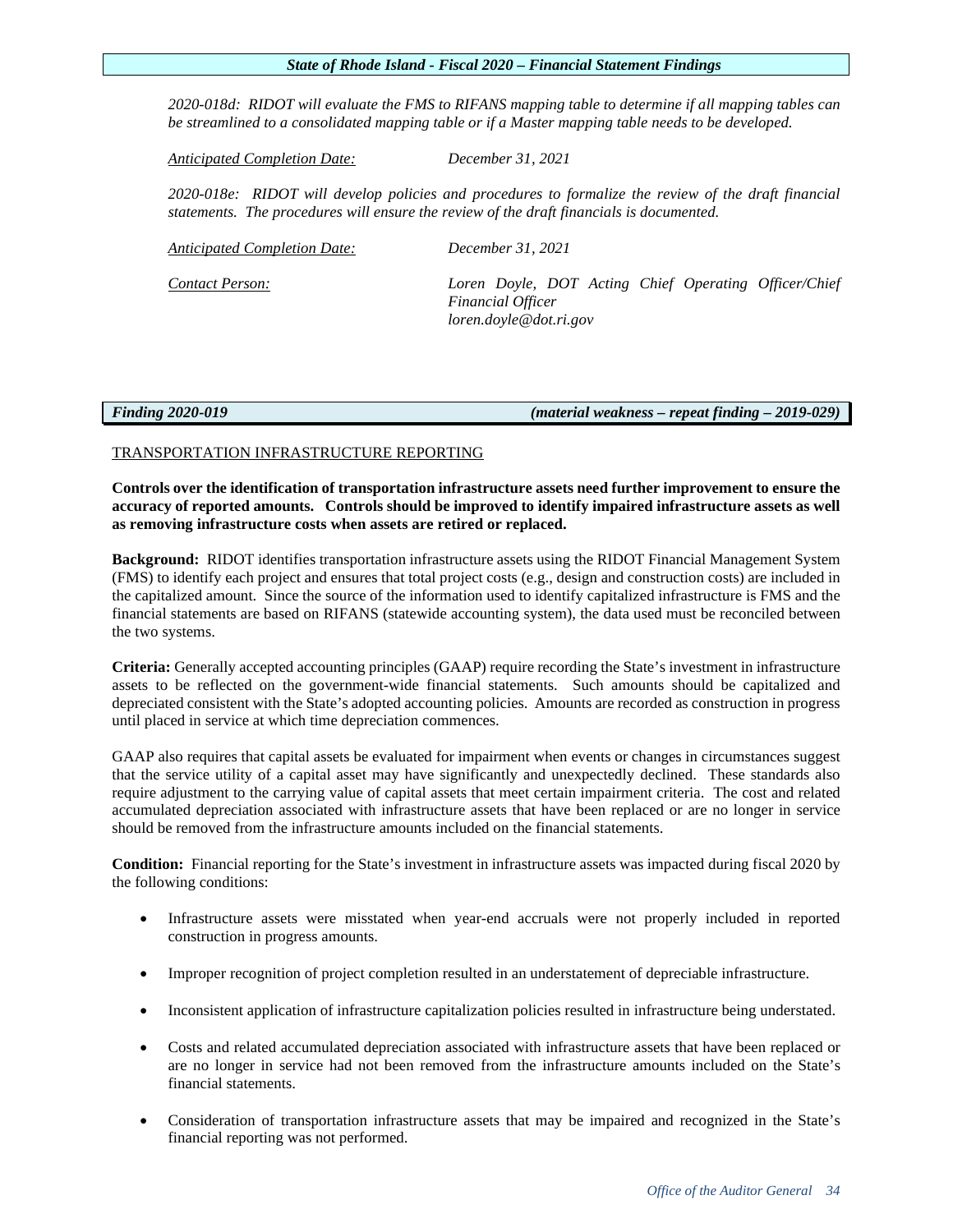*2020-018d: RIDOT will evaluate the FMS to RIFANS mapping table to determine if all mapping tables can be streamlined to a consolidated mapping table or if a Master mapping table needs to be developed.*

*Anticipated Completion Date: December 31, 2021*

*2020-018e: RIDOT will develop policies and procedures to formalize the review of the draft financial statements. The procedures will ensure the review of the draft financials is documented.* 

*Anticipated Completion Date: December 31, 2021*

*Contact Person: Loren Doyle, DOT Acting Chief Operating Officer/Chief Financial Officer loren.doyle@dot.ri.gov*

*Finding 2020-019 (material weakness – repeat finding – 2019-029)*

# TRANSPORTATION INFRASTRUCTURE REPORTING

**Controls over the identification of transportation infrastructure assets need further improvement to ensure the accuracy of reported amounts. Controls should be improved to identify impaired infrastructure assets as well as removing infrastructure costs when assets are retired or replaced.**

**Background:** RIDOT identifies transportation infrastructure assets using the RIDOT Financial Management System (FMS) to identify each project and ensures that total project costs (e.g., design and construction costs) are included in the capitalized amount. Since the source of the information used to identify capitalized infrastructure is FMS and the financial statements are based on RIFANS (statewide accounting system), the data used must be reconciled between the two systems.

**Criteria:** Generally accepted accounting principles (GAAP) require recording the State's investment in infrastructure assets to be reflected on the government-wide financial statements. Such amounts should be capitalized and depreciated consistent with the State's adopted accounting policies. Amounts are recorded as construction in progress until placed in service at which time depreciation commences.

GAAP also requires that capital assets be evaluated for impairment when events or changes in circumstances suggest that the service utility of a capital asset may have significantly and unexpectedly declined. These standards also require adjustment to the carrying value of capital assets that meet certain impairment criteria. The cost and related accumulated depreciation associated with infrastructure assets that have been replaced or are no longer in service should be removed from the infrastructure amounts included on the financial statements.

**Condition:** Financial reporting for the State's investment in infrastructure assets was impacted during fiscal 2020 by the following conditions:

- Infrastructure assets were misstated when year-end accruals were not properly included in reported construction in progress amounts.
- Improper recognition of project completion resulted in an understatement of depreciable infrastructure.
- Inconsistent application of infrastructure capitalization policies resulted in infrastructure being understated.
- Costs and related accumulated depreciation associated with infrastructure assets that have been replaced or are no longer in service had not been removed from the infrastructure amounts included on the State's financial statements.
- Consideration of transportation infrastructure assets that may be impaired and recognized in the State's financial reporting was not performed.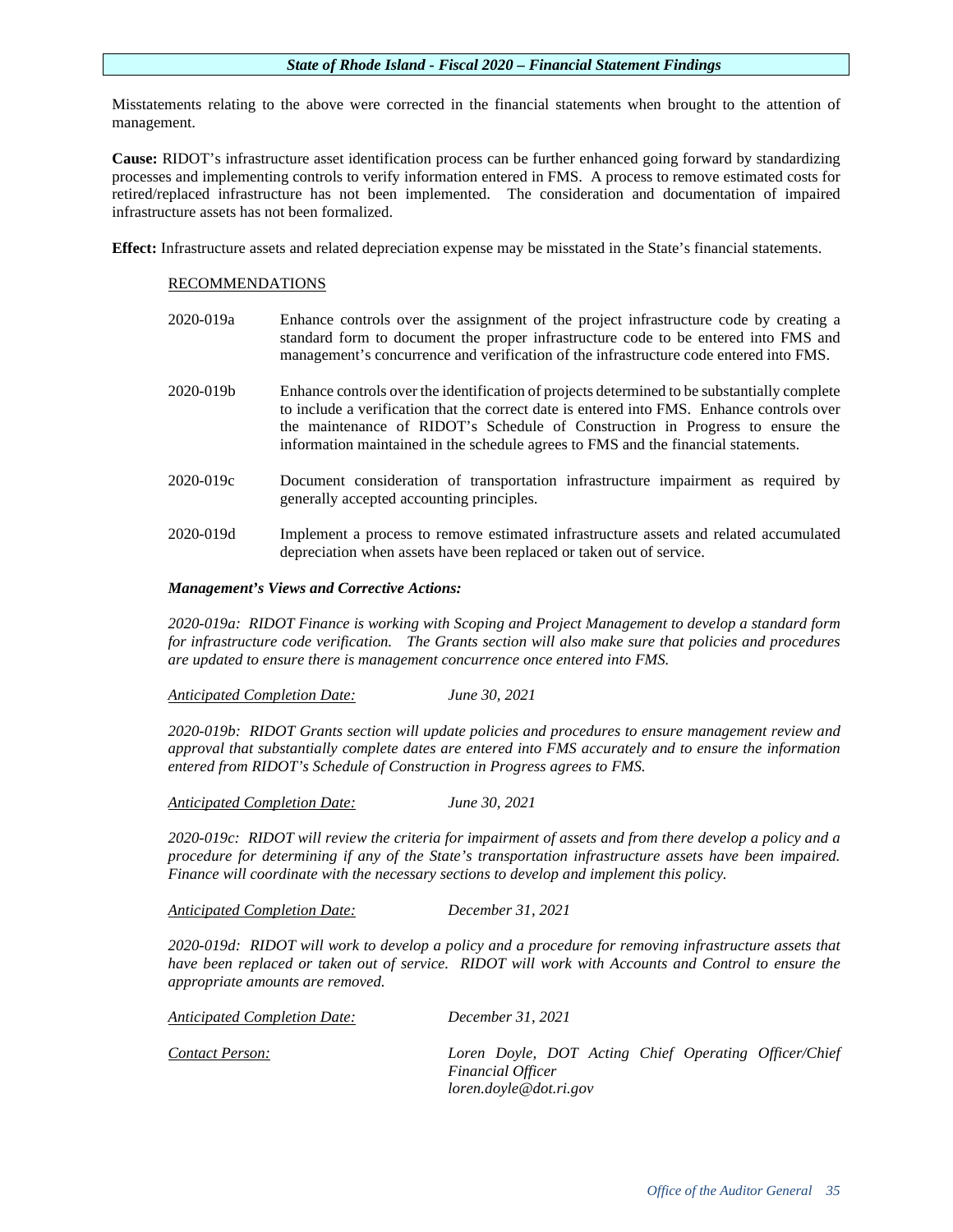Misstatements relating to the above were corrected in the financial statements when brought to the attention of management.

**Cause:** RIDOT's infrastructure asset identification process can be further enhanced going forward by standardizing processes and implementing controls to verify information entered in FMS. A process to remove estimated costs for retired/replaced infrastructure has not been implemented. The consideration and documentation of impaired infrastructure assets has not been formalized.

**Effect:** Infrastructure assets and related depreciation expense may be misstated in the State's financial statements.

# RECOMMENDATIONS

- 2020-019a Enhance controls over the assignment of the project infrastructure code by creating a standard form to document the proper infrastructure code to be entered into FMS and management's concurrence and verification of the infrastructure code entered into FMS. 2020-019b Enhance controls over the identification of projects determined to be substantially complete to include a verification that the correct date is entered into FMS. Enhance controls over the maintenance of RIDOT's Schedule of Construction in Progress to ensure the information maintained in the schedule agrees to FMS and the financial statements. 2020-019c Document consideration of transportation infrastructure impairment as required by generally accepted accounting principles.
- 2020-019d Implement a process to remove estimated infrastructure assets and related accumulated depreciation when assets have been replaced or taken out of service.

# *Management's Views and Corrective Actions:*

*2020-019a: RIDOT Finance is working with Scoping and Project Management to develop a standard form for infrastructure code verification. The Grants section will also make sure that policies and procedures are updated to ensure there is management concurrence once entered into FMS.* 

*Anticipated Completion Date: June 30, 2021*

*2020-019b: RIDOT Grants section will update policies and procedures to ensure management review and approval that substantially complete dates are entered into FMS accurately and to ensure the information entered from RIDOT's Schedule of Construction in Progress agrees to FMS.*

*Anticipated Completion Date: June 30, 2021*

*2020-019c: RIDOT will review the criteria for impairment of assets and from there develop a policy and a procedure for determining if any of the State's transportation infrastructure assets have been impaired. Finance will coordinate with the necessary sections to develop and implement this policy.*

*Anticipated Completion Date: December 31, 2021*

*2020-019d: RIDOT will work to develop a policy and a procedure for removing infrastructure assets that have been replaced or taken out of service. RIDOT will work with Accounts and Control to ensure the appropriate amounts are removed.*

*Anticipated Completion Date: December 31, 2021 Contact Person: Loren Doyle, DOT Acting Chief Operating Officer/Chief Financial Officer loren.doyle@dot.ri.gov*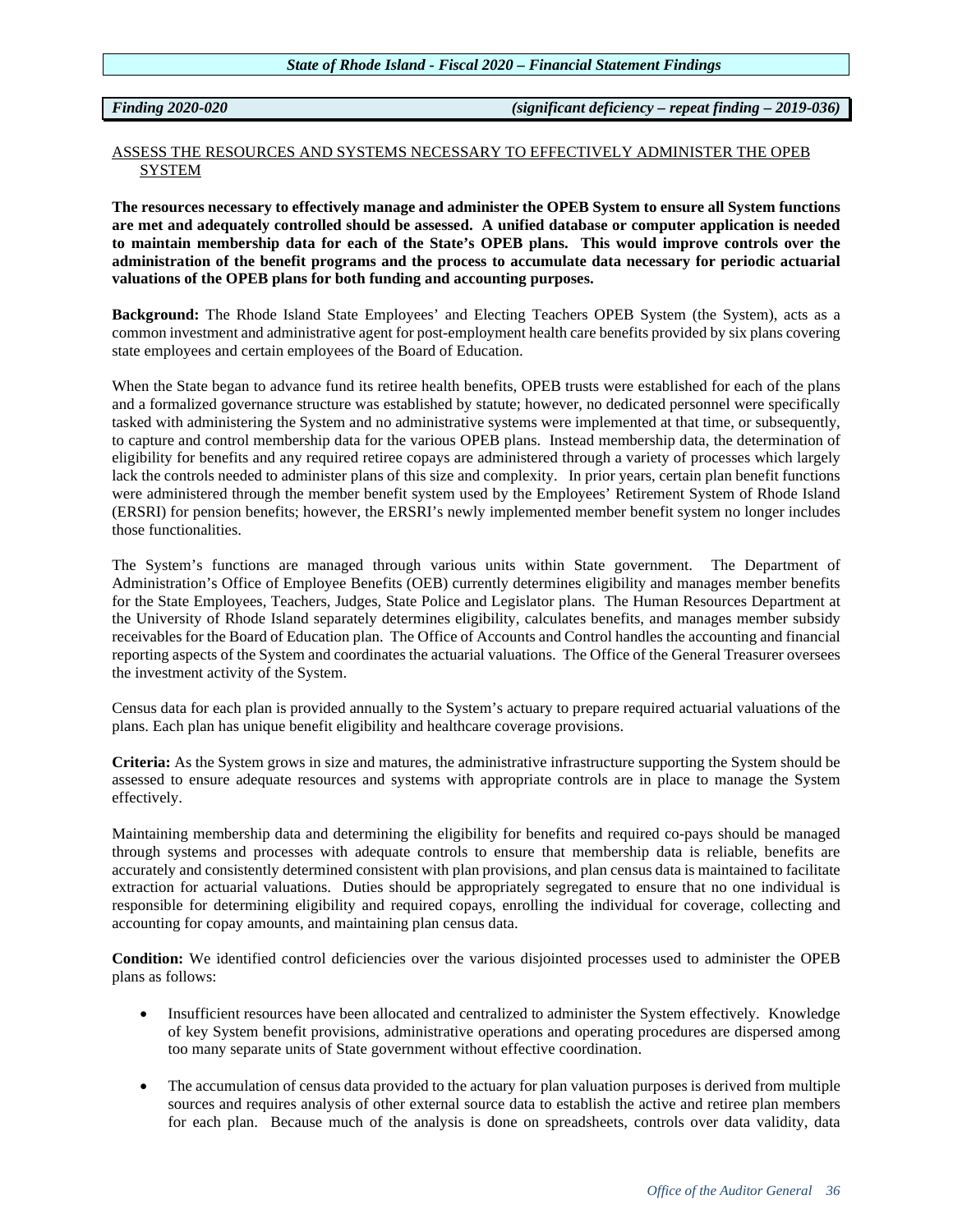*Finding 2020-020 (significant deficiency – repeat finding – 2019-036)*

# ASSESS THE RESOURCES AND SYSTEMS NECESSARY TO EFFECTIVELY ADMINISTER THE OPEB **SYSTEM**

**The resources necessary to effectively manage and administer the OPEB System to ensure all System functions are met and adequately controlled should be assessed. A unified database or computer application is needed to maintain membership data for each of the State's OPEB plans. This would improve controls over the administration of the benefit programs and the process to accumulate data necessary for periodic actuarial valuations of the OPEB plans for both funding and accounting purposes.**

**Background:** The Rhode Island State Employees' and Electing Teachers OPEB System (the System), acts as a common investment and administrative agent for post-employment health care benefits provided by six plans covering state employees and certain employees of the Board of Education.

When the State began to advance fund its retiree health benefits, OPEB trusts were established for each of the plans and a formalized governance structure was established by statute; however, no dedicated personnel were specifically tasked with administering the System and no administrative systems were implemented at that time, or subsequently, to capture and control membership data for the various OPEB plans. Instead membership data, the determination of eligibility for benefits and any required retiree copays are administered through a variety of processes which largely lack the controls needed to administer plans of this size and complexity. In prior years, certain plan benefit functions were administered through the member benefit system used by the Employees' Retirement System of Rhode Island (ERSRI) for pension benefits; however, the ERSRI's newly implemented member benefit system no longer includes those functionalities.

The System's functions are managed through various units within State government. The Department of Administration's Office of Employee Benefits (OEB) currently determines eligibility and manages member benefits for the State Employees, Teachers, Judges, State Police and Legislator plans. The Human Resources Department at the University of Rhode Island separately determines eligibility, calculates benefits, and manages member subsidy receivables for the Board of Education plan. The Office of Accounts and Control handles the accounting and financial reporting aspects of the System and coordinates the actuarial valuations. The Office of the General Treasurer oversees the investment activity of the System.

Census data for each plan is provided annually to the System's actuary to prepare required actuarial valuations of the plans. Each plan has unique benefit eligibility and healthcare coverage provisions.

**Criteria:** As the System grows in size and matures, the administrative infrastructure supporting the System should be assessed to ensure adequate resources and systems with appropriate controls are in place to manage the System effectively.

Maintaining membership data and determining the eligibility for benefits and required co-pays should be managed through systems and processes with adequate controls to ensure that membership data is reliable, benefits are accurately and consistently determined consistent with plan provisions, and plan census data is maintained to facilitate extraction for actuarial valuations. Duties should be appropriately segregated to ensure that no one individual is responsible for determining eligibility and required copays, enrolling the individual for coverage, collecting and accounting for copay amounts, and maintaining plan census data.

**Condition:** We identified control deficiencies over the various disjointed processes used to administer the OPEB plans as follows:

- Insufficient resources have been allocated and centralized to administer the System effectively. Knowledge of key System benefit provisions, administrative operations and operating procedures are dispersed among too many separate units of State government without effective coordination.
- The accumulation of census data provided to the actuary for plan valuation purposes is derived from multiple sources and requires analysis of other external source data to establish the active and retiree plan members for each plan. Because much of the analysis is done on spreadsheets, controls over data validity, data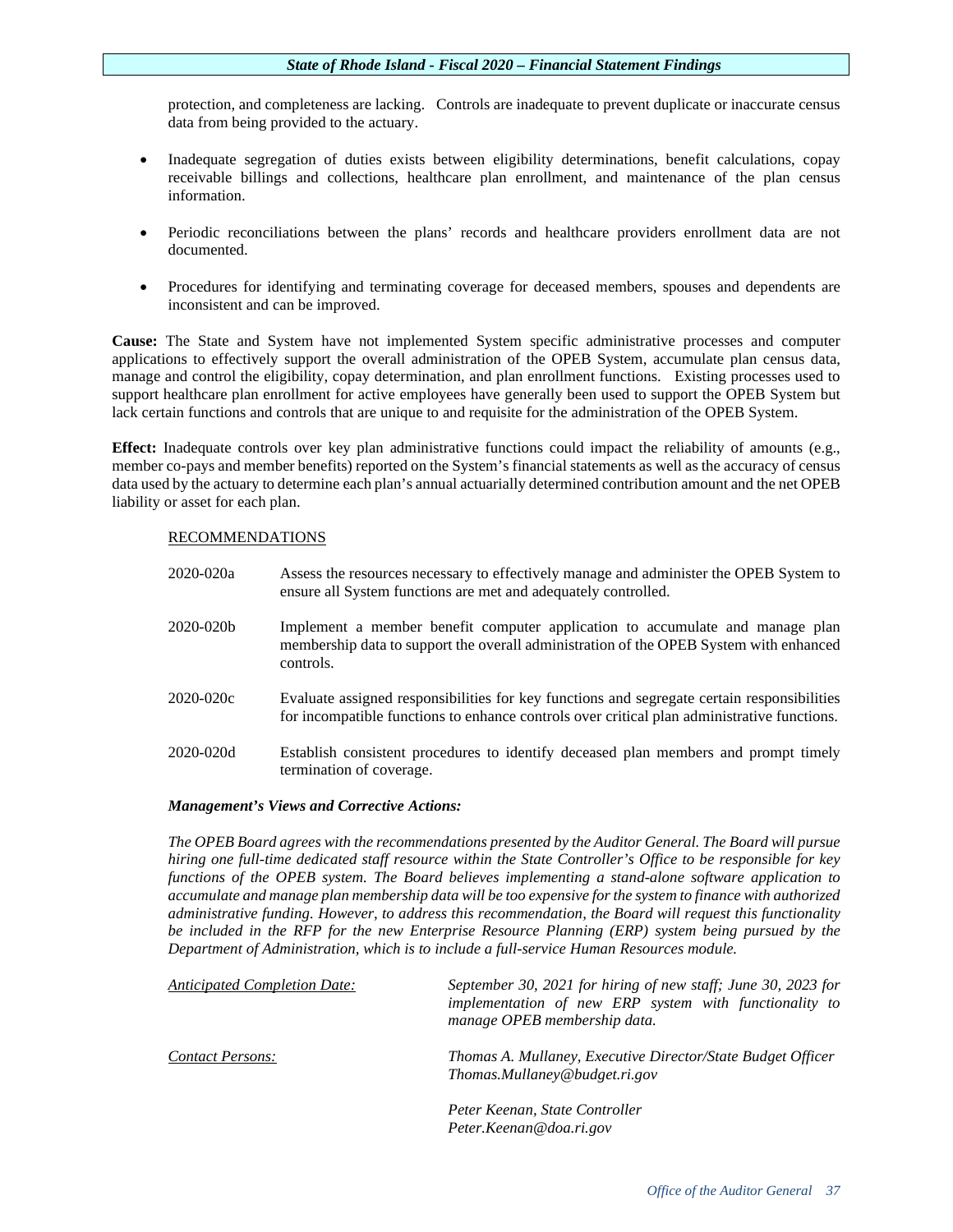protection, and completeness are lacking. Controls are inadequate to prevent duplicate or inaccurate census data from being provided to the actuary.

- Inadequate segregation of duties exists between eligibility determinations, benefit calculations, copay receivable billings and collections, healthcare plan enrollment, and maintenance of the plan census information.
- Periodic reconciliations between the plans' records and healthcare providers enrollment data are not documented.
- Procedures for identifying and terminating coverage for deceased members, spouses and dependents are inconsistent and can be improved.

**Cause:** The State and System have not implemented System specific administrative processes and computer applications to effectively support the overall administration of the OPEB System, accumulate plan census data, manage and control the eligibility, copay determination, and plan enrollment functions. Existing processes used to support healthcare plan enrollment for active employees have generally been used to support the OPEB System but lack certain functions and controls that are unique to and requisite for the administration of the OPEB System.

**Effect:** Inadequate controls over key plan administrative functions could impact the reliability of amounts (e.g., member co-pays and member benefits) reported on the System's financial statements as well as the accuracy of census data used by the actuary to determine each plan's annual actuarially determined contribution amount and the net OPEB liability or asset for each plan.

# RECOMMENDATIONS

2020-020a Assess the resources necessary to effectively manage and administer the OPEB System to ensure all System functions are met and adequately controlled. 2020-020b Implement a member benefit computer application to accumulate and manage plan membership data to support the overall administration of the OPEB System with enhanced controls. 2020-020c Evaluate assigned responsibilities for key functions and segregate certain responsibilities for incompatible functions to enhance controls over critical plan administrative functions. 2020-020d Establish consistent procedures to identify deceased plan members and prompt timely termination of coverage.

# *Management's Views and Corrective Actions:*

*The OPEB Board agrees with the recommendations presented by the Auditor General. The Board will pursue hiring one full-time dedicated staff resource within the State Controller's Office to be responsible for key functions of the OPEB system. The Board believes implementing a stand-alone software application to accumulate and manage plan membership data will be too expensive for the system to finance with authorized administrative funding. However, to address this recommendation, the Board will request this functionality be included in the RFP for the new Enterprise Resource Planning (ERP) system being pursued by the Department of Administration, which is to include a full-service Human Resources module.* 

| <b>Anticipated Completion Date:</b> | September 30, 2021 for hiring of new staff; June 30, 2023 for<br>implementation of new ERP system with functionality to<br>manage OPEB membership data. |
|-------------------------------------|---------------------------------------------------------------------------------------------------------------------------------------------------------|
| <b>Contact Persons:</b>             | Thomas A. Mullaney, Executive Director/State Budget Officer<br>Thomas.Mullaney@budget.ri.gov                                                            |
|                                     | Peter Keenan, State Controller<br>Peter.Keenan@doa.ri.gov                                                                                               |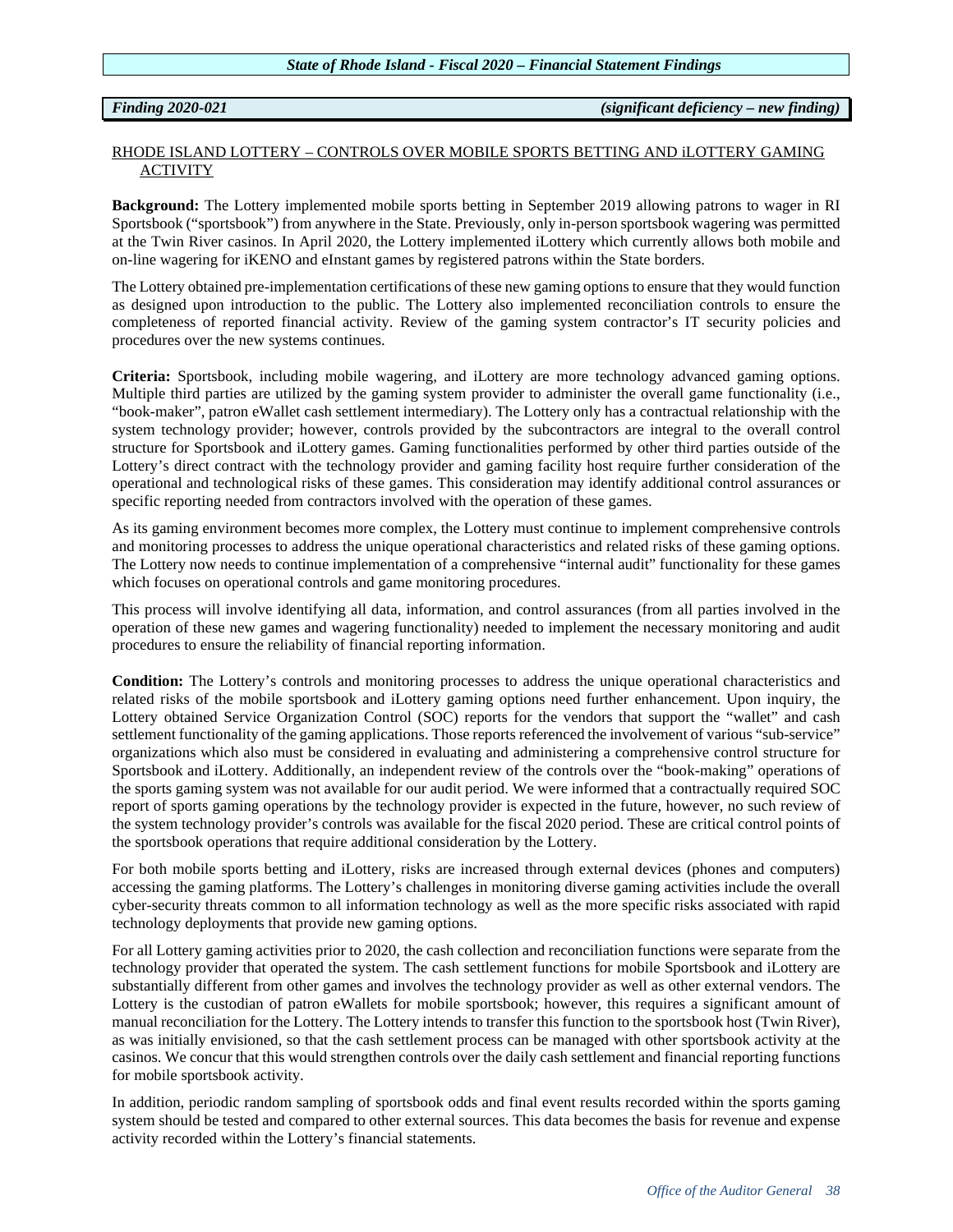# *Finding 2020-021 (significant deficiency – new finding)*

# RHODE ISLAND LOTTERY – CONTROLS OVER MOBILE SPORTS BETTING AND iLOTTERY GAMING ACTIVITY

**Background:** The Lottery implemented mobile sports betting in September 2019 allowing patrons to wager in RI Sportsbook ("sportsbook") from anywhere in the State. Previously, only in-person sportsbook wagering was permitted at the Twin River casinos. In April 2020, the Lottery implemented iLottery which currently allows both mobile and on-line wagering for iKENO and eInstant games by registered patrons within the State borders.

The Lottery obtained pre-implementation certifications of these new gaming options to ensure that they would function as designed upon introduction to the public. The Lottery also implemented reconciliation controls to ensure the completeness of reported financial activity. Review of the gaming system contractor's IT security policies and procedures over the new systems continues.

**Criteria:** Sportsbook, including mobile wagering, and iLottery are more technology advanced gaming options. Multiple third parties are utilized by the gaming system provider to administer the overall game functionality (i.e., "book-maker", patron eWallet cash settlement intermediary). The Lottery only has a contractual relationship with the system technology provider; however, controls provided by the subcontractors are integral to the overall control structure for Sportsbook and iLottery games. Gaming functionalities performed by other third parties outside of the Lottery's direct contract with the technology provider and gaming facility host require further consideration of the operational and technological risks of these games. This consideration may identify additional control assurances or specific reporting needed from contractors involved with the operation of these games.

As its gaming environment becomes more complex, the Lottery must continue to implement comprehensive controls and monitoring processes to address the unique operational characteristics and related risks of these gaming options. The Lottery now needs to continue implementation of a comprehensive "internal audit" functionality for these games which focuses on operational controls and game monitoring procedures.

This process will involve identifying all data, information, and control assurances (from all parties involved in the operation of these new games and wagering functionality) needed to implement the necessary monitoring and audit procedures to ensure the reliability of financial reporting information.

**Condition:** The Lottery's controls and monitoring processes to address the unique operational characteristics and related risks of the mobile sportsbook and iLottery gaming options need further enhancement. Upon inquiry, the Lottery obtained Service Organization Control (SOC) reports for the vendors that support the "wallet" and cash settlement functionality of the gaming applications. Those reports referenced the involvement of various "sub-service" organizations which also must be considered in evaluating and administering a comprehensive control structure for Sportsbook and iLottery. Additionally, an independent review of the controls over the "book-making" operations of the sports gaming system was not available for our audit period. We were informed that a contractually required SOC report of sports gaming operations by the technology provider is expected in the future, however, no such review of the system technology provider's controls was available for the fiscal 2020 period. These are critical control points of the sportsbook operations that require additional consideration by the Lottery.

For both mobile sports betting and iLottery, risks are increased through external devices (phones and computers) accessing the gaming platforms. The Lottery's challenges in monitoring diverse gaming activities include the overall cyber-security threats common to all information technology as well as the more specific risks associated with rapid technology deployments that provide new gaming options.

For all Lottery gaming activities prior to 2020, the cash collection and reconciliation functions were separate from the technology provider that operated the system. The cash settlement functions for mobile Sportsbook and iLottery are substantially different from other games and involves the technology provider as well as other external vendors. The Lottery is the custodian of patron eWallets for mobile sportsbook; however, this requires a significant amount of manual reconciliation for the Lottery. The Lottery intends to transfer this function to the sportsbook host (Twin River), as was initially envisioned, so that the cash settlement process can be managed with other sportsbook activity at the casinos. We concur that this would strengthen controls over the daily cash settlement and financial reporting functions for mobile sportsbook activity.

In addition, periodic random sampling of sportsbook odds and final event results recorded within the sports gaming system should be tested and compared to other external sources. This data becomes the basis for revenue and expense activity recorded within the Lottery's financial statements.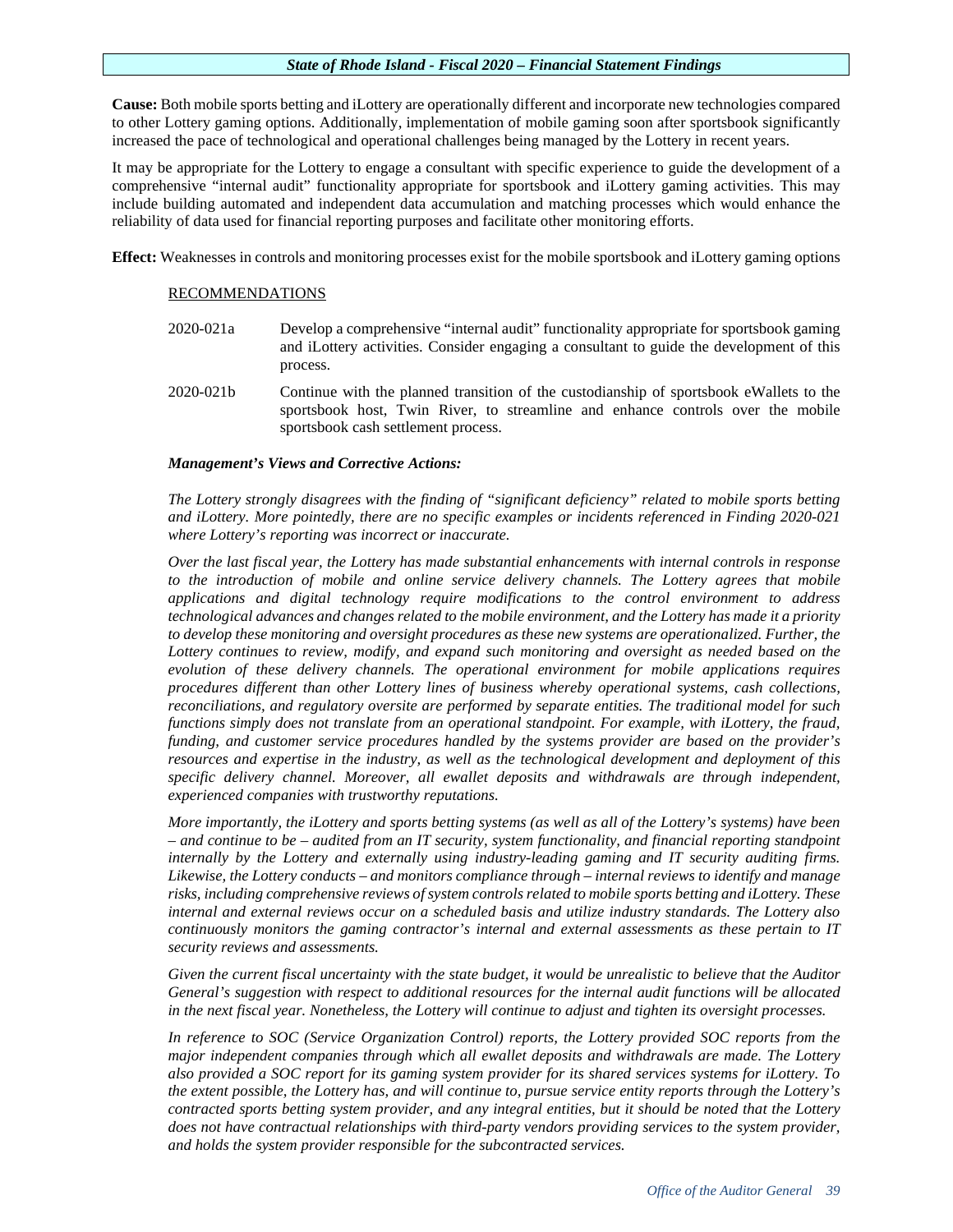**Cause:** Both mobile sports betting and iLottery are operationally different and incorporate new technologies compared to other Lottery gaming options. Additionally, implementation of mobile gaming soon after sportsbook significantly increased the pace of technological and operational challenges being managed by the Lottery in recent years.

It may be appropriate for the Lottery to engage a consultant with specific experience to guide the development of a comprehensive "internal audit" functionality appropriate for sportsbook and iLottery gaming activities. This may include building automated and independent data accumulation and matching processes which would enhance the reliability of data used for financial reporting purposes and facilitate other monitoring efforts.

**Effect:** Weaknesses in controls and monitoring processes exist for the mobile sportsbook and iLottery gaming options

# RECOMMENDATIONS

- 2020-021a Develop a comprehensive "internal audit" functionality appropriate for sportsbook gaming and iLottery activities. Consider engaging a consultant to guide the development of this process.
- 2020-021b Continue with the planned transition of the custodianship of sportsbook eWallets to the sportsbook host, Twin River, to streamline and enhance controls over the mobile sportsbook cash settlement process.

# *Management's Views and Corrective Actions:*

*The Lottery strongly disagrees with the finding of "significant deficiency" related to mobile sports betting and iLottery. More pointedly, there are no specific examples or incidents referenced in Finding 2020-021 where Lottery's reporting was incorrect or inaccurate.*

*Over the last fiscal year, the Lottery has made substantial enhancements with internal controls in response to the introduction of mobile and online service delivery channels. The Lottery agrees that mobile applications and digital technology require modifications to the control environment to address technological advances and changes related to the mobile environment, and the Lottery has made it a priority to develop these monitoring and oversight procedures as these new systems are operationalized. Further, the Lottery continues to review, modify, and expand such monitoring and oversight as needed based on the evolution of these delivery channels. The operational environment for mobile applications requires procedures different than other Lottery lines of business whereby operational systems, cash collections, reconciliations, and regulatory oversite are performed by separate entities. The traditional model for such functions simply does not translate from an operational standpoint. For example, with iLottery, the fraud, funding, and customer service procedures handled by the systems provider are based on the provider's resources and expertise in the industry, as well as the technological development and deployment of this specific delivery channel. Moreover, all ewallet deposits and withdrawals are through independent, experienced companies with trustworthy reputations.*

*More importantly, the iLottery and sports betting systems (as well as all of the Lottery's systems) have been – and continue to be – audited from an IT security, system functionality, and financial reporting standpoint internally by the Lottery and externally using industry-leading gaming and IT security auditing firms. Likewise, the Lottery conducts – and monitors compliance through – internal reviews to identify and manage risks, including comprehensive reviews of system controls related to mobile sports betting and iLottery. These internal and external reviews occur on a scheduled basis and utilize industry standards. The Lottery also continuously monitors the gaming contractor's internal and external assessments as these pertain to IT security reviews and assessments.*

*Given the current fiscal uncertainty with the state budget, it would be unrealistic to believe that the Auditor General's suggestion with respect to additional resources for the internal audit functions will be allocated in the next fiscal year. Nonetheless, the Lottery will continue to adjust and tighten its oversight processes.*

*In reference to SOC (Service Organization Control) reports, the Lottery provided SOC reports from the major independent companies through which all ewallet deposits and withdrawals are made. The Lottery also provided a SOC report for its gaming system provider for its shared services systems for iLottery. To the extent possible, the Lottery has, and will continue to, pursue service entity reports through the Lottery's contracted sports betting system provider, and any integral entities, but it should be noted that the Lottery does not have contractual relationships with third-party vendors providing services to the system provider, and holds the system provider responsible for the subcontracted services.*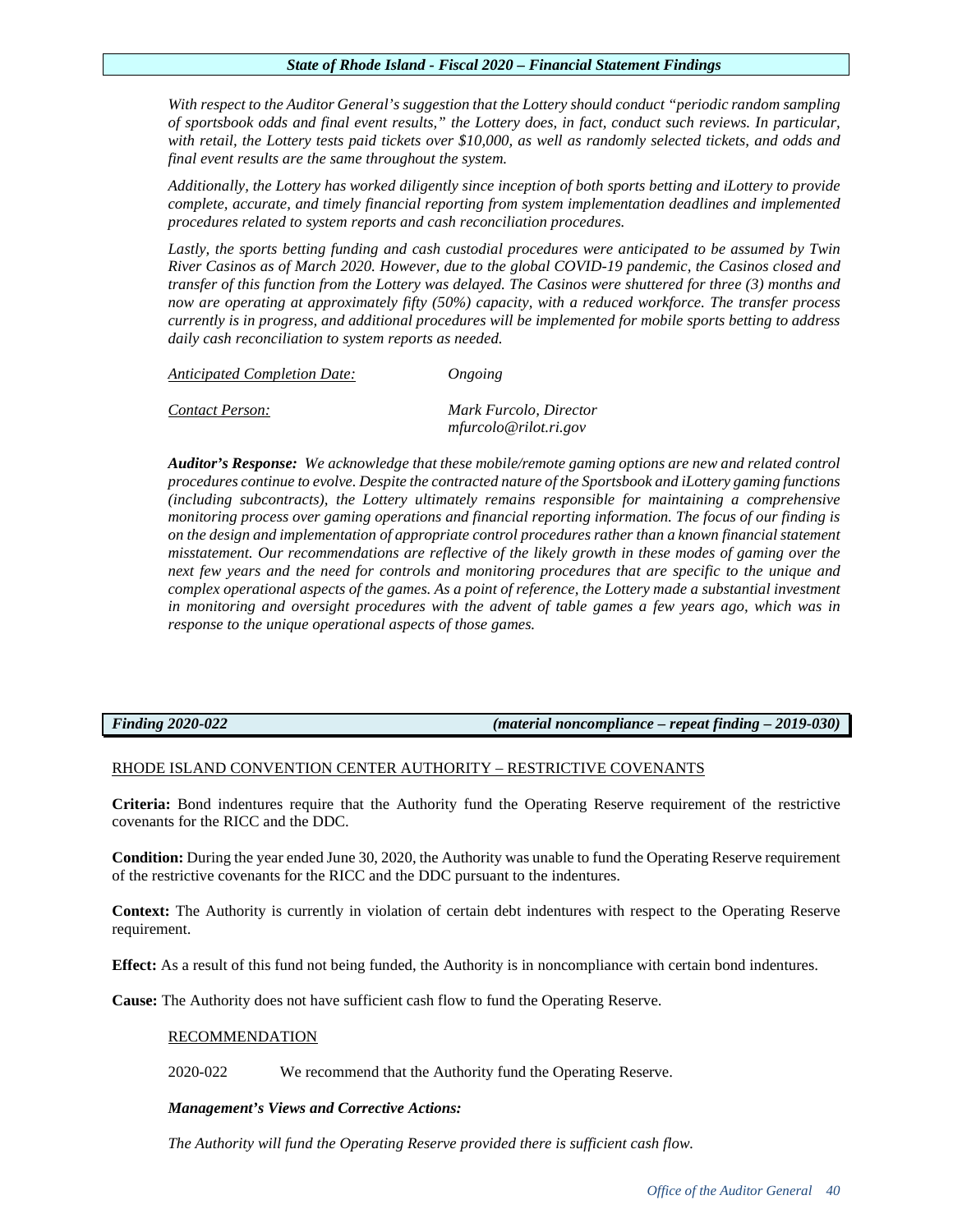*With respect to the Auditor General's suggestion that the Lottery should conduct "periodic random sampling of sportsbook odds and final event results," the Lottery does, in fact, conduct such reviews. In particular, with retail, the Lottery tests paid tickets over \$10,000, as well as randomly selected tickets, and odds and final event results are the same throughout the system.*

*Additionally, the Lottery has worked diligently since inception of both sports betting and iLottery to provide complete, accurate, and timely financial reporting from system implementation deadlines and implemented procedures related to system reports and cash reconciliation procedures.*

Lastly, the sports betting funding and cash custodial procedures were anticipated to be assumed by Twin *River Casinos as of March 2020. However, due to the global COVID-19 pandemic, the Casinos closed and transfer of this function from the Lottery was delayed. The Casinos were shuttered for three (3) months and now are operating at approximately fifty (50%) capacity, with a reduced workforce. The transfer process currently is in progress, and additional procedures will be implemented for mobile sports betting to address daily cash reconciliation to system reports as needed.*

| Anticipated Completion Date: | Ongoing                                         |
|------------------------------|-------------------------------------------------|
| Contact Person:              | Mark Furcolo, Director<br>mfurcolo@rilot.ri.gov |

*Auditor's Response: We acknowledge that these mobile/remote gaming options are new and related control procedures continue to evolve. Despite the contracted nature of the Sportsbook and iLottery gaming functions (including subcontracts), the Lottery ultimately remains responsible for maintaining a comprehensive monitoring process over gaming operations and financial reporting information. The focus of our finding is on the design and implementation of appropriate control procedures rather than a known financial statement misstatement. Our recommendations are reflective of the likely growth in these modes of gaming over the next few years and the need for controls and monitoring procedures that are specific to the unique and complex operational aspects of the games. As a point of reference, the Lottery made a substantial investment in monitoring and oversight procedures with the advent of table games a few years ago, which was in response to the unique operational aspects of those games.*

*Finding 2020-022 (material noncompliance – repeat finding – 2019-030)*

# RHODE ISLAND CONVENTION CENTER AUTHORITY – RESTRICTIVE COVENANTS

**Criteria:** Bond indentures require that the Authority fund the Operating Reserve requirement of the restrictive covenants for the RICC and the DDC.

**Condition:** During the year ended June 30, 2020, the Authority was unable to fund the Operating Reserve requirement of the restrictive covenants for the RICC and the DDC pursuant to the indentures.

**Context:** The Authority is currently in violation of certain debt indentures with respect to the Operating Reserve requirement.

**Effect:** As a result of this fund not being funded, the Authority is in noncompliance with certain bond indentures.

**Cause:** The Authority does not have sufficient cash flow to fund the Operating Reserve.

# RECOMMENDATION

2020-022 We recommend that the Authority fund the Operating Reserve.

# *Management's Views and Corrective Actions:*

*The Authority will fund the Operating Reserve provided there is sufficient cash flow.*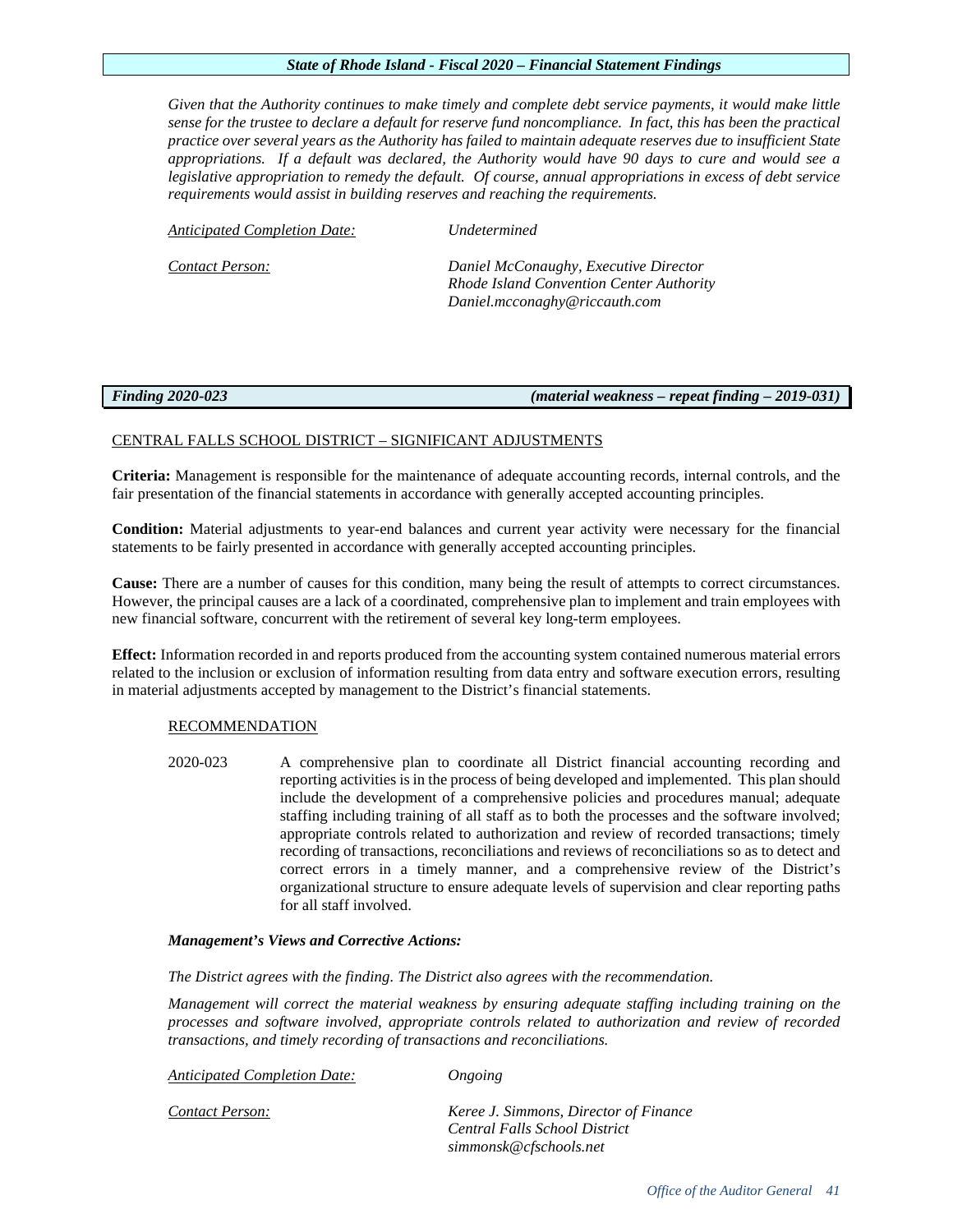*Given that the Authority continues to make timely and complete debt service payments, it would make little sense for the trustee to declare a default for reserve fund noncompliance. In fact, this has been the practical practice over several years as the Authority has failed to maintain adequate reserves due to insufficient State appropriations. If a default was declared, the Authority would have 90 days to cure and would see a legislative appropriation to remedy the default. Of course, annual appropriations in excess of debt service requirements would assist in building reserves and reaching the requirements.*

| Anticipated Completion Date: | Undetermined                                                                      |
|------------------------------|-----------------------------------------------------------------------------------|
| Contact Person:              | Daniel McConaughy, Executive Director<br>Rhode Island Convention Center Authority |
|                              | Daniel.mcconaghy@riccauth.com                                                     |

*Finding 2020-023 (material weakness – repeat finding – 2019-031)*

# CENTRAL FALLS SCHOOL DISTRICT – SIGNIFICANT ADJUSTMENTS

**Criteria:** Management is responsible for the maintenance of adequate accounting records, internal controls, and the fair presentation of the financial statements in accordance with generally accepted accounting principles.

**Condition:** Material adjustments to year-end balances and current year activity were necessary for the financial statements to be fairly presented in accordance with generally accepted accounting principles.

**Cause:** There are a number of causes for this condition, many being the result of attempts to correct circumstances. However, the principal causes are a lack of a coordinated, comprehensive plan to implement and train employees with new financial software, concurrent with the retirement of several key long-term employees.

**Effect:** Information recorded in and reports produced from the accounting system contained numerous material errors related to the inclusion or exclusion of information resulting from data entry and software execution errors, resulting in material adjustments accepted by management to the District's financial statements.

# RECOMMENDATION

2020-023 A comprehensive plan to coordinate all District financial accounting recording and reporting activities is in the process of being developed and implemented. This plan should include the development of a comprehensive policies and procedures manual; adequate staffing including training of all staff as to both the processes and the software involved; appropriate controls related to authorization and review of recorded transactions; timely recording of transactions, reconciliations and reviews of reconciliations so as to detect and correct errors in a timely manner, and a comprehensive review of the District's organizational structure to ensure adequate levels of supervision and clear reporting paths for all staff involved.

# *Management's Views and Corrective Actions:*

*The District agrees with the finding. The District also agrees with the recommendation.*

*Management will correct the material weakness by ensuring adequate staffing including training on the processes and software involved, appropriate controls related to authorization and review of recorded transactions, and timely recording of transactions and reconciliations.*

*Anticipated Completion Date: Ongoing*

*Contact Person: Keree J. Simmons, Director of Finance Central Falls School District [simmonsk@cfschools.net](mailto:simmonsk@cfschools.net)*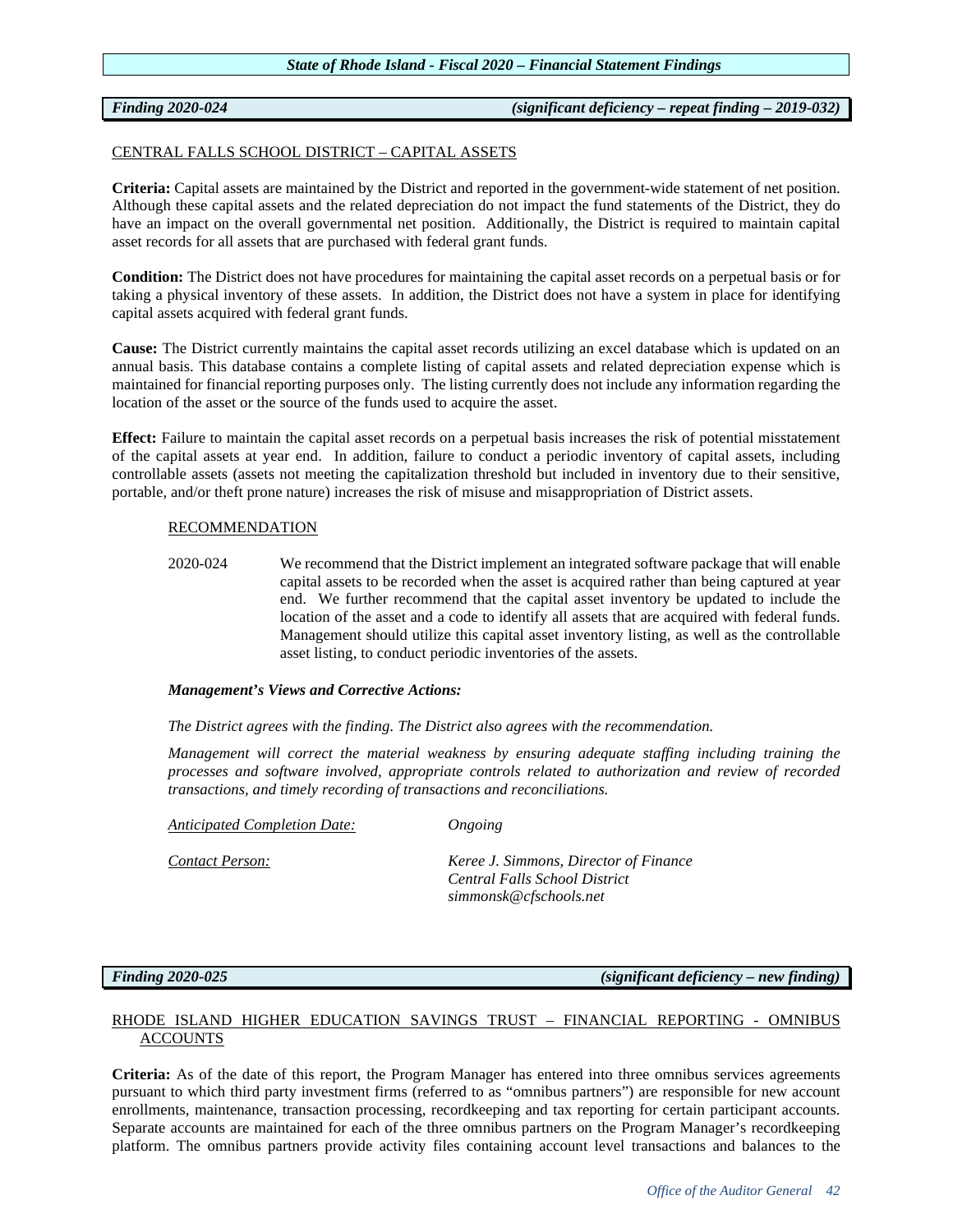# *Finding 2020-024 (significant deficiency – repeat finding – 2019-032)*

# CENTRAL FALLS SCHOOL DISTRICT – CAPITAL ASSETS

**Criteria:** Capital assets are maintained by the District and reported in the government-wide statement of net position. Although these capital assets and the related depreciation do not impact the fund statements of the District, they do have an impact on the overall governmental net position. Additionally, the District is required to maintain capital asset records for all assets that are purchased with federal grant funds.

**Condition:** The District does not have procedures for maintaining the capital asset records on a perpetual basis or for taking a physical inventory of these assets. In addition, the District does not have a system in place for identifying capital assets acquired with federal grant funds.

**Cause:** The District currently maintains the capital asset records utilizing an excel database which is updated on an annual basis. This database contains a complete listing of capital assets and related depreciation expense which is maintained for financial reporting purposes only. The listing currently does not include any information regarding the location of the asset or the source of the funds used to acquire the asset.

**Effect:** Failure to maintain the capital asset records on a perpetual basis increases the risk of potential misstatement of the capital assets at year end. In addition, failure to conduct a periodic inventory of capital assets, including controllable assets (assets not meeting the capitalization threshold but included in inventory due to their sensitive, portable, and/or theft prone nature) increases the risk of misuse and misappropriation of District assets.

# RECOMMENDATION

2020-024 We recommend that the District implement an integrated software package that will enable capital assets to be recorded when the asset is acquired rather than being captured at year end. We further recommend that the capital asset inventory be updated to include the location of the asset and a code to identify all assets that are acquired with federal funds. Management should utilize this capital asset inventory listing, as well as the controllable asset listing, to conduct periodic inventories of the assets.

# *Management's Views and Corrective Actions:*

*The District agrees with the finding. The District also agrees with the recommendation.*

*Management will correct the material weakness by ensuring adequate staffing including training the processes and software involved, appropriate controls related to authorization and review of recorded transactions, and timely recording of transactions and reconciliations.*

*Anticipated Completion Date: Ongoing*

*Contact Person: Keree J. Simmons, Director of Finance Central Falls School District simmonsk@cfschools.net*

*Finding 2020-025 (significant deficiency – new finding)*

# RHODE ISLAND HIGHER EDUCATION SAVINGS TRUST – FINANCIAL REPORTING - OMNIBUS ACCOUNTS

**Criteria:** As of the date of this report, the Program Manager has entered into three omnibus services agreements pursuant to which third party investment firms (referred to as "omnibus partners") are responsible for new account enrollments, maintenance, transaction processing, recordkeeping and tax reporting for certain participant accounts. Separate accounts are maintained for each of the three omnibus partners on the Program Manager's recordkeeping platform. The omnibus partners provide activity files containing account level transactions and balances to the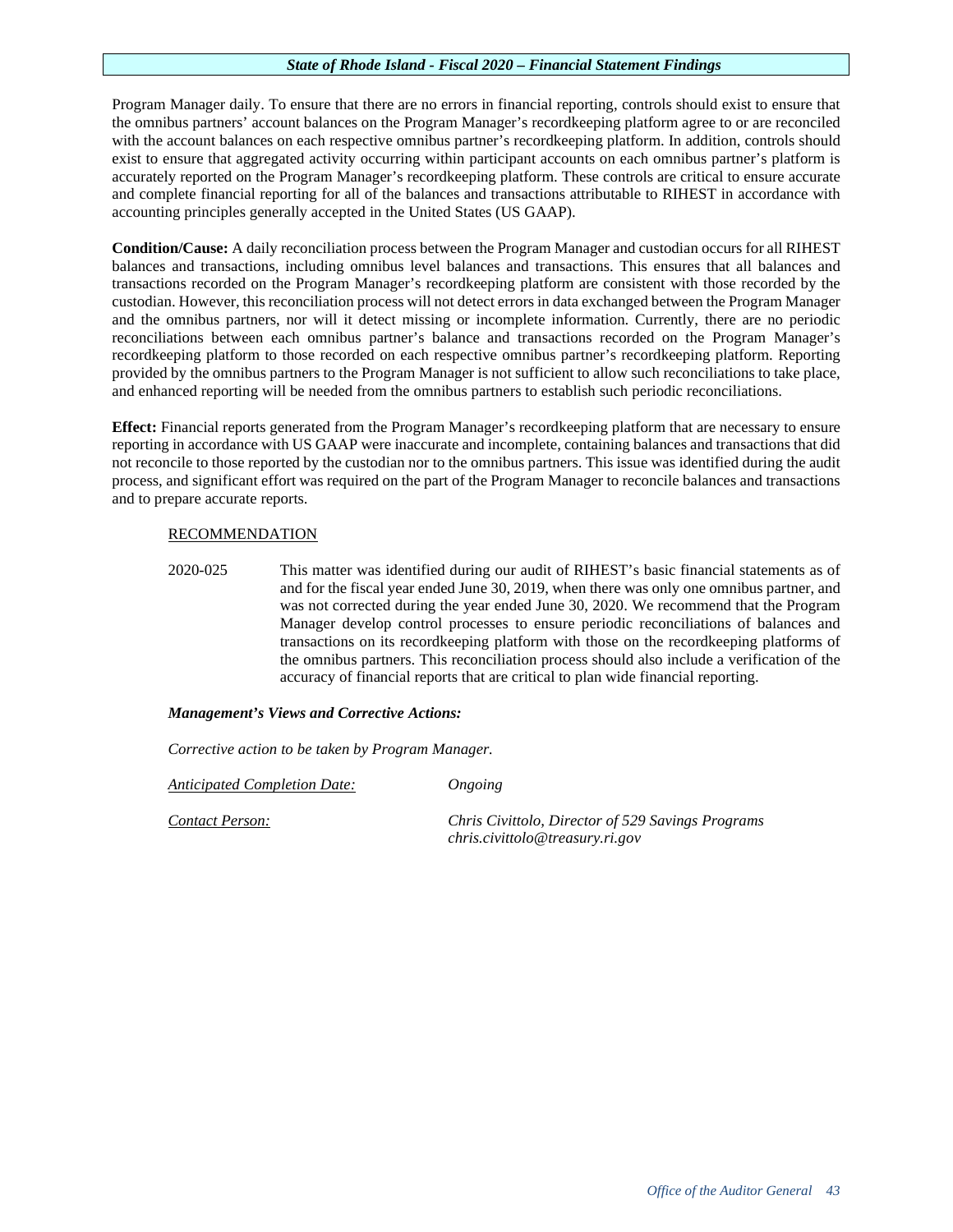Program Manager daily. To ensure that there are no errors in financial reporting, controls should exist to ensure that the omnibus partners' account balances on the Program Manager's recordkeeping platform agree to or are reconciled with the account balances on each respective omnibus partner's recordkeeping platform. In addition, controls should exist to ensure that aggregated activity occurring within participant accounts on each omnibus partner's platform is accurately reported on the Program Manager's recordkeeping platform. These controls are critical to ensure accurate and complete financial reporting for all of the balances and transactions attributable to RIHEST in accordance with accounting principles generally accepted in the United States (US GAAP).

**Condition/Cause:** A daily reconciliation process between the Program Manager and custodian occurs for all RIHEST balances and transactions, including omnibus level balances and transactions. This ensures that all balances and transactions recorded on the Program Manager's recordkeeping platform are consistent with those recorded by the custodian. However, this reconciliation process will not detect errors in data exchanged between the Program Manager and the omnibus partners, nor will it detect missing or incomplete information. Currently, there are no periodic reconciliations between each omnibus partner's balance and transactions recorded on the Program Manager's recordkeeping platform to those recorded on each respective omnibus partner's recordkeeping platform. Reporting provided by the omnibus partners to the Program Manager is not sufficient to allow such reconciliations to take place, and enhanced reporting will be needed from the omnibus partners to establish such periodic reconciliations.

**Effect:** Financial reports generated from the Program Manager's recordkeeping platform that are necessary to ensure reporting in accordance with US GAAP were inaccurate and incomplete, containing balances and transactions that did not reconcile to those reported by the custodian nor to the omnibus partners. This issue was identified during the audit process, and significant effort was required on the part of the Program Manager to reconcile balances and transactions and to prepare accurate reports.

# RECOMMENDATION

2020-025 This matter was identified during our audit of RIHEST's basic financial statements as of and for the fiscal year ended June 30, 2019, when there was only one omnibus partner, and was not corrected during the year ended June 30, 2020. We recommend that the Program Manager develop control processes to ensure periodic reconciliations of balances and transactions on its recordkeeping platform with those on the recordkeeping platforms of the omnibus partners. This reconciliation process should also include a verification of the accuracy of financial reports that are critical to plan wide financial reporting.

# *Management's Views and Corrective Actions:*

*Corrective action to be taken by Program Manager.* 

*Anticipated Completion Date: Ongoing*

*Contact Person: Chris Civittolo, Director of 529 Savings Programs chris.civittolo@treasury.ri.gov*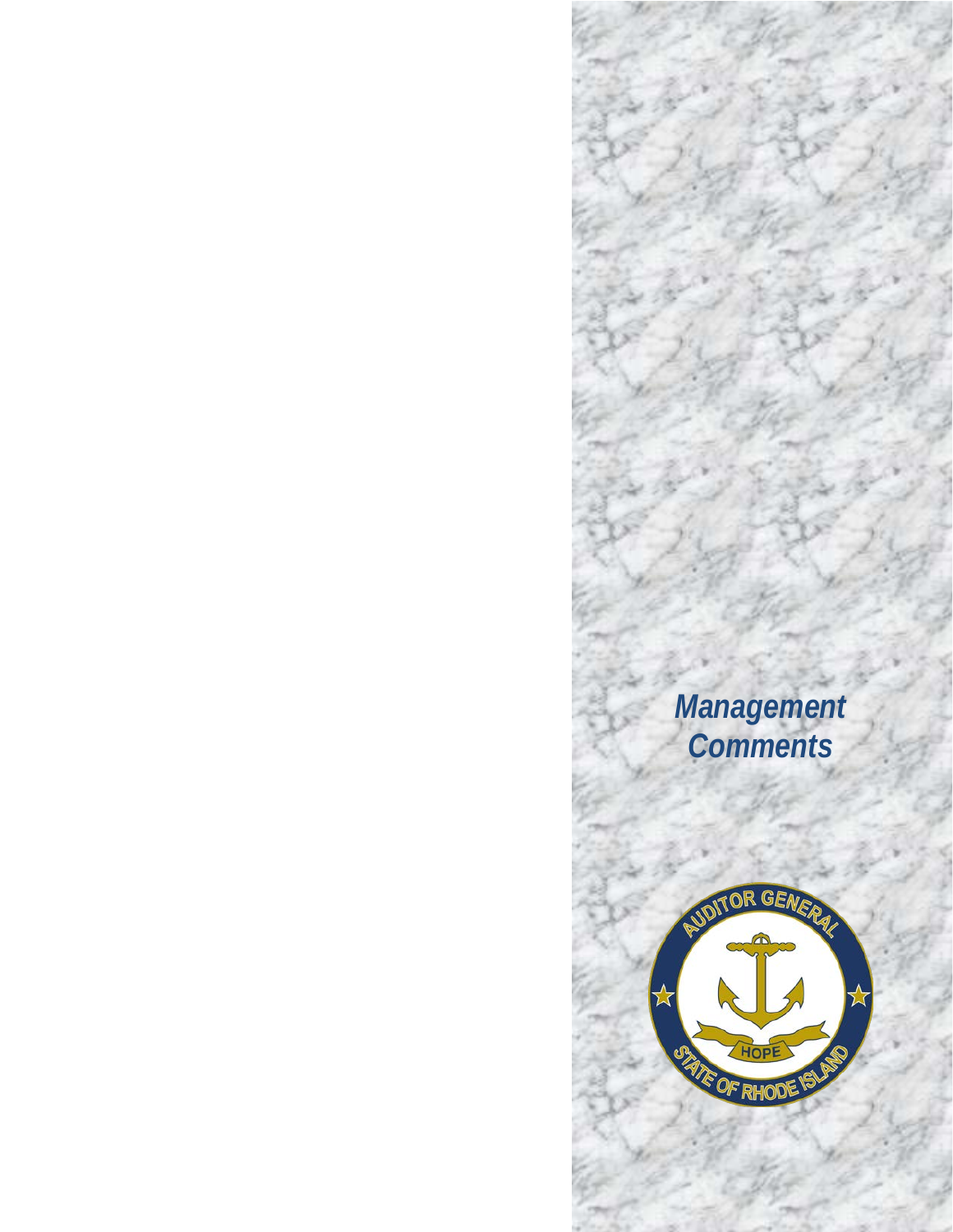# *Management Comments*

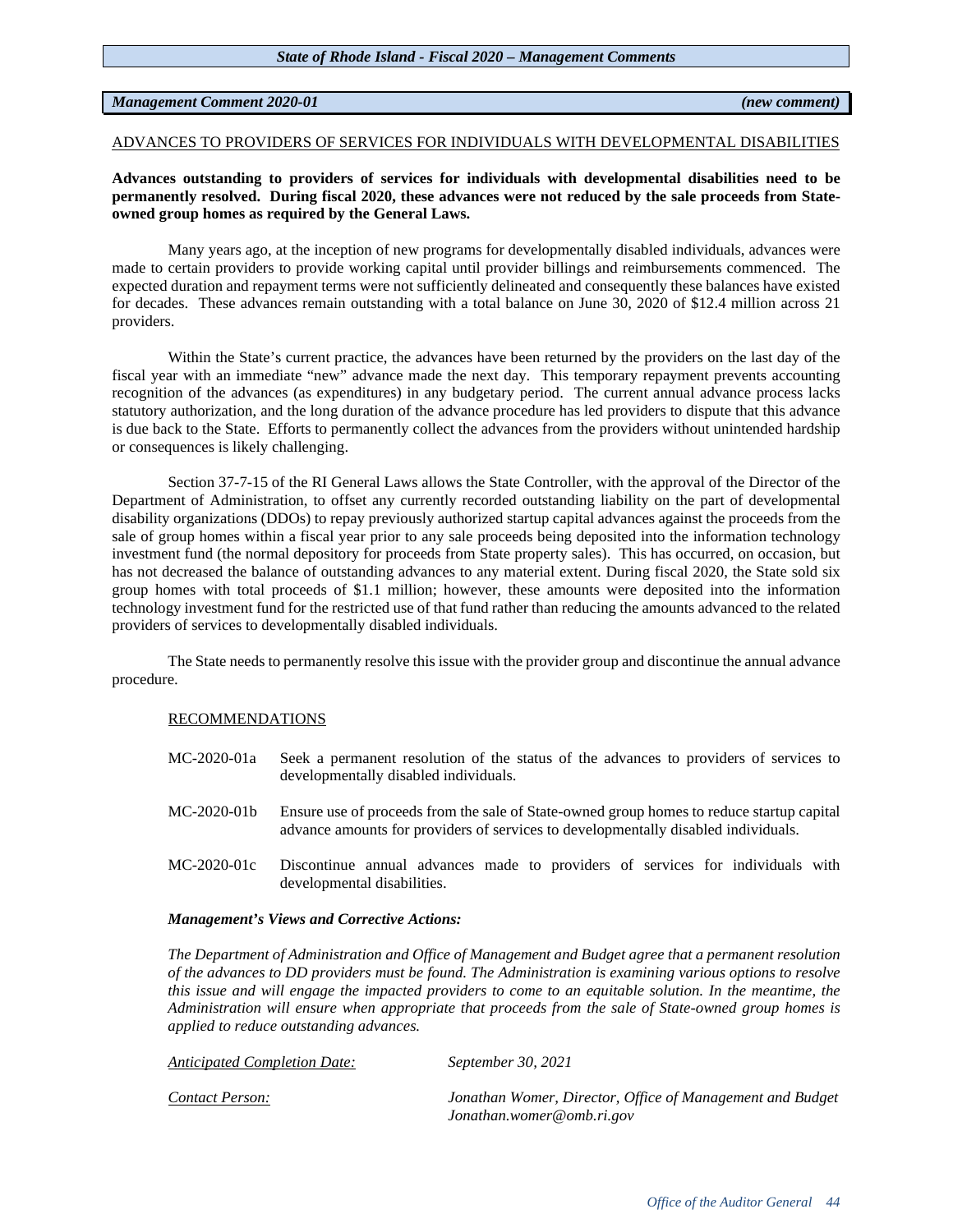# *Management Comment 2020-01 (new comment)*

# ADVANCES TO PROVIDERS OF SERVICES FOR INDIVIDUALS WITH DEVELOPMENTAL DISABILITIES

# **Advances outstanding to providers of services for individuals with developmental disabilities need to be permanently resolved. During fiscal 2020, these advances were not reduced by the sale proceeds from Stateowned group homes as required by the General Laws.**

Many years ago, at the inception of new programs for developmentally disabled individuals, advances were made to certain providers to provide working capital until provider billings and reimbursements commenced. The expected duration and repayment terms were not sufficiently delineated and consequently these balances have existed for decades. These advances remain outstanding with a total balance on June 30, 2020 of \$12.4 million across 21 providers.

Within the State's current practice, the advances have been returned by the providers on the last day of the fiscal year with an immediate "new" advance made the next day. This temporary repayment prevents accounting recognition of the advances (as expenditures) in any budgetary period. The current annual advance process lacks statutory authorization, and the long duration of the advance procedure has led providers to dispute that this advance is due back to the State. Efforts to permanently collect the advances from the providers without unintended hardship or consequences is likely challenging.

Section 37-7-15 of the RI General Laws allows the State Controller, with the approval of the Director of the Department of Administration, to offset any currently recorded outstanding liability on the part of developmental disability organizations (DDOs) to repay previously authorized startup capital advances against the proceeds from the sale of group homes within a fiscal year prior to any sale proceeds being deposited into the information technology investment fund (the normal depository for proceeds from State property sales). This has occurred, on occasion, but has not decreased the balance of outstanding advances to any material extent. During fiscal 2020, the State sold six group homes with total proceeds of \$1.1 million; however, these amounts were deposited into the information technology investment fund for the restricted use of that fund rather than reducing the amounts advanced to the related providers of services to developmentally disabled individuals.

The State needs to permanently resolve this issue with the provider group and discontinue the annual advance procedure.

# RECOMMENDATIONS

- MC-2020-01a Seek a permanent resolution of the status of the advances to providers of services to developmentally disabled individuals.
- MC-2020-01b Ensure use of proceeds from the sale of State-owned group homes to reduce startup capital advance amounts for providers of services to developmentally disabled individuals.
- MC-2020-01c Discontinue annual advances made to providers of services for individuals with developmental disabilities.

# *Management's Views and Corrective Actions:*

*The Department of Administration and Office of Management and Budget agree that a permanent resolution of the advances to DD providers must be found. The Administration is examining various options to resolve this issue and will engage the impacted providers to come to an equitable solution. In the meantime, the Administration will ensure when appropriate that proceeds from the sale of State-owned group homes is applied to reduce outstanding advances.* 

| <b>Anticipated Completion Date:</b> | September 30, 2021                                                                     |
|-------------------------------------|----------------------------------------------------------------------------------------|
| Contact Person:                     | Jonathan Womer, Director, Office of Management and Budget<br>Jonathan.womer@omb.ri.gov |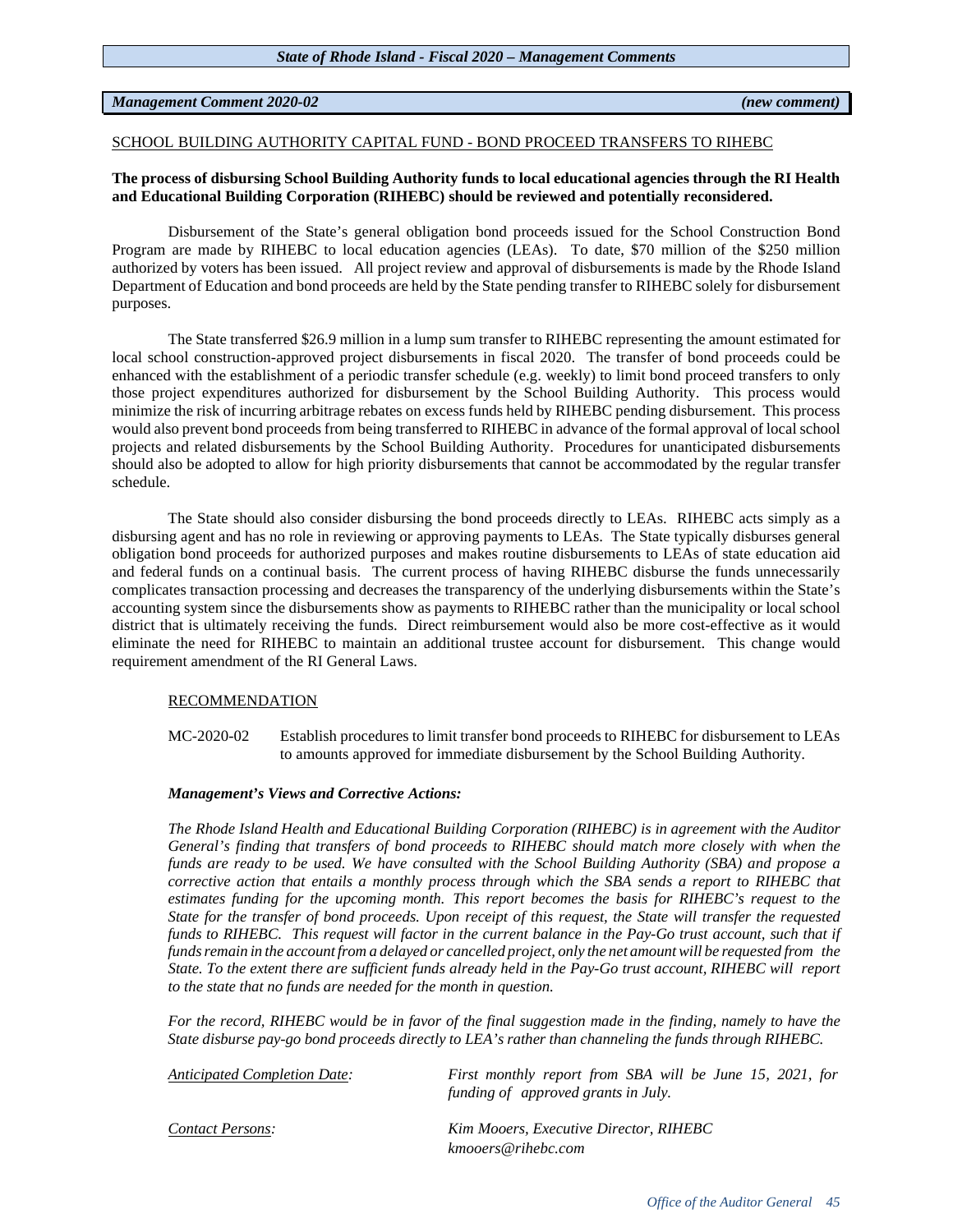# *Management Comment 2020-02 (new comment)*

# SCHOOL BUILDING AUTHORITY CAPITAL FUND - BOND PROCEED TRANSFERS TO RIHEBC

# **The process of disbursing School Building Authority funds to local educational agencies through the RI Health and Educational Building Corporation (RIHEBC) should be reviewed and potentially reconsidered.**

Disbursement of the State's general obligation bond proceeds issued for the School Construction Bond Program are made by RIHEBC to local education agencies (LEAs). To date, \$70 million of the \$250 million authorized by voters has been issued. All project review and approval of disbursements is made by the Rhode Island Department of Education and bond proceeds are held by the State pending transfer to RIHEBC solely for disbursement purposes.

The State transferred \$26.9 million in a lump sum transfer to RIHEBC representing the amount estimated for local school construction-approved project disbursements in fiscal 2020. The transfer of bond proceeds could be enhanced with the establishment of a periodic transfer schedule (e.g. weekly) to limit bond proceed transfers to only those project expenditures authorized for disbursement by the School Building Authority. This process would minimize the risk of incurring arbitrage rebates on excess funds held by RIHEBC pending disbursement. This process would also prevent bond proceeds from being transferred to RIHEBC in advance of the formal approval of local school projects and related disbursements by the School Building Authority. Procedures for unanticipated disbursements should also be adopted to allow for high priority disbursements that cannot be accommodated by the regular transfer schedule.

The State should also consider disbursing the bond proceeds directly to LEAs. RIHEBC acts simply as a disbursing agent and has no role in reviewing or approving payments to LEAs. The State typically disburses general obligation bond proceeds for authorized purposes and makes routine disbursements to LEAs of state education aid and federal funds on a continual basis. The current process of having RIHEBC disburse the funds unnecessarily complicates transaction processing and decreases the transparency of the underlying disbursements within the State's accounting system since the disbursements show as payments to RIHEBC rather than the municipality or local school district that is ultimately receiving the funds. Direct reimbursement would also be more cost-effective as it would eliminate the need for RIHEBC to maintain an additional trustee account for disbursement. This change would requirement amendment of the RI General Laws.

# RECOMMENDATION

MC-2020-02 Establish procedures to limit transfer bond proceeds to RIHEBC for disbursement to LEAs to amounts approved for immediate disbursement by the School Building Authority.

# *Management's Views and Corrective Actions:*

*The Rhode Island Health and Educational Building Corporation (RIHEBC) is in agreement with the Auditor General's finding that transfers of bond proceeds to RIHEBC should match more closely with when the* funds are ready to be used. We have consulted with the School Building Authority (SBA) and propose a *corrective action that entails a monthly process through which the SBA sends a report to RIHEBC that estimates funding for the upcoming month. This report becomes the basis for RIHEBC's request to the* State for the transfer of bond proceeds. Upon receipt of this request, the State will transfer the requested funds to RIHEBC. This request will factor in the current balance in the Pay-Go trust account, such that if funds remain in the account from a delayed or cancelled project, only the net amount will be requested from the State. To the extent there are sufficient funds already held in the Pay-Go trust account, RIHEBC will report *to the state that no funds are needed for the month in question.*

*For the record, RIHEBC would be in favor of the final suggestion made in the finding, namely to have the State disburse pay-go bond proceeds directly to LEA's rather than channeling the funds through RIHEBC.*

| Anticipated Completion Date: | First monthly report from SBA will be June 15, 2021, for<br>funding of approved grants in July. |
|------------------------------|-------------------------------------------------------------------------------------------------|
| Contact Persons:             | Kim Mooers, Executive Director, RIHEBC<br>kmooers@rihebc.com                                    |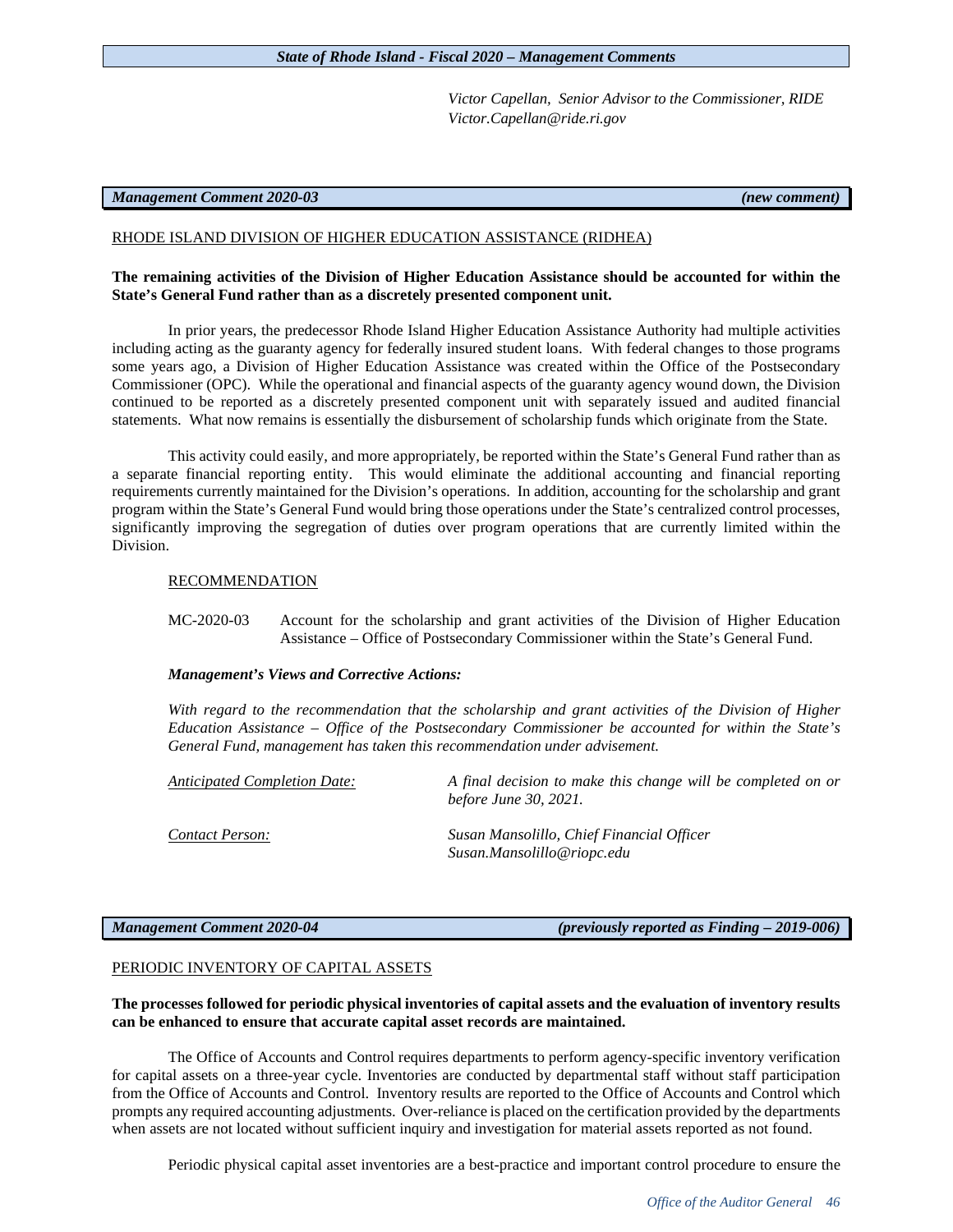*Victor Capellan, Senior Advisor to the Commissioner, RIDE Victor.Capellan@ride.ri.gov*

# *Management Comment 2020-03 (new comment)*

# RHODE ISLAND DIVISION OF HIGHER EDUCATION ASSISTANCE (RIDHEA)

# **The remaining activities of the Division of Higher Education Assistance should be accounted for within the State's General Fund rather than as a discretely presented component unit.**

In prior years, the predecessor Rhode Island Higher Education Assistance Authority had multiple activities including acting as the guaranty agency for federally insured student loans. With federal changes to those programs some years ago, a Division of Higher Education Assistance was created within the Office of the Postsecondary Commissioner (OPC). While the operational and financial aspects of the guaranty agency wound down, the Division continued to be reported as a discretely presented component unit with separately issued and audited financial statements. What now remains is essentially the disbursement of scholarship funds which originate from the State.

This activity could easily, and more appropriately, be reported within the State's General Fund rather than as a separate financial reporting entity. This would eliminate the additional accounting and financial reporting requirements currently maintained for the Division's operations. In addition, accounting for the scholarship and grant program within the State's General Fund would bring those operations under the State's centralized control processes, significantly improving the segregation of duties over program operations that are currently limited within the Division.

# RECOMMENDATION

MC-2020-03 Account for the scholarship and grant activities of the Division of Higher Education Assistance – Office of Postsecondary Commissioner within the State's General Fund.

### *Management's Views and Corrective Actions:*

*With regard to the recommendation that the scholarship and grant activities of the Division of Higher Education Assistance – Office of the Postsecondary Commissioner be accounted for within the State's General Fund, management has taken this recommendation under advisement.* 

*Anticipated Completion Date: A final decision to make this change will be completed on or before June 30, 2021.*

*Contact Person: Susan Mansolillo, Chief Financial Officer Susan.Mansolillo@riopc.edu*

*Management Comment 2020-04 (previously reported as Finding – 2019-006)*

# PERIODIC INVENTORY OF CAPITAL ASSETS

# **The processes followed for periodic physical inventories of capital assets and the evaluation of inventory results can be enhanced to ensure that accurate capital asset records are maintained.**

The Office of Accounts and Control requires departments to perform agency-specific inventory verification for capital assets on a three-year cycle. Inventories are conducted by departmental staff without staff participation from the Office of Accounts and Control. Inventory results are reported to the Office of Accounts and Control which prompts any required accounting adjustments. Over-reliance is placed on the certification provided by the departments when assets are not located without sufficient inquiry and investigation for material assets reported as not found.

Periodic physical capital asset inventories are a best-practice and important control procedure to ensure the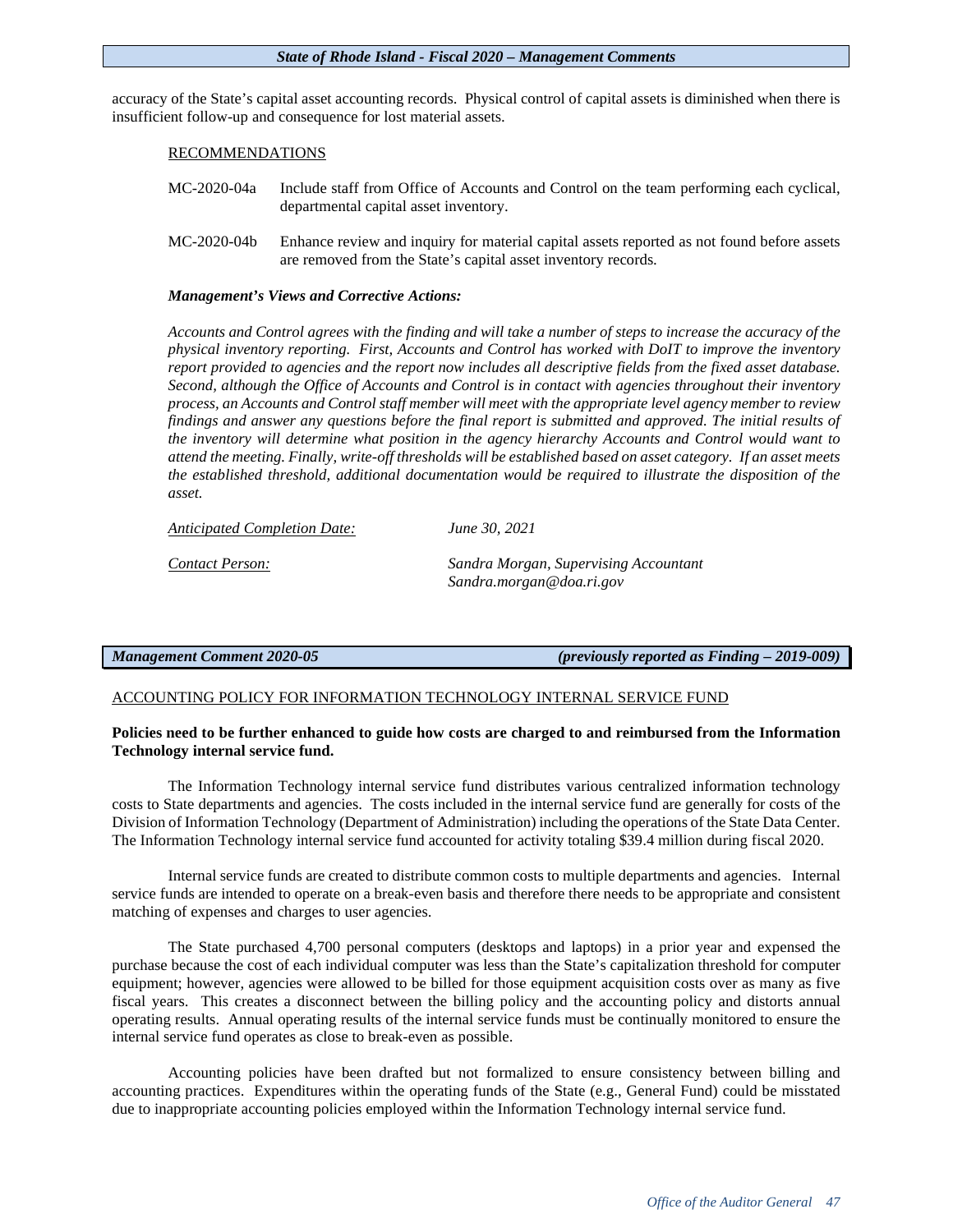accuracy of the State's capital asset accounting records. Physical control of capital assets is diminished when there is insufficient follow-up and consequence for lost material assets.

# RECOMMENDATIONS

- MC-2020-04a Include staff from Office of Accounts and Control on the team performing each cyclical, departmental capital asset inventory.
- MC-2020-04b Enhance review and inquiry for material capital assets reported as not found before assets are removed from the State's capital asset inventory records.

# *Management's Views and Corrective Actions:*

*Accounts and Control agrees with the finding and will take a number of steps to increase the accuracy of the physical inventory reporting. First, Accounts and Control has worked with DoIT to improve the inventory report provided to agencies and the report now includes all descriptive fields from the fixed asset database. Second, although the Office of Accounts and Control is in contact with agencies throughout their inventory process, an Accounts and Control staff member will meet with the appropriate level agency member to review findings and answer any questions before the final report is submitted and approved. The initial results of the inventory will determine what position in the agency hierarchy Accounts and Control would want to attend the meeting. Finally, write-off thresholds will be established based on asset category. If an asset meets the established threshold, additional documentation would be required to illustrate the disposition of the asset.*

| <b>Anticipated Completion Date:</b> | June 30, 2021                                                     |
|-------------------------------------|-------------------------------------------------------------------|
| Contact Person:                     | Sandra Morgan, Supervising Accountant<br>Sandra.morgan@doa.ri.gov |

*Management Comment 2020-05 (previously reported as Finding – 2019-009)*

# ACCOUNTING POLICY FOR INFORMATION TECHNOLOGY INTERNAL SERVICE FUND

# **Policies need to be further enhanced to guide how costs are charged to and reimbursed from the Information Technology internal service fund.**

The Information Technology internal service fund distributes various centralized information technology costs to State departments and agencies. The costs included in the internal service fund are generally for costs of the Division of Information Technology (Department of Administration) including the operations of the State Data Center. The Information Technology internal service fund accounted for activity totaling \$39.4 million during fiscal 2020.

Internal service funds are created to distribute common costs to multiple departments and agencies. Internal service funds are intended to operate on a break-even basis and therefore there needs to be appropriate and consistent matching of expenses and charges to user agencies.

The State purchased 4,700 personal computers (desktops and laptops) in a prior year and expensed the purchase because the cost of each individual computer was less than the State's capitalization threshold for computer equipment; however, agencies were allowed to be billed for those equipment acquisition costs over as many as five fiscal years. This creates a disconnect between the billing policy and the accounting policy and distorts annual operating results. Annual operating results of the internal service funds must be continually monitored to ensure the internal service fund operates as close to break-even as possible.

Accounting policies have been drafted but not formalized to ensure consistency between billing and accounting practices. Expenditures within the operating funds of the State (e.g., General Fund) could be misstated due to inappropriate accounting policies employed within the Information Technology internal service fund.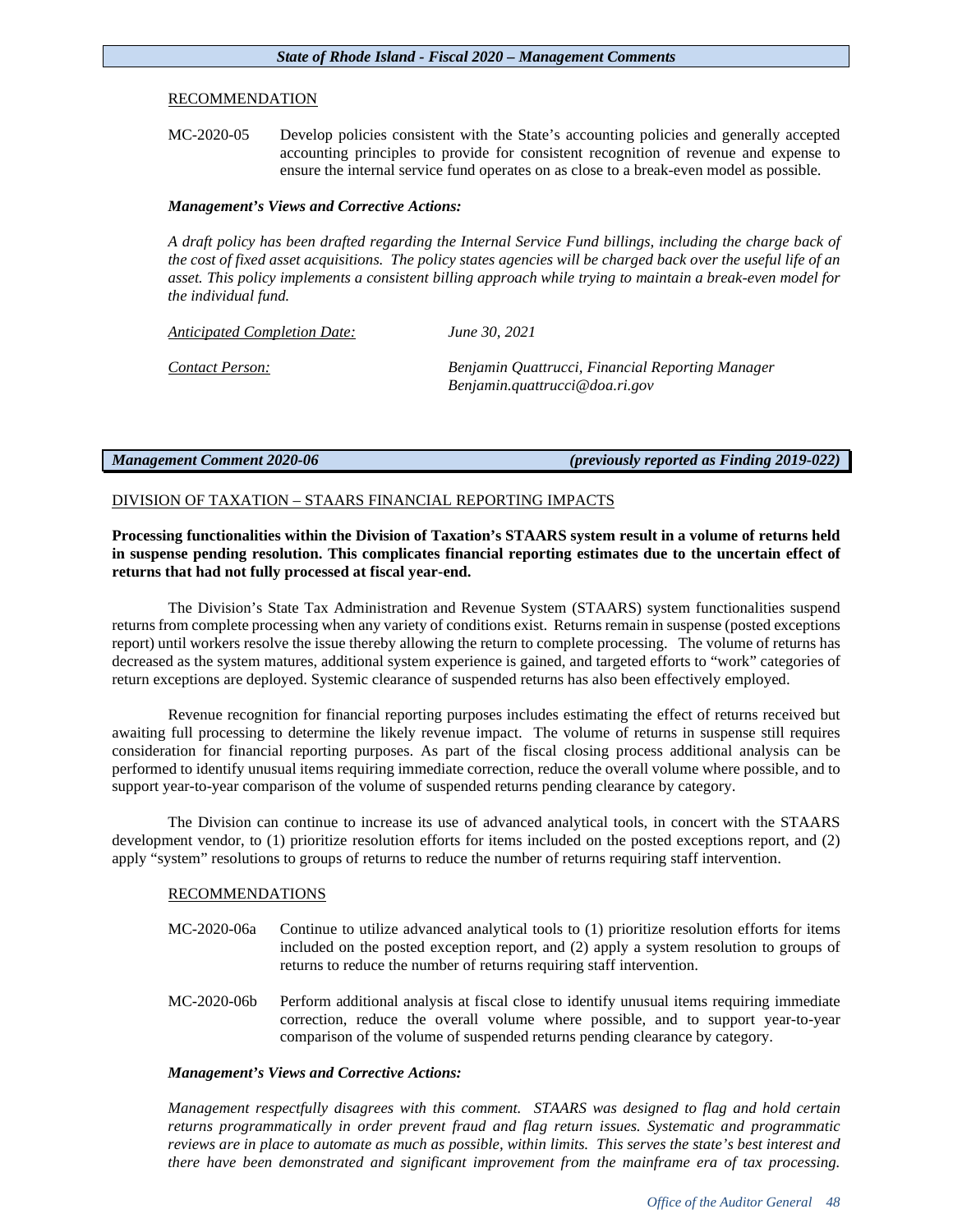# RECOMMENDATION

MC-2020-05 Develop policies consistent with the State's accounting policies and generally accepted accounting principles to provide for consistent recognition of revenue and expense to ensure the internal service fund operates on as close to a break-even model as possible.

# *Management's Views and Corrective Actions:*

*A draft policy has been drafted regarding the Internal Service Fund billings, including the charge back of the cost of fixed asset acquisitions. The policy states agencies will be charged back over the useful life of an asset. This policy implements a consistent billing approach while trying to maintain a break-even model for the individual fund.* 

| <b>Anticipated Completion Date:</b> | June 30, 2021                                                                      |
|-------------------------------------|------------------------------------------------------------------------------------|
| Contact Person:                     | Benjamin Quattrucci, Financial Reporting Manager<br>Benjamin.quattrucci@doa.ri.gov |

*Management Comment 2020-06 (previously reported as Finding 2019-022)*

# DIVISION OF TAXATION – STAARS FINANCIAL REPORTING IMPACTS

**Processing functionalities within the Division of Taxation's STAARS system result in a volume of returns held in suspense pending resolution. This complicates financial reporting estimates due to the uncertain effect of returns that had not fully processed at fiscal year-end.**

The Division's State Tax Administration and Revenue System (STAARS) system functionalities suspend returns from complete processing when any variety of conditions exist. Returns remain in suspense (posted exceptions report) until workers resolve the issue thereby allowing the return to complete processing. The volume of returns has decreased as the system matures, additional system experience is gained, and targeted efforts to "work" categories of return exceptions are deployed. Systemic clearance of suspended returns has also been effectively employed.

Revenue recognition for financial reporting purposes includes estimating the effect of returns received but awaiting full processing to determine the likely revenue impact. The volume of returns in suspense still requires consideration for financial reporting purposes. As part of the fiscal closing process additional analysis can be performed to identify unusual items requiring immediate correction, reduce the overall volume where possible, and to support year-to-year comparison of the volume of suspended returns pending clearance by category.

The Division can continue to increase its use of advanced analytical tools, in concert with the STAARS development vendor, to (1) prioritize resolution efforts for items included on the posted exceptions report, and (2) apply "system" resolutions to groups of returns to reduce the number of returns requiring staff intervention.

# RECOMMENDATIONS

- MC-2020-06a Continue to utilize advanced analytical tools to (1) prioritize resolution efforts for items included on the posted exception report, and (2) apply a system resolution to groups of returns to reduce the number of returns requiring staff intervention.
- MC-2020-06b Perform additional analysis at fiscal close to identify unusual items requiring immediate correction, reduce the overall volume where possible, and to support year-to-year comparison of the volume of suspended returns pending clearance by category.

# *Management's Views and Corrective Actions:*

*Management respectfully disagrees with this comment. STAARS was designed to flag and hold certain returns programmatically in order prevent fraud and flag return issues. Systematic and programmatic reviews are in place to automate as much as possible, within limits. This serves the state's best interest and there have been demonstrated and significant improvement from the mainframe era of tax processing.*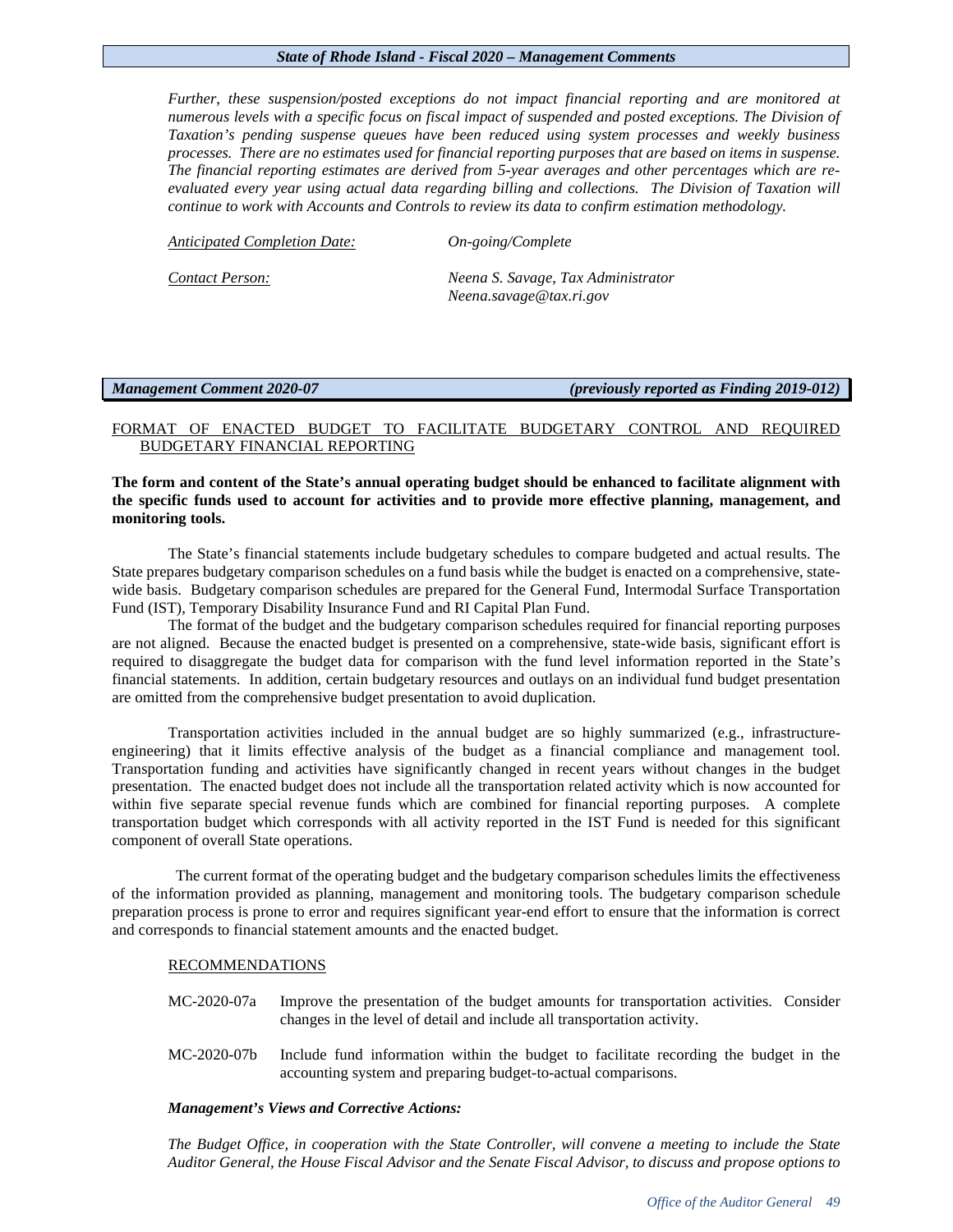*Further, these suspension/posted exceptions do not impact financial reporting and are monitored at numerous levels with a specific focus on fiscal impact of suspended and posted exceptions. The Division of Taxation's pending suspense queues have been reduced using system processes and weekly business processes. There are no estimates used for financial reporting purposes that are based on items in suspense. The financial reporting estimates are derived from 5-year averages and other percentages which are reevaluated every year using actual data regarding billing and collections. The Division of Taxation will continue to work with Accounts and Controls to review its data to confirm estimation methodology.* 

| <b>Anticipated Completion Date:</b> | $On\text{-}going/Complete$                                    |
|-------------------------------------|---------------------------------------------------------------|
| Contact Person:                     | Neena S. Savage, Tax Administrator<br>Neena.savage@tax.ri.gov |

*Management Comment 2020-07 (previously reported as Finding 2019-012)*

# FORMAT OF ENACTED BUDGET TO FACILITATE BUDGETARY CONTROL AND REQUIRED BUDGETARY FINANCIAL REPORTING

# **The form and content of the State's annual operating budget should be enhanced to facilitate alignment with the specific funds used to account for activities and to provide more effective planning, management, and monitoring tools.**

The State's financial statements include budgetary schedules to compare budgeted and actual results. The State prepares budgetary comparison schedules on a fund basis while the budget is enacted on a comprehensive, statewide basis. Budgetary comparison schedules are prepared for the General Fund, Intermodal Surface Transportation Fund (IST), Temporary Disability Insurance Fund and RI Capital Plan Fund.

The format of the budget and the budgetary comparison schedules required for financial reporting purposes are not aligned. Because the enacted budget is presented on a comprehensive, state-wide basis, significant effort is required to disaggregate the budget data for comparison with the fund level information reported in the State's financial statements. In addition, certain budgetary resources and outlays on an individual fund budget presentation are omitted from the comprehensive budget presentation to avoid duplication.

Transportation activities included in the annual budget are so highly summarized (e.g., infrastructureengineering) that it limits effective analysis of the budget as a financial compliance and management tool. Transportation funding and activities have significantly changed in recent years without changes in the budget presentation. The enacted budget does not include all the transportation related activity which is now accounted for within five separate special revenue funds which are combined for financial reporting purposes. A complete transportation budget which corresponds with all activity reported in the IST Fund is needed for this significant component of overall State operations.

The current format of the operating budget and the budgetary comparison schedules limits the effectiveness of the information provided as planning, management and monitoring tools. The budgetary comparison schedule preparation process is prone to error and requires significant year-end effort to ensure that the information is correct and corresponds to financial statement amounts and the enacted budget.

# RECOMMENDATIONS

- MC-2020-07a Improve the presentation of the budget amounts for transportation activities. Consider changes in the level of detail and include all transportation activity.
- MC-2020-07b Include fund information within the budget to facilitate recording the budget in the accounting system and preparing budget-to-actual comparisons.

# *Management's Views and Corrective Actions:*

*The Budget Office, in cooperation with the State Controller, will convene a meeting to include the State Auditor General, the House Fiscal Advisor and the Senate Fiscal Advisor, to discuss and propose options to*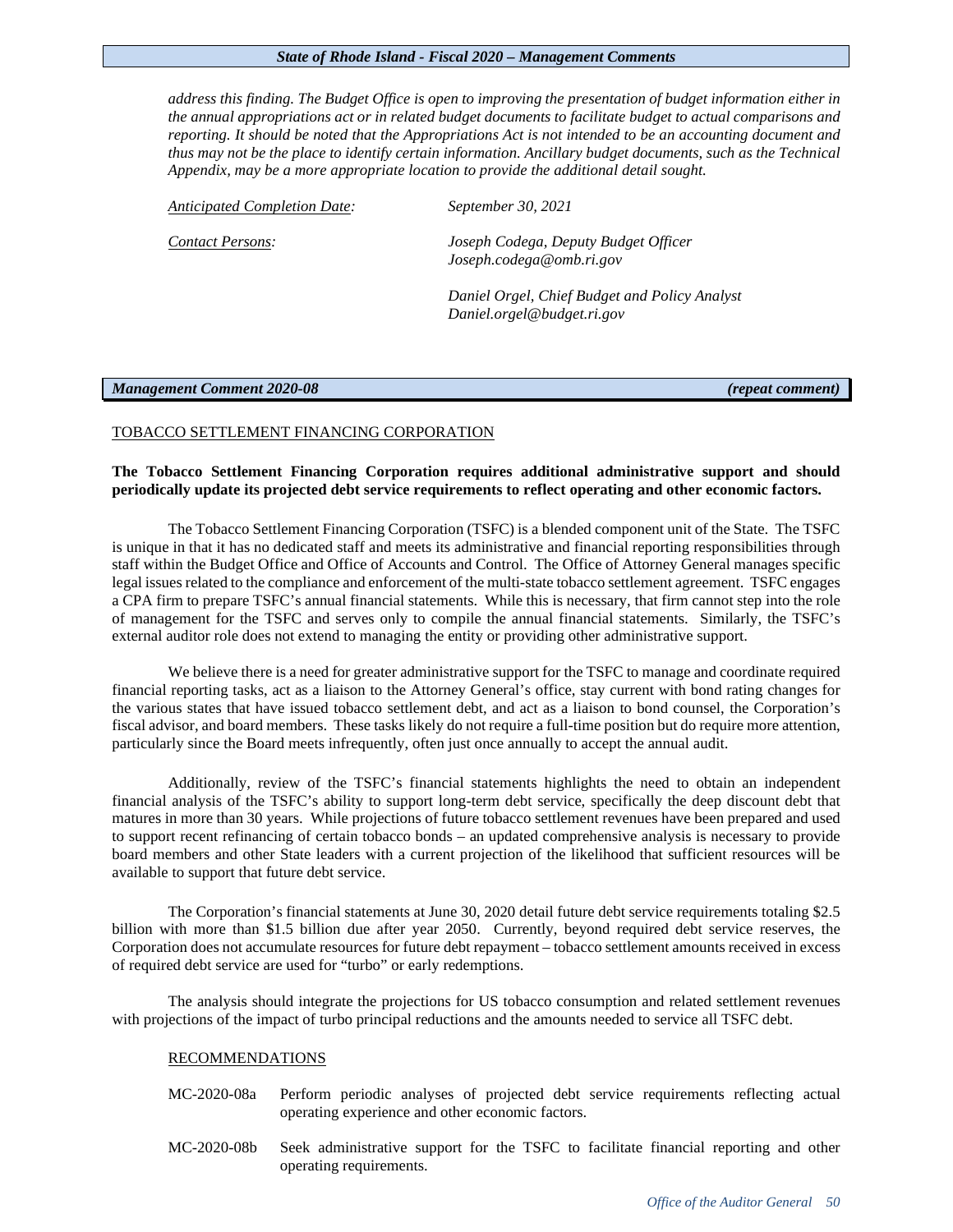*address this finding. The Budget Office is open to improving the presentation of budget information either in the annual appropriations act or in related budget documents to facilitate budget to actual comparisons and reporting. It should be noted that the Appropriations Act is not intended to be an accounting document and thus may not be the place to identify certain information. Ancillary budget documents, such as the Technical Appendix, may be a more appropriate location to provide the additional detail sought.* 

*Anticipated Completion Date: September 30, 2021*

*Contact Persons: Joseph Codega, Deputy Budget Officer Joseph.codega@omb.ri.gov*

> *Daniel Orgel, Chief Budget and Policy Analyst Daniel.orgel@budget.ri.gov*

# *Management Comment 2020-08 (repeat comment)*

# TOBACCO SETTLEMENT FINANCING CORPORATION

# **The Tobacco Settlement Financing Corporation requires additional administrative support and should periodically update its projected debt service requirements to reflect operating and other economic factors.**

The Tobacco Settlement Financing Corporation (TSFC) is a blended component unit of the State. The TSFC is unique in that it has no dedicated staff and meets its administrative and financial reporting responsibilities through staff within the Budget Office and Office of Accounts and Control. The Office of Attorney General manages specific legal issues related to the compliance and enforcement of the multi-state tobacco settlement agreement. TSFC engages a CPA firm to prepare TSFC's annual financial statements. While this is necessary, that firm cannot step into the role of management for the TSFC and serves only to compile the annual financial statements. Similarly, the TSFC's external auditor role does not extend to managing the entity or providing other administrative support.

We believe there is a need for greater administrative support for the TSFC to manage and coordinate required financial reporting tasks, act as a liaison to the Attorney General's office, stay current with bond rating changes for the various states that have issued tobacco settlement debt, and act as a liaison to bond counsel, the Corporation's fiscal advisor, and board members. These tasks likely do not require a full-time position but do require more attention, particularly since the Board meets infrequently, often just once annually to accept the annual audit.

Additionally, review of the TSFC's financial statements highlights the need to obtain an independent financial analysis of the TSFC's ability to support long-term debt service, specifically the deep discount debt that matures in more than 30 years. While projections of future tobacco settlement revenues have been prepared and used to support recent refinancing of certain tobacco bonds – an updated comprehensive analysis is necessary to provide board members and other State leaders with a current projection of the likelihood that sufficient resources will be available to support that future debt service.

The Corporation's financial statements at June 30, 2020 detail future debt service requirements totaling \$2.5 billion with more than \$1.5 billion due after year 2050. Currently, beyond required debt service reserves, the Corporation does not accumulate resources for future debt repayment – tobacco settlement amounts received in excess of required debt service are used for "turbo" or early redemptions.

The analysis should integrate the projections for US tobacco consumption and related settlement revenues with projections of the impact of turbo principal reductions and the amounts needed to service all TSFC debt.

# RECOMMENDATIONS

- MC-2020-08a Perform periodic analyses of projected debt service requirements reflecting actual operating experience and other economic factors.
- MC-2020-08b Seek administrative support for the TSFC to facilitate financial reporting and other operating requirements.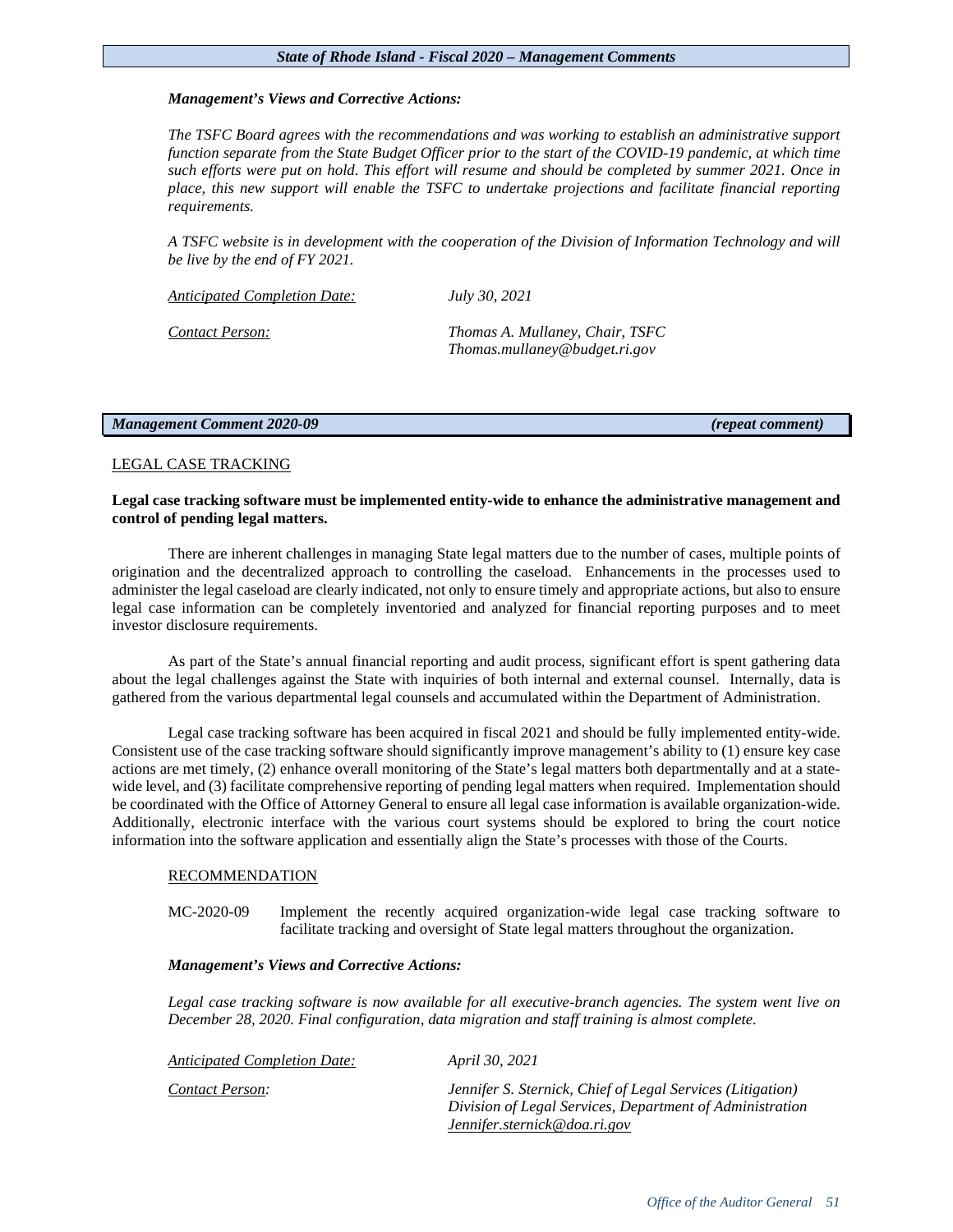# *Management's Views and Corrective Actions:*

*The TSFC Board agrees with the recommendations and was working to establish an administrative support function separate from the State Budget Officer prior to the start of the COVID-19 pandemic, at which time such efforts were put on hold. This effort will resume and should be completed by summer 2021. Once in place, this new support will enable the TSFC to undertake projections and facilitate financial reporting requirements.* 

*A TSFC website is in development with the cooperation of the Division of Information Technology and will be live by the end of FY 2021.* 

*Contact Person: Thomas A. Mullaney, Chair, TSFC*

| <b>Anticipated Completion Date:</b> | July 30, 2021                    |
|-------------------------------------|----------------------------------|
| Contact Person:                     | Thomas A. Mullaney, Chair, TSF   |
|                                     | $Thomas.$ mullaney@budget.ri.gov |

# *Management Comment 2020-09 (repeat comment)*

# LEGAL CASE TRACKING

# **Legal case tracking software must be implemented entity-wide to enhance the administrative management and control of pending legal matters.**

There are inherent challenges in managing State legal matters due to the number of cases, multiple points of origination and the decentralized approach to controlling the caseload. Enhancements in the processes used to administer the legal caseload are clearly indicated, not only to ensure timely and appropriate actions, but also to ensure legal case information can be completely inventoried and analyzed for financial reporting purposes and to meet investor disclosure requirements.

As part of the State's annual financial reporting and audit process, significant effort is spent gathering data about the legal challenges against the State with inquiries of both internal and external counsel. Internally, data is gathered from the various departmental legal counsels and accumulated within the Department of Administration.

Legal case tracking software has been acquired in fiscal 2021 and should be fully implemented entity-wide. Consistent use of the case tracking software should significantly improve management's ability to (1) ensure key case actions are met timely, (2) enhance overall monitoring of the State's legal matters both departmentally and at a statewide level, and (3) facilitate comprehensive reporting of pending legal matters when required. Implementation should be coordinated with the Office of Attorney General to ensure all legal case information is available organization-wide. Additionally, electronic interface with the various court systems should be explored to bring the court notice information into the software application and essentially align the State's processes with those of the Courts.

# RECOMMENDATION

MC-2020-09 Implement the recently acquired organization-wide legal case tracking software to facilitate tracking and oversight of State legal matters throughout the organization.

# *Management's Views and Corrective Actions:*

*Legal case tracking software is now available for all executive-branch agencies. The system went live on December 28, 2020. Final configuration, data migration and staff training is almost complete.* 

| <b>Anticipated Completion Date:</b> | <i>April 30, 2021</i>                                                                                                  |
|-------------------------------------|------------------------------------------------------------------------------------------------------------------------|
| Contact Person:                     | Jennifer S. Sternick, Chief of Legal Services (Litigation)<br>Division of Legal Services, Department of Administration |
|                                     | Jennifer.sternick@doa.ri.gov                                                                                           |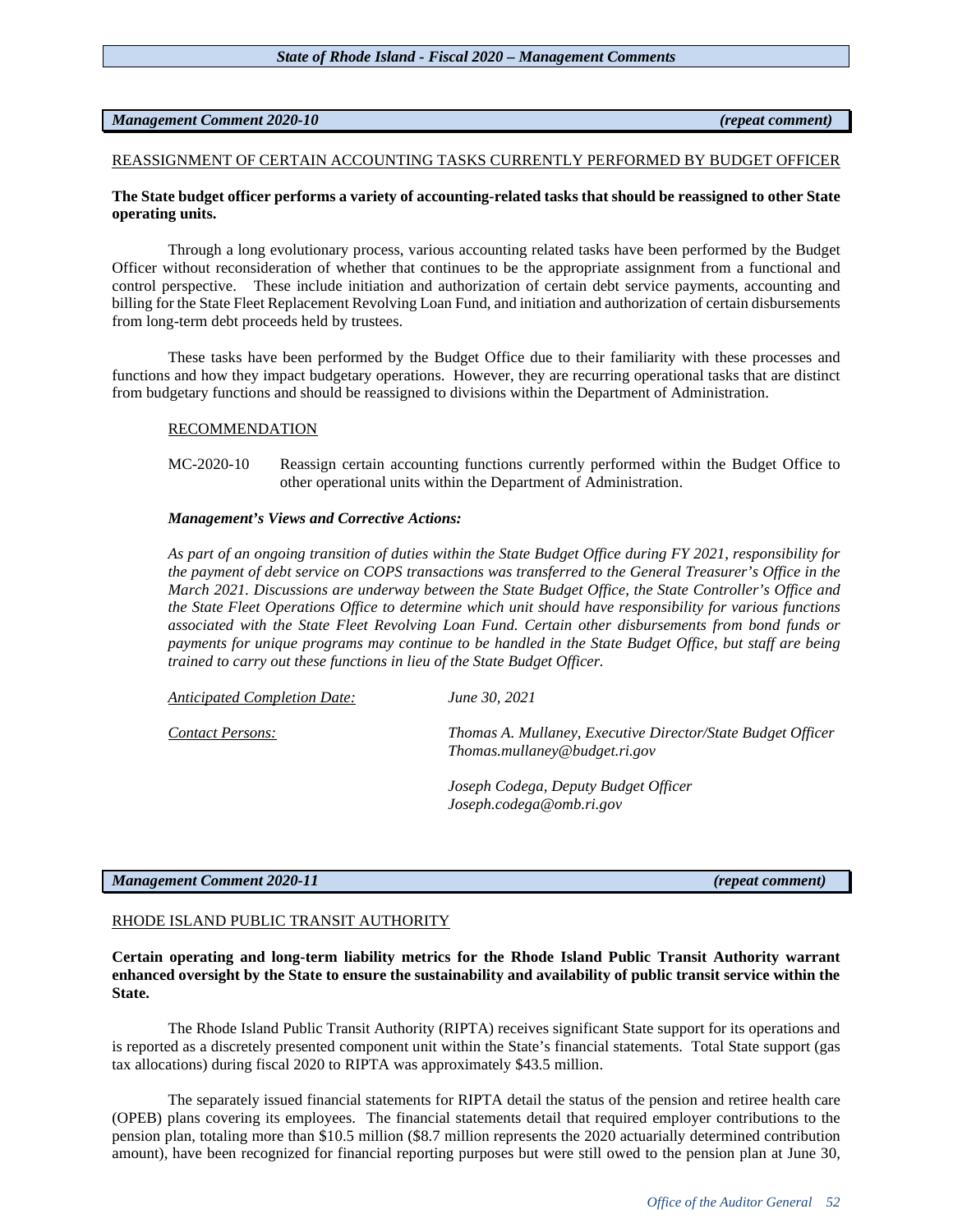*Office of the Auditor General 52*

### REASSIGNMENT OF CERTAIN ACCOUNTING TASKS CURRENTLY PERFORMED BY BUDGET OFFICER

# **The State budget officer performs a variety of accounting-related tasks that should be reassigned to other State operating units.**

Through a long evolutionary process, various accounting related tasks have been performed by the Budget Officer without reconsideration of whether that continues to be the appropriate assignment from a functional and control perspective. These include initiation and authorization of certain debt service payments, accounting and billing for the State Fleet Replacement Revolving Loan Fund, and initiation and authorization of certain disbursements from long-term debt proceeds held by trustees.

These tasks have been performed by the Budget Office due to their familiarity with these processes and functions and how they impact budgetary operations. However, they are recurring operational tasks that are distinct from budgetary functions and should be reassigned to divisions within the Department of Administration.

### RECOMMENDATION

MC-2020-10 Reassign certain accounting functions currently performed within the Budget Office to other operational units within the Department of Administration.

### *Management's Views and Corrective Actions:*

*As part of an ongoing transition of duties within the State Budget Office during FY 2021, responsibility for the payment of debt service on COPS transactions was transferred to the General Treasurer's Office in the March 2021. Discussions are underway between the State Budget Office, the State Controller's Office and the State Fleet Operations Office to determine which unit should have responsibility for various functions associated with the State Fleet Revolving Loan Fund. Certain other disbursements from bond funds or payments for unique programs may continue to be handled in the State Budget Office, but staff are being trained to carry out these functions in lieu of the State Budget Officer.* 

| Anticipated Completion Date: | June 30, 2021                                                                                |
|------------------------------|----------------------------------------------------------------------------------------------|
| Contact Persons:             | Thomas A. Mullaney, Executive Director/State Budget Officer<br>Thomas.mullaney@budget.ri.gov |

*Joseph Codega, Deputy Budget Officer Joseph.codega@omb.ri.gov*

# *Management Comment 2020-11 (repeat comment)*

# RHODE ISLAND PUBLIC TRANSIT AUTHORITY

**Certain operating and long-term liability metrics for the Rhode Island Public Transit Authority warrant enhanced oversight by the State to ensure the sustainability and availability of public transit service within the State.** 

The Rhode Island Public Transit Authority (RIPTA) receives significant State support for its operations and is reported as a discretely presented component unit within the State's financial statements. Total State support (gas tax allocations) during fiscal 2020 to RIPTA was approximately \$43.5 million.

The separately issued financial statements for RIPTA detail the status of the pension and retiree health care (OPEB) plans covering its employees. The financial statements detail that required employer contributions to the pension plan, totaling more than \$10.5 million (\$8.7 million represents the 2020 actuarially determined contribution amount), have been recognized for financial reporting purposes but were still owed to the pension plan at June 30,

# *Management Comment 2020-10 (repeat comment)*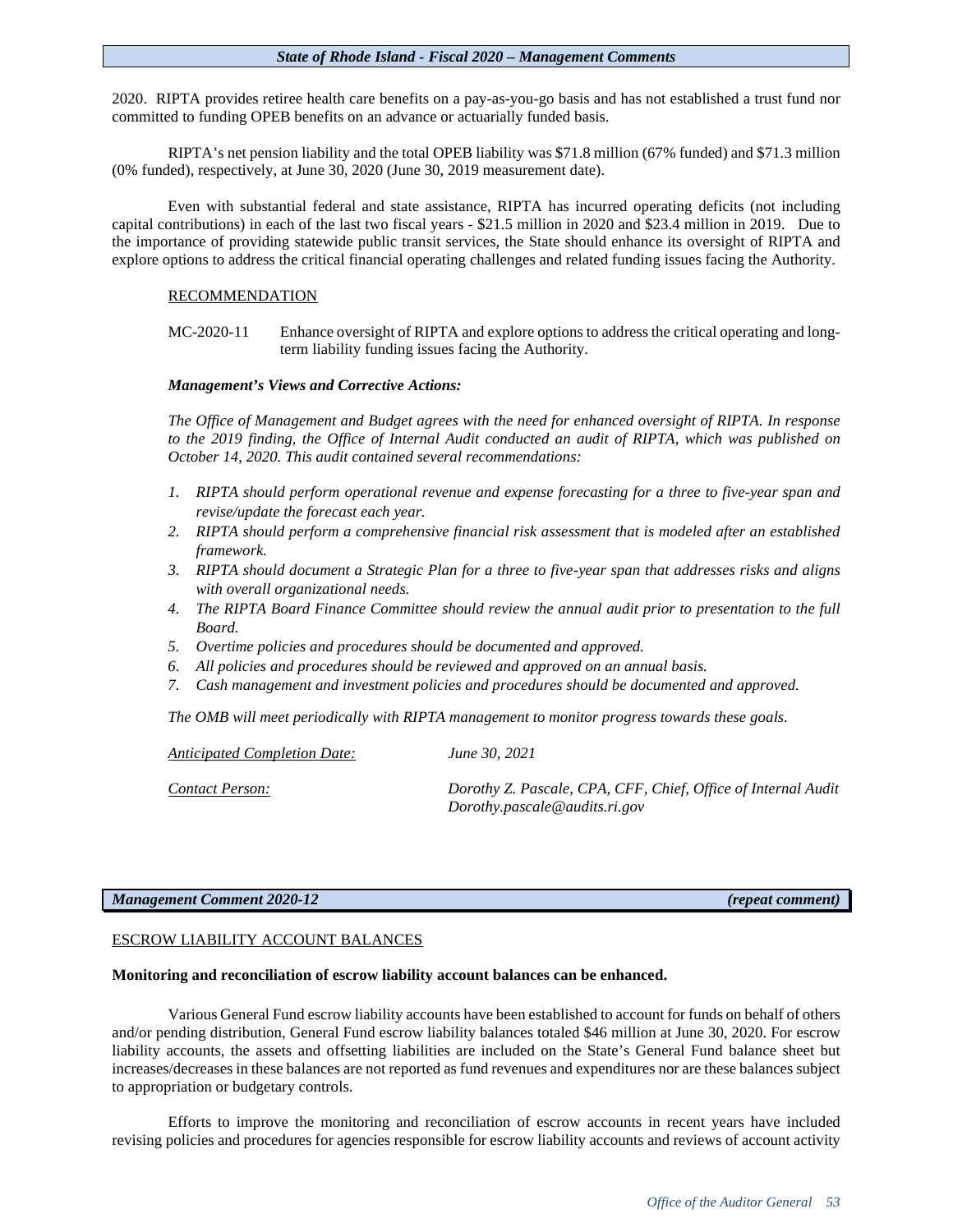2020. RIPTA provides retiree health care benefits on a pay-as-you-go basis and has not established a trust fund nor committed to funding OPEB benefits on an advance or actuarially funded basis.

RIPTA's net pension liability and the total OPEB liability was \$71.8 million (67% funded) and \$71.3 million (0% funded), respectively, at June 30, 2020 (June 30, 2019 measurement date).

Even with substantial federal and state assistance, RIPTA has incurred operating deficits (not including capital contributions) in each of the last two fiscal years - \$21.5 million in 2020 and \$23.4 million in 2019. Due to the importance of providing statewide public transit services, the State should enhance its oversight of RIPTA and explore options to address the critical financial operating challenges and related funding issues facing the Authority.

# RECOMMENDATION

MC-2020-11 Enhance oversight of RIPTA and explore options to address the critical operating and longterm liability funding issues facing the Authority.

# *Management's Views and Corrective Actions:*

*The Office of Management and Budget agrees with the need for enhanced oversight of RIPTA. In response to the 2019 finding, the Office of Internal Audit conducted an audit of RIPTA, which was published on October 14, 2020. This audit contained several recommendations:*

- *1. RIPTA should perform operational revenue and expense forecasting for a three to five-year span and revise/update the forecast each year.*
- *2. RIPTA should perform a comprehensive financial risk assessment that is modeled after an established framework.*
- *3. RIPTA should document a Strategic Plan for a three to five-year span that addresses risks and aligns with overall organizational needs.*
- *4. The RIPTA Board Finance Committee should review the annual audit prior to presentation to the full Board.*
- *5. Overtime policies and procedures should be documented and approved.*
- *6. All policies and procedures should be reviewed and approved on an annual basis.*
- *7. Cash management and investment policies and procedures should be documented and approved.*

*The OMB will meet periodically with RIPTA management to monitor progress towards these goals.*

*Anticipated Completion Date: June 30, 2021*

*Contact Person: Dorothy Z. Pascale, CPA, CFF, Chief, Office of Internal Audit Dorothy.pascale@audits.ri.gov*

# *Management Comment 2020-12 (repeat comment)*

# ESCROW LIABILITY ACCOUNT BALANCES

# **Monitoring and reconciliation of escrow liability account balances can be enhanced.**

Various General Fund escrow liability accounts have been established to account for funds on behalf of others and/or pending distribution, General Fund escrow liability balances totaled \$46 million at June 30, 2020. For escrow liability accounts, the assets and offsetting liabilities are included on the State's General Fund balance sheet but increases/decreases in these balances are not reported as fund revenues and expenditures nor are these balances subject to appropriation or budgetary controls.

Efforts to improve the monitoring and reconciliation of escrow accounts in recent years have included revising policies and procedures for agencies responsible for escrow liability accounts and reviews of account activity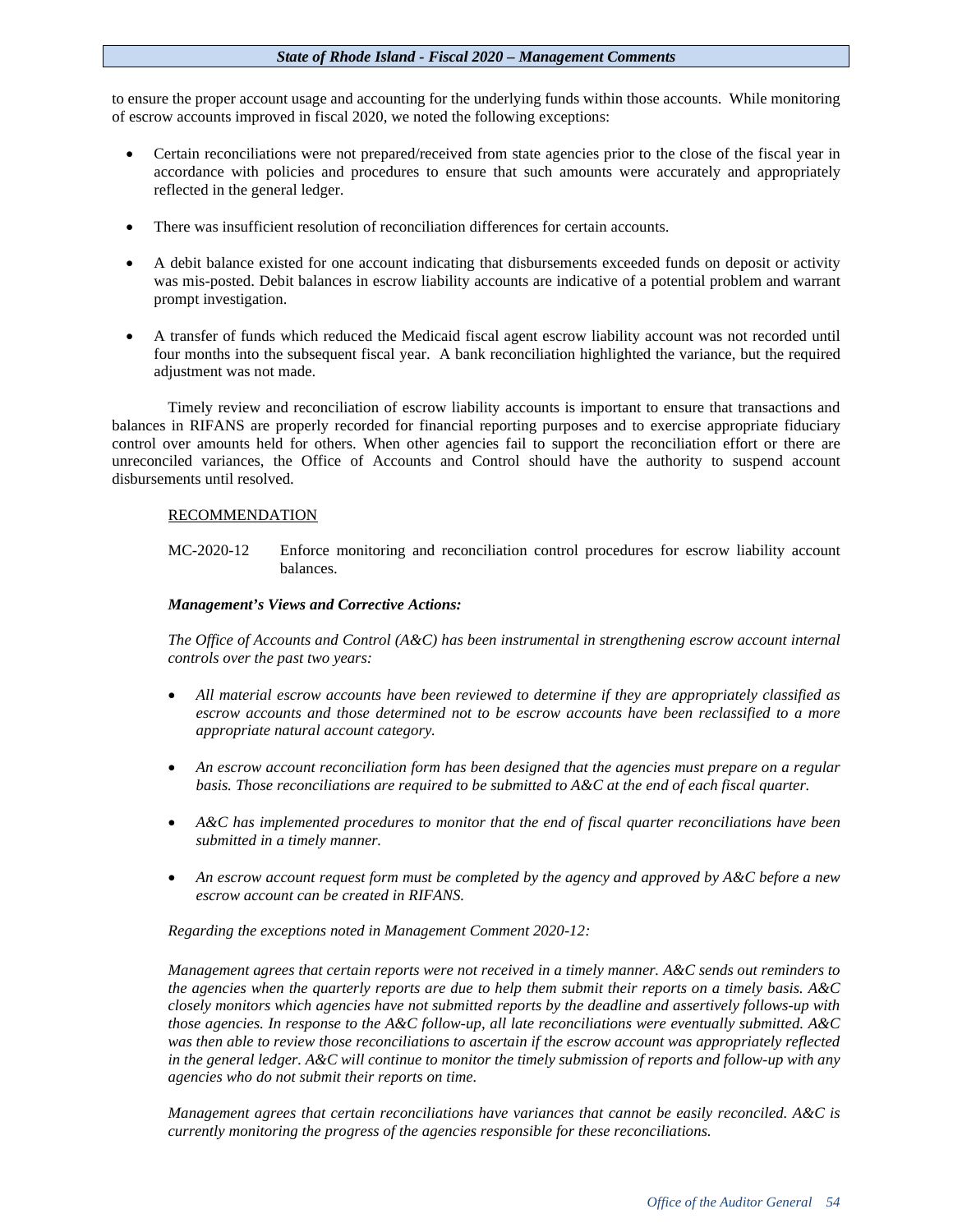to ensure the proper account usage and accounting for the underlying funds within those accounts. While monitoring of escrow accounts improved in fiscal 2020, we noted the following exceptions:

- Certain reconciliations were not prepared/received from state agencies prior to the close of the fiscal year in accordance with policies and procedures to ensure that such amounts were accurately and appropriately reflected in the general ledger.
- There was insufficient resolution of reconciliation differences for certain accounts.
- A debit balance existed for one account indicating that disbursements exceeded funds on deposit or activity was mis-posted. Debit balances in escrow liability accounts are indicative of a potential problem and warrant prompt investigation.
- A transfer of funds which reduced the Medicaid fiscal agent escrow liability account was not recorded until four months into the subsequent fiscal year. A bank reconciliation highlighted the variance, but the required adjustment was not made.

Timely review and reconciliation of escrow liability accounts is important to ensure that transactions and balances in RIFANS are properly recorded for financial reporting purposes and to exercise appropriate fiduciary control over amounts held for others. When other agencies fail to support the reconciliation effort or there are unreconciled variances, the Office of Accounts and Control should have the authority to suspend account disbursements until resolved.

# RECOMMENDATION

MC-2020-12 Enforce monitoring and reconciliation control procedures for escrow liability account balances.

# *Management's Views and Corrective Actions:*

*The Office of Accounts and Control (A&C) has been instrumental in strengthening escrow account internal controls over the past two years:*

- *All material escrow accounts have been reviewed to determine if they are appropriately classified as escrow accounts and those determined not to be escrow accounts have been reclassified to a more appropriate natural account category.*
- *An escrow account reconciliation form has been designed that the agencies must prepare on a regular basis. Those reconciliations are required to be submitted to A&C at the end of each fiscal quarter.*
- *A&C has implemented procedures to monitor that the end of fiscal quarter reconciliations have been submitted in a timely manner.*
- *An escrow account request form must be completed by the agency and approved by A&C before a new escrow account can be created in RIFANS.*

*Regarding the exceptions noted in Management Comment 2020-12:*

*Management agrees that certain reports were not received in a timely manner. A&C sends out reminders to the agencies when the quarterly reports are due to help them submit their reports on a timely basis. A&C closely monitors which agencies have not submitted reports by the deadline and assertively follows-up with those agencies. In response to the A&C follow-up, all late reconciliations were eventually submitted. A&C was then able to review those reconciliations to ascertain if the escrow account was appropriately reflected in the general ledger. A&C will continue to monitor the timely submission of reports and follow-up with any agencies who do not submit their reports on time.* 

*Management agrees that certain reconciliations have variances that cannot be easily reconciled. A&C is currently monitoring the progress of the agencies responsible for these reconciliations.*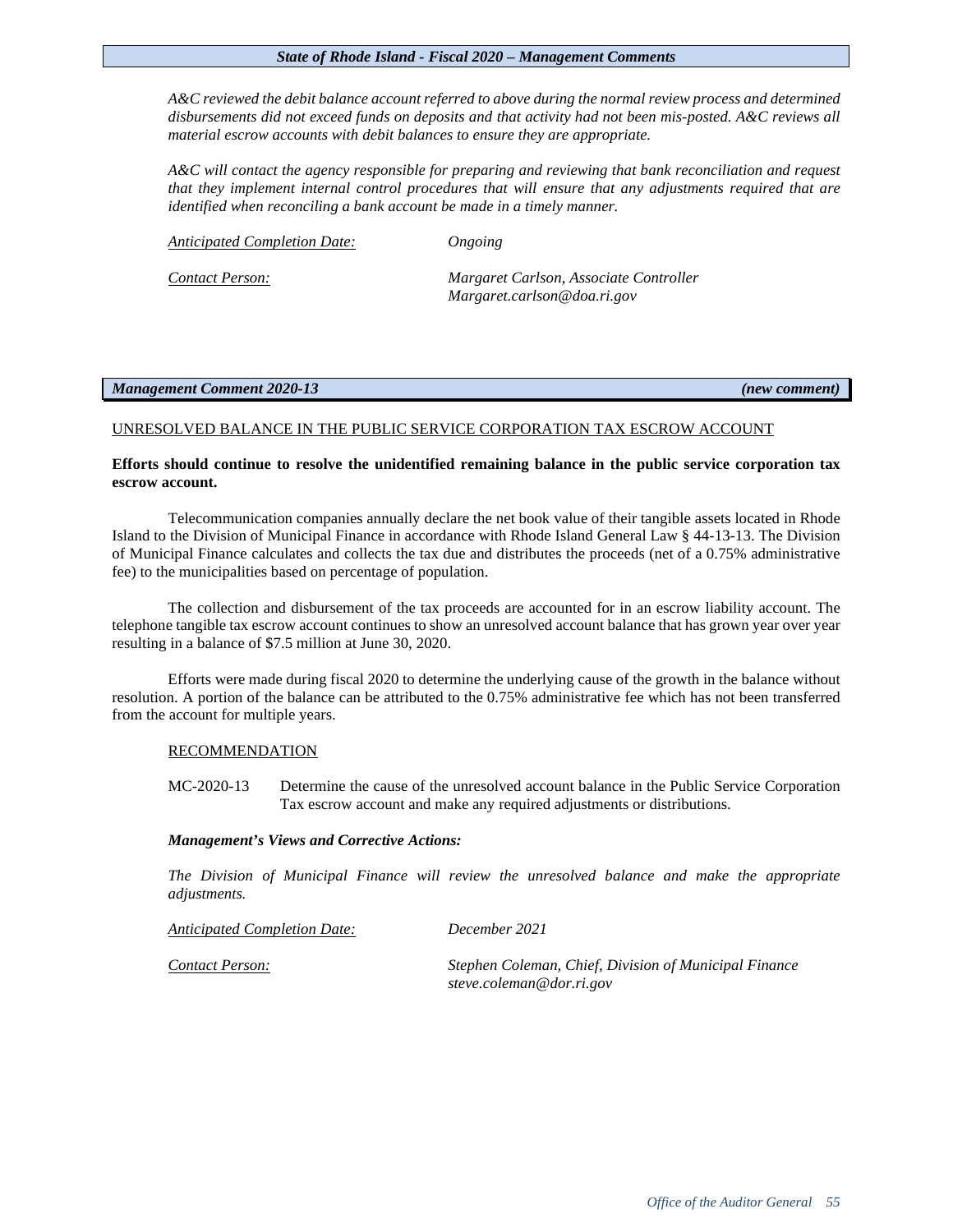*A&C reviewed the debit balance account referred to above during the normal review process and determined disbursements did not exceed funds on deposits and that activity had not been mis-posted. A&C reviews all material escrow accounts with debit balances to ensure they are appropriate.*

*A&C will contact the agency responsible for preparing and reviewing that bank reconciliation and request that they implement internal control procedures that will ensure that any adjustments required that are identified when reconciling a bank account be made in a timely manner.* 

*Anticipated Completion Date: Ongoing*

*Contact Person: Margaret Carlson, Associate Controller Margaret.carlson@doa.ri.gov*

# *Management Comment 2020-13 (new comment)*

# UNRESOLVED BALANCE IN THE PUBLIC SERVICE CORPORATION TAX ESCROW ACCOUNT

# **Efforts should continue to resolve the unidentified remaining balance in the public service corporation tax escrow account.**

Telecommunication companies annually declare the net book value of their tangible assets located in Rhode Island to the Division of Municipal Finance in accordance with Rhode Island General Law § 44-13-13. The Division of Municipal Finance calculates and collects the tax due and distributes the proceeds (net of a 0.75% administrative fee) to the municipalities based on percentage of population.

The collection and disbursement of the tax proceeds are accounted for in an escrow liability account. The telephone tangible tax escrow account continues to show an unresolved account balance that has grown year over year resulting in a balance of \$7.5 million at June 30, 2020.

Efforts were made during fiscal 2020 to determine the underlying cause of the growth in the balance without resolution. A portion of the balance can be attributed to the 0.75% administrative fee which has not been transferred from the account for multiple years.

# RECOMMENDATION

MC-2020-13 Determine the cause of the unresolved account balance in the Public Service Corporation Tax escrow account and make any required adjustments or distributions.

# *Management's Views and Corrective Actions:*

*The Division of Municipal Finance will review the unresolved balance and make the appropriate adjustments.*

| Anticipated Completion Date: | December 2021                                                                     |
|------------------------------|-----------------------------------------------------------------------------------|
| Contact Person:              | Stephen Coleman, Chief, Division of Municipal Finance<br>steve.coleman@dor.ri.gov |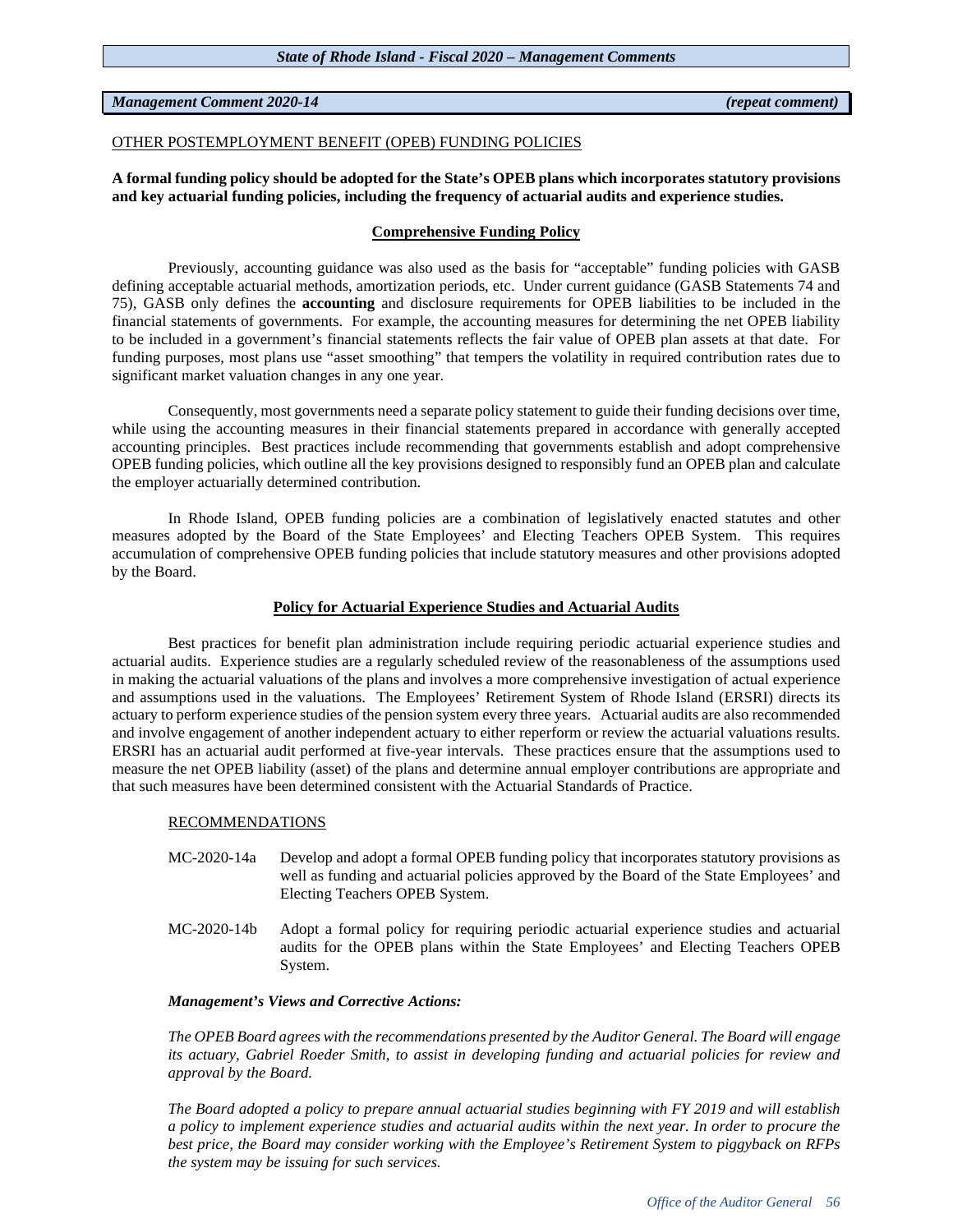# *Management Comment 2020-14 (repeat comment)*

# OTHER POSTEMPLOYMENT BENEFIT (OPEB) FUNDING POLICIES

**A formal funding policy should be adopted for the State's OPEB plans which incorporates statutory provisions and key actuarial funding policies, including the frequency of actuarial audits and experience studies.**

# **Comprehensive Funding Policy**

Previously, accounting guidance was also used as the basis for "acceptable" funding policies with GASB defining acceptable actuarial methods, amortization periods, etc. Under current guidance (GASB Statements 74 and 75), GASB only defines the **accounting** and disclosure requirements for OPEB liabilities to be included in the financial statements of governments. For example, the accounting measures for determining the net OPEB liability to be included in a government's financial statements reflects the fair value of OPEB plan assets at that date. For funding purposes, most plans use "asset smoothing" that tempers the volatility in required contribution rates due to significant market valuation changes in any one year.

Consequently, most governments need a separate policy statement to guide their funding decisions over time, while using the accounting measures in their financial statements prepared in accordance with generally accepted accounting principles. Best practices include recommending that governments establish and adopt comprehensive OPEB funding policies, which outline all the key provisions designed to responsibly fund an OPEB plan and calculate the employer actuarially determined contribution.

In Rhode Island, OPEB funding policies are a combination of legislatively enacted statutes and other measures adopted by the Board of the State Employees' and Electing Teachers OPEB System. This requires accumulation of comprehensive OPEB funding policies that include statutory measures and other provisions adopted by the Board.

# **Policy for Actuarial Experience Studies and Actuarial Audits**

Best practices for benefit plan administration include requiring periodic actuarial experience studies and actuarial audits. Experience studies are a regularly scheduled review of the reasonableness of the assumptions used in making the actuarial valuations of the plans and involves a more comprehensive investigation of actual experience and assumptions used in the valuations. The Employees' Retirement System of Rhode Island (ERSRI) directs its actuary to perform experience studies of the pension system every three years. Actuarial audits are also recommended and involve engagement of another independent actuary to either reperform or review the actuarial valuations results. ERSRI has an actuarial audit performed at five-year intervals. These practices ensure that the assumptions used to measure the net OPEB liability (asset) of the plans and determine annual employer contributions are appropriate and that such measures have been determined consistent with the Actuarial Standards of Practice.

# RECOMMENDATIONS

- MC-2020-14a Develop and adopt a formal OPEB funding policy that incorporates statutory provisions as well as funding and actuarial policies approved by the Board of the State Employees' and Electing Teachers OPEB System.
- MC-2020-14b Adopt a formal policy for requiring periodic actuarial experience studies and actuarial audits for the OPEB plans within the State Employees' and Electing Teachers OPEB System.

# *Management's Views and Corrective Actions:*

*The OPEB Board agrees with the recommendations presented by the Auditor General. The Board will engage its actuary, Gabriel Roeder Smith, to assist in developing funding and actuarial policies for review and approval by the Board.* 

*The Board adopted a policy to prepare annual actuarial studies beginning with FY 2019 and will establish a policy to implement experience studies and actuarial audits within the next year. In order to procure the best price, the Board may consider working with the Employee's Retirement System to piggyback on RFPs the system may be issuing for such services.*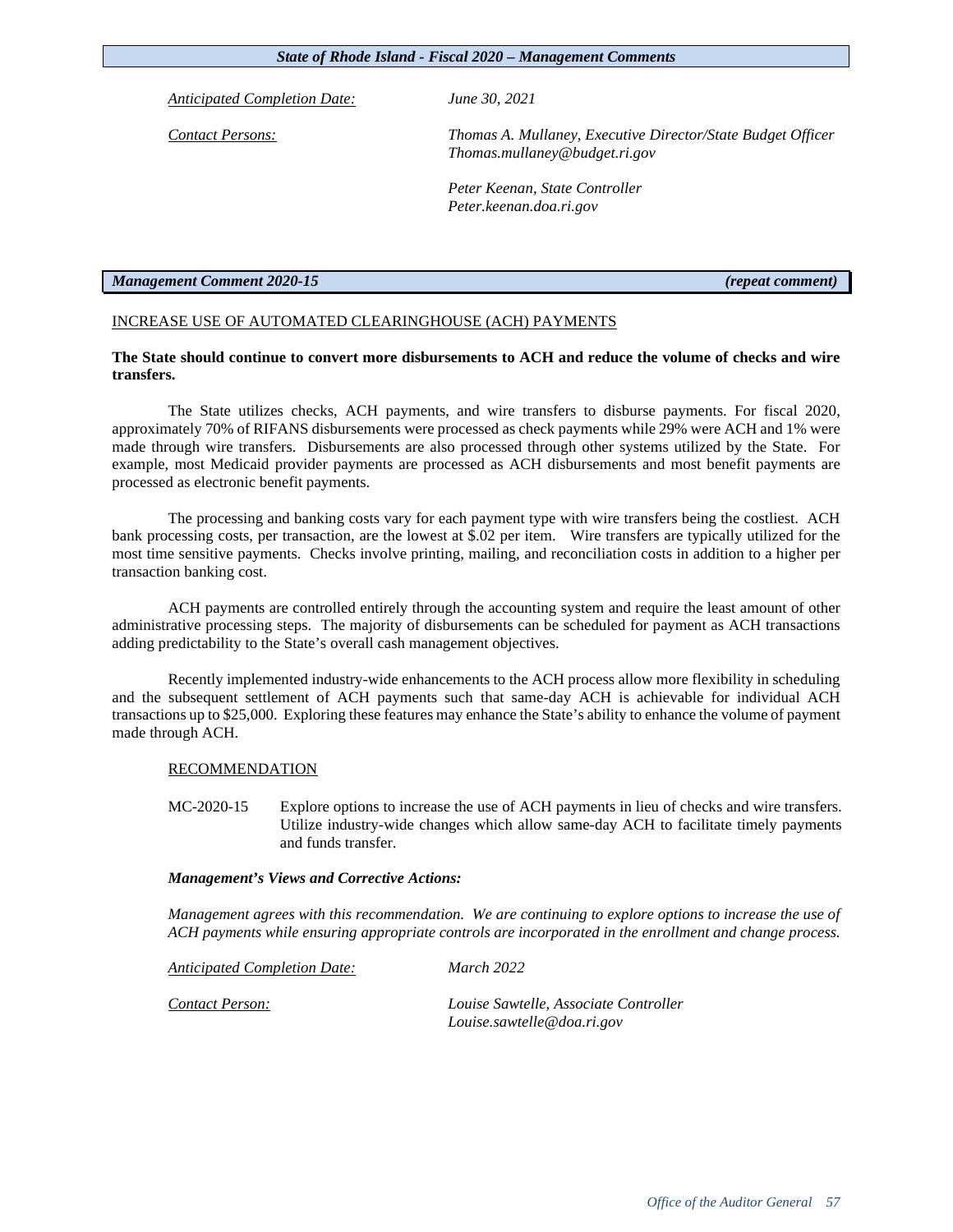*Anticipated Completion Date: June 30, 2021*

*Contact Persons: Thomas A. Mullaney, Executive Director/State Budget Officer Thomas.mullaney@budget.ri.gov*

> *Peter Keenan, State Controller Peter.keenan.doa.ri.gov*

# *Management Comment 2020-15 (repeat comment)*

# INCREASE USE OF AUTOMATED CLEARINGHOUSE (ACH) PAYMENTS

# **The State should continue to convert more disbursements to ACH and reduce the volume of checks and wire transfers.**

The State utilizes checks, ACH payments, and wire transfers to disburse payments. For fiscal 2020, approximately 70% of RIFANS disbursements were processed as check payments while 29% were ACH and 1% were made through wire transfers. Disbursements are also processed through other systems utilized by the State. For example, most Medicaid provider payments are processed as ACH disbursements and most benefit payments are processed as electronic benefit payments.

The processing and banking costs vary for each payment type with wire transfers being the costliest. ACH bank processing costs, per transaction, are the lowest at \$.02 per item. Wire transfers are typically utilized for the most time sensitive payments. Checks involve printing, mailing, and reconciliation costs in addition to a higher per transaction banking cost.

ACH payments are controlled entirely through the accounting system and require the least amount of other administrative processing steps. The majority of disbursements can be scheduled for payment as ACH transactions adding predictability to the State's overall cash management objectives.

Recently implemented industry-wide enhancements to the ACH process allow more flexibility in scheduling and the subsequent settlement of ACH payments such that same-day ACH is achievable for individual ACH transactions up to \$25,000. Exploring these features may enhance the State's ability to enhance the volume of payment made through ACH.

# RECOMMENDATION

MC-2020-15 Explore options to increase the use of ACH payments in lieu of checks and wire transfers. Utilize industry-wide changes which allow same-day ACH to facilitate timely payments and funds transfer.

# *Management's Views and Corrective Actions:*

*Management agrees with this recommendation. We are continuing to explore options to increase the use of ACH payments while ensuring appropriate controls are incorporated in the enrollment and change process.*

*Anticipated Completion Date: March 2022*

*Contact Person: Louise Sawtelle, Associate Controller Louise.sawtelle@doa.ri.gov*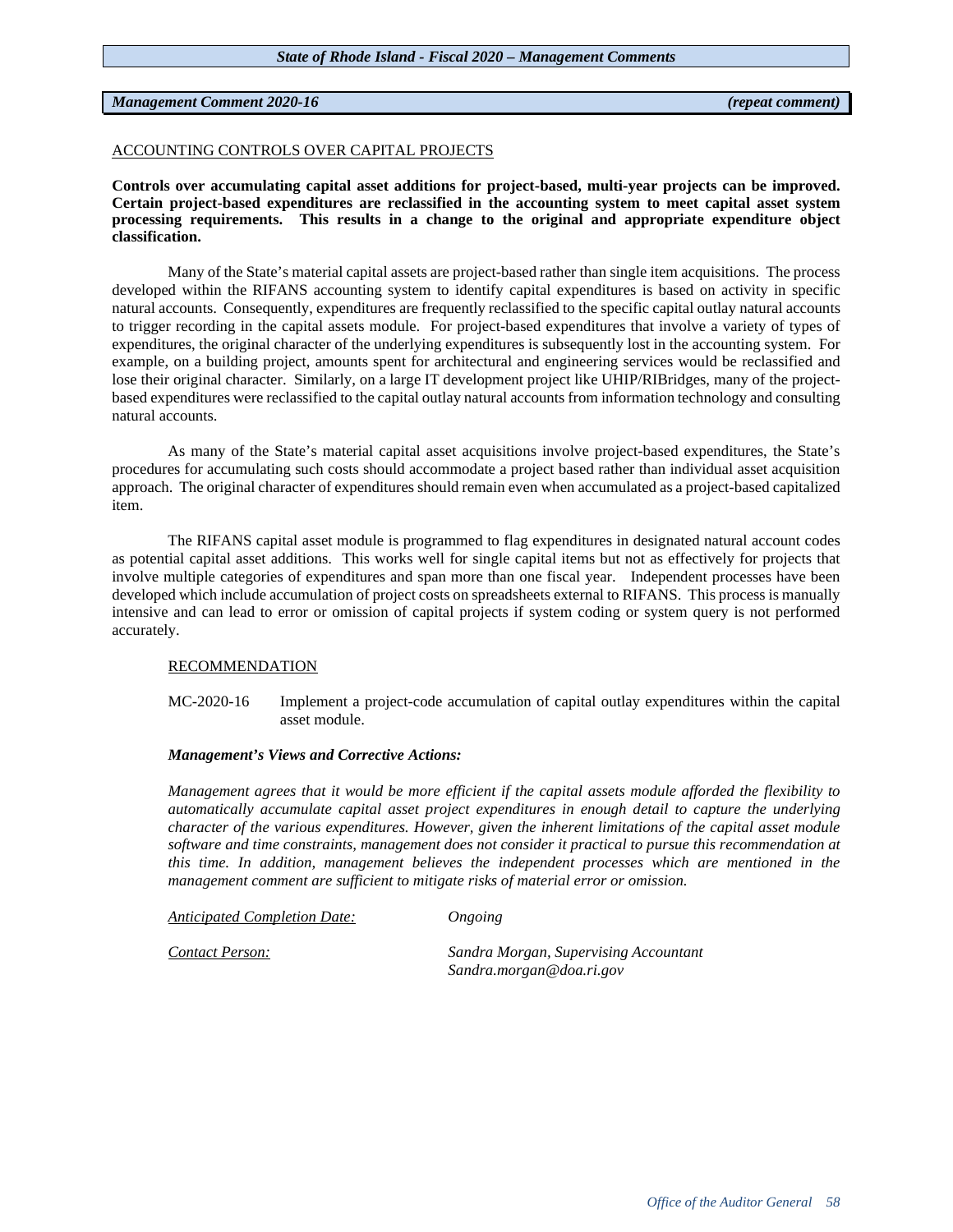# *Management Comment 2020-16 (repeat comment)*

# ACCOUNTING CONTROLS OVER CAPITAL PROJECTS

**Controls over accumulating capital asset additions for project-based, multi-year projects can be improved. Certain project-based expenditures are reclassified in the accounting system to meet capital asset system processing requirements. This results in a change to the original and appropriate expenditure object classification.** 

Many of the State's material capital assets are project-based rather than single item acquisitions. The process developed within the RIFANS accounting system to identify capital expenditures is based on activity in specific natural accounts. Consequently, expenditures are frequently reclassified to the specific capital outlay natural accounts to trigger recording in the capital assets module. For project-based expenditures that involve a variety of types of expenditures, the original character of the underlying expenditures is subsequently lost in the accounting system. For example, on a building project, amounts spent for architectural and engineering services would be reclassified and lose their original character. Similarly, on a large IT development project like UHIP/RIBridges, many of the projectbased expenditures were reclassified to the capital outlay natural accounts from information technology and consulting natural accounts.

As many of the State's material capital asset acquisitions involve project-based expenditures, the State's procedures for accumulating such costs should accommodate a project based rather than individual asset acquisition approach. The original character of expenditures should remain even when accumulated as a project-based capitalized item.

The RIFANS capital asset module is programmed to flag expenditures in designated natural account codes as potential capital asset additions. This works well for single capital items but not as effectively for projects that involve multiple categories of expenditures and span more than one fiscal year. Independent processes have been developed which include accumulation of project costs on spreadsheets external to RIFANS. This process is manually intensive and can lead to error or omission of capital projects if system coding or system query is not performed accurately.

# RECOMMENDATION

# MC-2020-16 Implement a project-code accumulation of capital outlay expenditures within the capital asset module.

# *Management's Views and Corrective Actions:*

*Management agrees that it would be more efficient if the capital assets module afforded the flexibility to automatically accumulate capital asset project expenditures in enough detail to capture the underlying character of the various expenditures. However, given the inherent limitations of the capital asset module software and time constraints, management does not consider it practical to pursue this recommendation at this time. In addition, management believes the independent processes which are mentioned in the management comment are sufficient to mitigate risks of material error or omission.*

*Anticipated Completion Date: Ongoing*

*Contact Person: Sandra Morgan, Supervising Accountant Sandra.morgan@doa.ri.gov*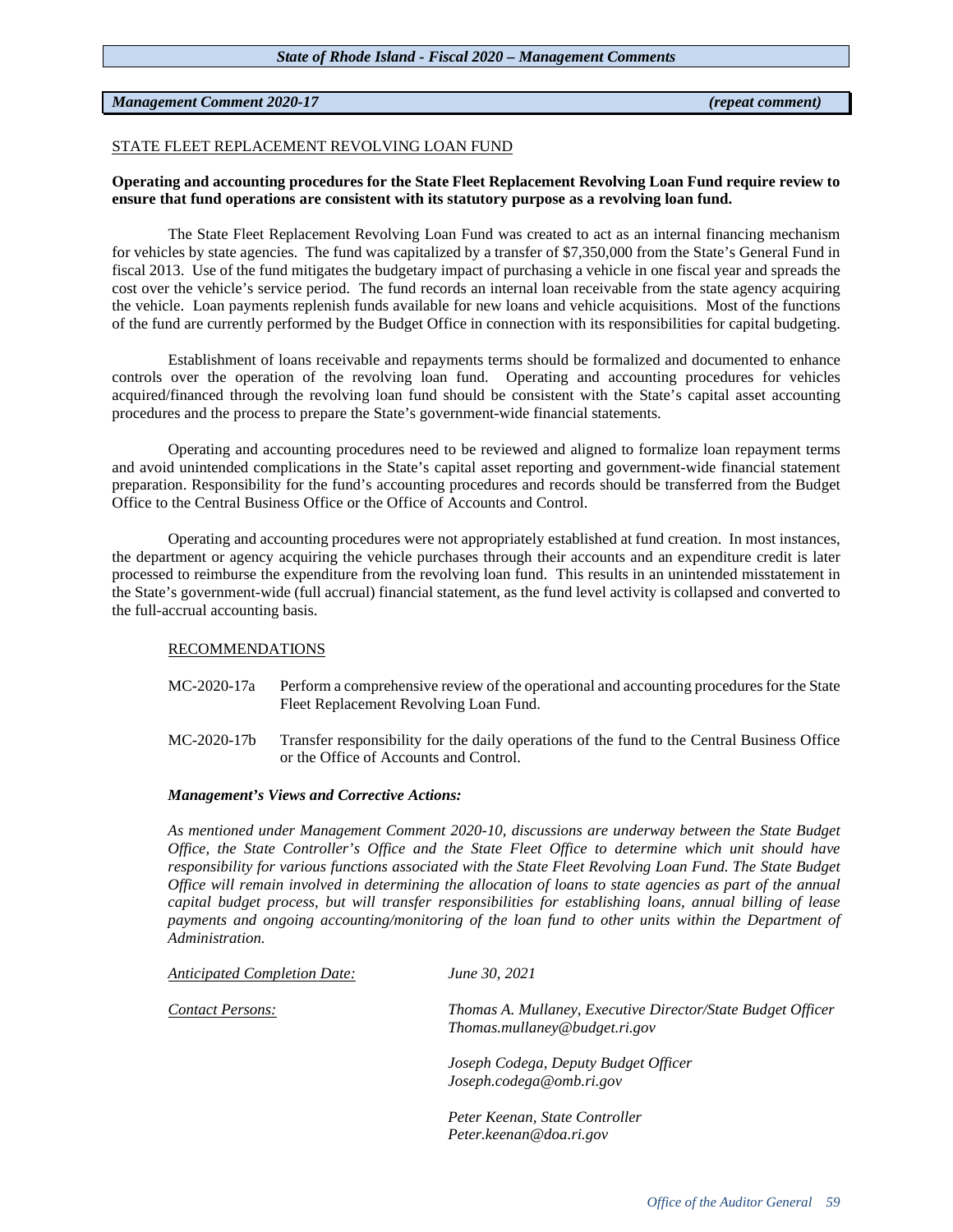# *Management Comment 2020-17 (repeat comment)*

# STATE FLEET REPLACEMENT REVOLVING LOAN FUND

# **Operating and accounting procedures for the State Fleet Replacement Revolving Loan Fund require review to ensure that fund operations are consistent with its statutory purpose as a revolving loan fund.**

The State Fleet Replacement Revolving Loan Fund was created to act as an internal financing mechanism for vehicles by state agencies. The fund was capitalized by a transfer of \$7,350,000 from the State's General Fund in fiscal 2013. Use of the fund mitigates the budgetary impact of purchasing a vehicle in one fiscal year and spreads the cost over the vehicle's service period. The fund records an internal loan receivable from the state agency acquiring the vehicle. Loan payments replenish funds available for new loans and vehicle acquisitions. Most of the functions of the fund are currently performed by the Budget Office in connection with its responsibilities for capital budgeting.

Establishment of loans receivable and repayments terms should be formalized and documented to enhance controls over the operation of the revolving loan fund. Operating and accounting procedures for vehicles acquired/financed through the revolving loan fund should be consistent with the State's capital asset accounting procedures and the process to prepare the State's government-wide financial statements.

Operating and accounting procedures need to be reviewed and aligned to formalize loan repayment terms and avoid unintended complications in the State's capital asset reporting and government-wide financial statement preparation. Responsibility for the fund's accounting procedures and records should be transferred from the Budget Office to the Central Business Office or the Office of Accounts and Control.

Operating and accounting procedures were not appropriately established at fund creation. In most instances, the department or agency acquiring the vehicle purchases through their accounts and an expenditure credit is later processed to reimburse the expenditure from the revolving loan fund. This results in an unintended misstatement in the State's government-wide (full accrual) financial statement, as the fund level activity is collapsed and converted to the full-accrual accounting basis.

# RECOMMENDATIONS

- MC-2020-17a Perform a comprehensive review of the operational and accounting procedures for the State Fleet Replacement Revolving Loan Fund.
- MC-2020-17b Transfer responsibility for the daily operations of the fund to the Central Business Office or the Office of Accounts and Control.

# *Management's Views and Corrective Actions:*

*As mentioned under Management Comment 2020-10, discussions are underway between the State Budget Office, the State Controller's Office and the State Fleet Office to determine which unit should have responsibility for various functions associated with the State Fleet Revolving Loan Fund. The State Budget Office will remain involved in determining the allocation of loans to state agencies as part of the annual capital budget process, but will transfer responsibilities for establishing loans, annual billing of lease payments and ongoing accounting/monitoring of the loan fund to other units within the Department of Administration.* 

| <b>Anticipated Completion Date:</b> | June 30, 2021                                                                                |
|-------------------------------------|----------------------------------------------------------------------------------------------|
| Contact Persons:                    | Thomas A. Mullaney, Executive Director/State Budget Officer<br>Thomas.mullaney@budget.ri.gov |
|                                     | Joseph Codega, Deputy Budget Officer<br>Joseph.codega@omb.ri.gov                             |
|                                     | Peter Keenan, State Controller<br>Peter.keenan@doa.ri.gov                                    |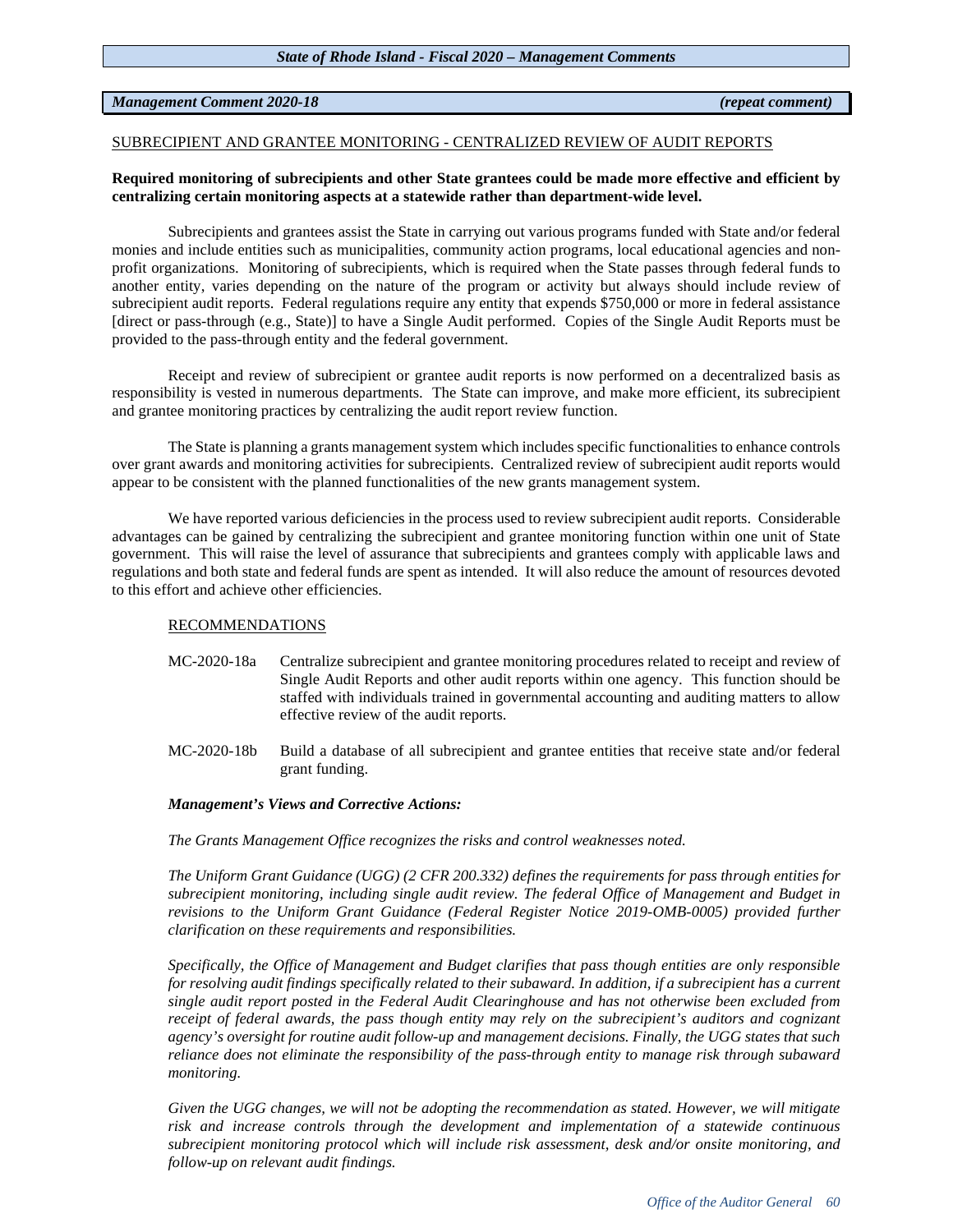# *Management Comment 2020-18 (repeat comment)*

# SUBRECIPIENT AND GRANTEE MONITORING - CENTRALIZED REVIEW OF AUDIT REPORTS

# **Required monitoring of subrecipients and other State grantees could be made more effective and efficient by centralizing certain monitoring aspects at a statewide rather than department-wide level.**

Subrecipients and grantees assist the State in carrying out various programs funded with State and/or federal monies and include entities such as municipalities, community action programs, local educational agencies and nonprofit organizations. Monitoring of subrecipients, which is required when the State passes through federal funds to another entity, varies depending on the nature of the program or activity but always should include review of subrecipient audit reports. Federal regulations require any entity that expends \$750,000 or more in federal assistance [direct or pass-through (e.g., State)] to have a Single Audit performed. Copies of the Single Audit Reports must be provided to the pass-through entity and the federal government.

Receipt and review of subrecipient or grantee audit reports is now performed on a decentralized basis as responsibility is vested in numerous departments. The State can improve, and make more efficient, its subrecipient and grantee monitoring practices by centralizing the audit report review function.

The State is planning a grants management system which includes specific functionalities to enhance controls over grant awards and monitoring activities for subrecipients. Centralized review of subrecipient audit reports would appear to be consistent with the planned functionalities of the new grants management system.

We have reported various deficiencies in the process used to review subrecipient audit reports. Considerable advantages can be gained by centralizing the subrecipient and grantee monitoring function within one unit of State government. This will raise the level of assurance that subrecipients and grantees comply with applicable laws and regulations and both state and federal funds are spent as intended. It will also reduce the amount of resources devoted to this effort and achieve other efficiencies.

# RECOMMENDATIONS

- MC-2020-18a Centralize subrecipient and grantee monitoring procedures related to receipt and review of Single Audit Reports and other audit reports within one agency. This function should be staffed with individuals trained in governmental accounting and auditing matters to allow effective review of the audit reports.
- MC-2020-18b Build a database of all subrecipient and grantee entities that receive state and/or federal grant funding.

# *Management's Views and Corrective Actions:*

*The Grants Management Office recognizes the risks and control weaknesses noted.* 

*The Uniform Grant Guidance (UGG) (2 CFR 200.332) defines the requirements for pass through entities for subrecipient monitoring, including single audit review. The federal Office of Management and Budget in revisions to the Uniform Grant Guidance (Federal Register Notice 2019-OMB-0005) provided further clarification on these requirements and responsibilities.* 

*Specifically, the Office of Management and Budget clarifies that pass though entities are only responsible for resolving audit findings specifically related to their subaward. In addition, if a subrecipient has a current single audit report posted in the Federal Audit Clearinghouse and has not otherwise been excluded from receipt of federal awards, the pass though entity may rely on the subrecipient's auditors and cognizant agency's oversight for routine audit follow-up and management decisions. Finally, the UGG states that such reliance does not eliminate the responsibility of the pass-through entity to manage risk through subaward monitoring.* 

*Given the UGG changes, we will not be adopting the recommendation as stated. However, we will mitigate risk and increase controls through the development and implementation of a statewide continuous subrecipient monitoring protocol which will include risk assessment, desk and/or onsite monitoring, and follow-up on relevant audit findings.*